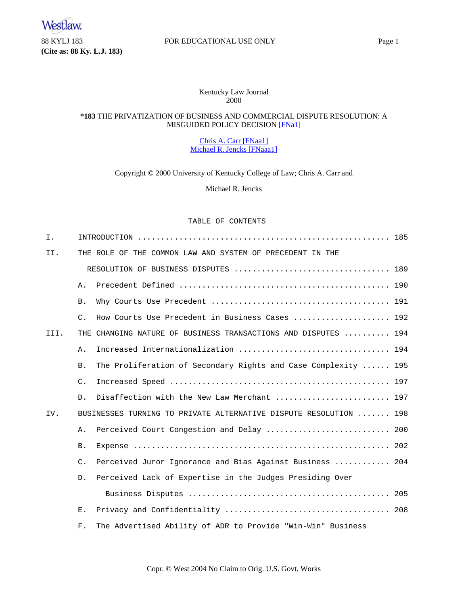

# Kentucky Law Journal 2000

## <span id="page-0-2"></span><span id="page-0-1"></span><span id="page-0-0"></span>**\*183** THE PRIVATIZATION OF BUSINESS AND COMMERCIAL DISPUTE RESOLUTION: A MISGUIDED POLICY DECISION [\[FNa1\]](#page-15-0)

# [Chris](http://www.westlaw.com/Find/Default.wl?rs=++++1.0&vr=2.0&DB=PROFILER-WLD&DocName=0289302501&FindType=h) A. Carr [\[FNaa1\]](#page-15-1) [Michael](http://www.westlaw.com/Find/Default.wl?rs=++++1.0&vr=2.0&DB=PROFILER-WLD&DocName=0131499401&FindType=h) R. Jencks [\[FNaaa1\]](#page-15-2)

Copyright © 2000 University of Kentucky College of Law; Chris A. Carr and

Michael R. Jencks

## TABLE OF CONTENTS

| Ι.   |                 |                                                                   |  |  |  |
|------|-----------------|-------------------------------------------------------------------|--|--|--|
| II.  |                 | THE ROLE OF THE COMMON LAW AND SYSTEM OF PRECEDENT IN THE         |  |  |  |
|      |                 | RESOLUTION OF BUSINESS DISPUTES  189                              |  |  |  |
|      | Α.              |                                                                   |  |  |  |
|      | <b>B</b> .      |                                                                   |  |  |  |
|      | $\mathcal{C}$ . | How Courts Use Precedent in Business Cases  192                   |  |  |  |
| III. | THE             | CHANGING NATURE OF BUSINESS TRANSACTIONS AND DISPUTES  194        |  |  |  |
|      | Α.              | Increased Internationalization  194                               |  |  |  |
|      | <b>B</b> .      | The Proliferation of Secondary Rights and Case Complexity  195    |  |  |  |
|      | $\mathcal{C}$ . |                                                                   |  |  |  |
|      | $D$ .           | Disaffection with the New Law Merchant  197                       |  |  |  |
| IV.  |                 | BUSINESSES TURNING TO PRIVATE ALTERNATIVE DISPUTE RESOLUTION  198 |  |  |  |
|      | Α.              | Perceived Court Congestion and Delay  200                         |  |  |  |
|      | <b>B.</b>       |                                                                   |  |  |  |
|      | $\mathsf{C}$ .  | Perceived Juror Ignorance and Bias Against Business  204          |  |  |  |
|      | $D$ .           | Perceived Lack of Expertise in the Judges Presiding Over          |  |  |  |
|      |                 |                                                                   |  |  |  |
|      | $E$ .           |                                                                   |  |  |  |
|      | F.              | The Advertised Ability of ADR to Provide "Win-Win" Business       |  |  |  |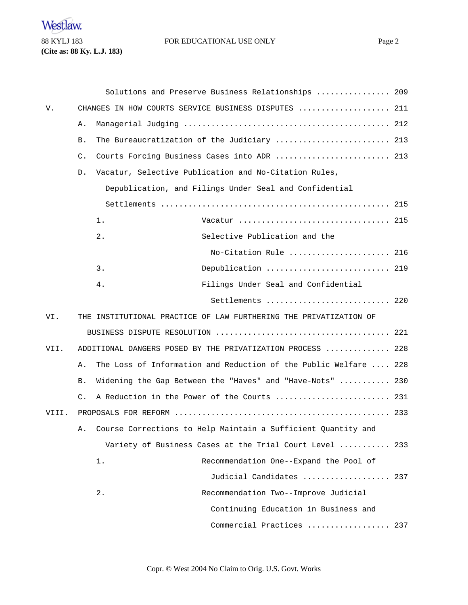

|       |                |                                                        | Solutions and Preserve Business Relationships  209                |  |  |  |
|-------|----------------|--------------------------------------------------------|-------------------------------------------------------------------|--|--|--|
| V.    |                |                                                        | CHANGES IN HOW COURTS SERVICE BUSINESS DISPUTES  211              |  |  |  |
|       | Α.             |                                                        |                                                                   |  |  |  |
|       | Β.             |                                                        | The Bureaucratization of the Judiciary  213                       |  |  |  |
|       | $\mathsf{C}$ . |                                                        | Courts Forcing Business Cases into ADR  213                       |  |  |  |
|       | D.             | Vacatur, Selective Publication and No-Citation Rules,  |                                                                   |  |  |  |
|       |                | Depublication, and Filings Under Seal and Confidential |                                                                   |  |  |  |
|       |                |                                                        |                                                                   |  |  |  |
|       |                | $1$ .                                                  | Vacatur  215                                                      |  |  |  |
|       |                | $2$ .                                                  | Selective Publication and the                                     |  |  |  |
|       |                |                                                        | No-Citation Rule  216                                             |  |  |  |
|       |                | 3.                                                     | Depublication  219                                                |  |  |  |
|       |                | $4$ .                                                  | Filings Under Seal and Confidential                               |  |  |  |
|       |                |                                                        | Settlements  220                                                  |  |  |  |
| VI.   |                |                                                        | THE INSTITUTIONAL PRACTICE OF LAW FURTHERING THE PRIVATIZATION OF |  |  |  |
|       |                |                                                        |                                                                   |  |  |  |
| VII.  |                |                                                        | ADDITIONAL DANGERS POSED BY THE PRIVATIZATION PROCESS  228        |  |  |  |
|       | Α.             |                                                        | The Loss of Information and Reduction of the Public Welfare  228  |  |  |  |
|       | Β.             |                                                        | Widening the Gap Between the "Haves" and "Have-Nots"  230         |  |  |  |
|       | $\mathsf{C}$ . |                                                        | A Reduction in the Power of the Courts  231                       |  |  |  |
| VIII. |                |                                                        |                                                                   |  |  |  |
|       | Α.             |                                                        | Course Corrections to Help Maintain a Sufficient Quantity and     |  |  |  |
|       |                |                                                        | Variety of Business Cases at the Trial Court Level  233           |  |  |  |
|       |                | 1.                                                     | Recommendation One--Expand the Pool of                            |  |  |  |
|       |                |                                                        | Judicial Candidates  237                                          |  |  |  |
|       |                | $2$ .                                                  | Recommendation Two--Improve Judicial                              |  |  |  |
|       |                |                                                        | Continuing Education in Business and                              |  |  |  |
|       |                |                                                        | Commercial Practices  237                                         |  |  |  |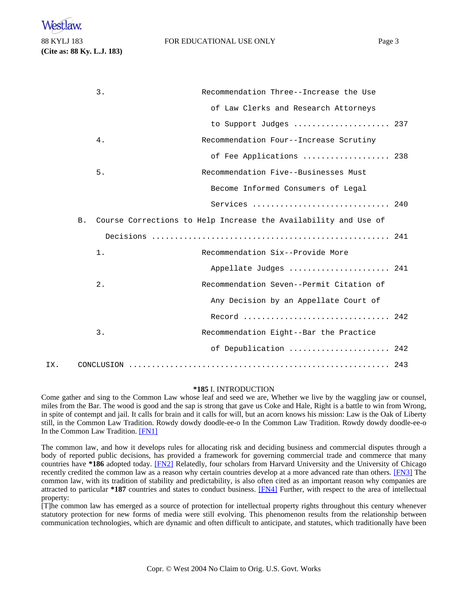88 KYLJ 183 FOR EDUCATIONAL USE ONLY Page 3

**(Cite as: 88 Ky. L.J. 183)**

|     |            | 3.    | Recommendation Three--Increase the Use                          |
|-----|------------|-------|-----------------------------------------------------------------|
|     |            |       | of Law Clerks and Research Attorneys                            |
|     |            |       | to Support Judges  237                                          |
|     |            | 4.    | Recommendation Four--Increase Scrutiny                          |
|     |            |       | of Fee Applications  238                                        |
|     |            | 5.    | Recommendation Five--Businesses Must                            |
|     |            |       | Become Informed Consumers of Legal                              |
|     |            |       | Services  240                                                   |
|     | <b>B</b> . |       | Course Corrections to Help Increase the Availability and Use of |
|     |            |       |                                                                 |
|     |            | $1$ . | Recommendation Six--Provide More                                |
|     |            |       | Appellate Judges  241                                           |
|     |            | 2.    | Recommendation Seven--Permit Citation of                        |
|     |            |       | Any Decision by an Appellate Court of                           |
|     |            |       | Record  242                                                     |
|     |            | 3.    | Recommendation Eight--Bar the Practice                          |
|     |            |       | of Depublication  242                                           |
| IX. |            |       |                                                                 |

#### **\*185** I. INTRODUCTION

Come gather and sing to the Common Law whose leaf and seed we are, Whether we live by the waggling jaw or counsel, miles from the Bar. The wood is good and the sap is strong that gave us Coke and Hale, Right is a battle to win from Wrong, in spite of contempt and jail. It calls for brain and it calls for will, but an acorn knows his mission: Law is the Oak of Liberty still, in the Common Law Tradition. Rowdy dowdy doodle-ee-o In the Common Law Tradition. Rowdy dowdy doodle-ee-o In the Common Law Tradition. **[\[FN1\]](#page-15-3)** 

<span id="page-2-2"></span><span id="page-2-1"></span><span id="page-2-0"></span>The common law, and how it develops rules for allocating risk and deciding business and commercial disputes through a body of reported public decisions, has provided a framework for governing commercial trade and commerce that many countries have **\*186** adopted today. [[FN2\]](#page-15-4) Relatedly, four scholars from Harvard University and the University of Chicago recently credited the common law as a reason why certain countries develop at a more advanced rate than others. [[FN3\]](#page-15-5) The common law, with its tradition of stability and predictability, is also often cited as an important reason why companies are attracted to particular **\*187** countries and states to conduct business. [F[N4\]](#page-16-0) Further, with respect to the area of intellectual property:

<span id="page-2-3"></span>[T]he common law has emerged as a source of protection for intellectual property rights throughout this century whenever statutory protection for new forms of media were still evolving. This phenomenon results from the relationship between communication technologies, which are dynamic and often difficult to anticipate, and statutes, which traditionally have been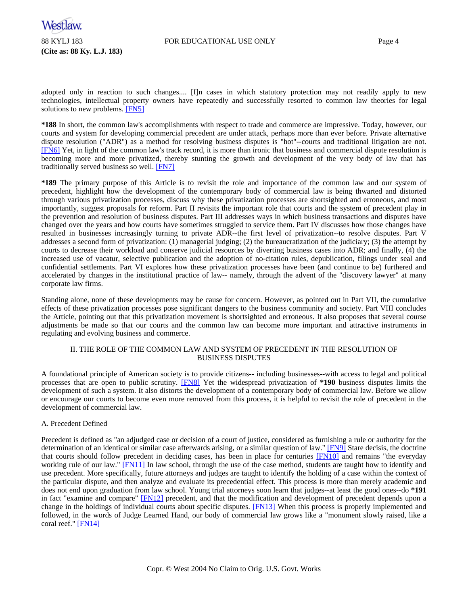

<span id="page-3-0"></span>adopted only in reaction to such changes.... [I]n cases in which statutory protection may not readily apply to new technologies, intellectual property owners have repeatedly and successfully resorted to common law theories for legal solutions to new problems. **[\[FN5\]](#page-16-1)** 

<span id="page-3-1"></span>**\*188** In short, the common law's accomplishments with respect to trade and commerce are impressive. Today, however, our courts and system for developing commercial precedent are under attack, perhaps more than ever before. Private alternative dispute resolution ("ADR") as a method for resolving business disputes is "hot"--courts and traditional litigation are not. [\[FN6\]](#page-16-2) Yet, in light of the common law's track record, it is more than ironic that business and commercial dispute resolution is becoming more and more privatized, thereby stunting the growth and development of the very body of law that has traditionally served business so well. [\[FN7\]](#page-17-0)

<span id="page-3-2"></span>**\*189** The primary purpose of this Article is to revisit the role and importance of the common law and our system of precedent, highlight how the development of the contemporary body of commercial law is being thwarted and distorted through various privatization processes, discuss why these privatization processes are shortsighted and erroneous, and most importantly, suggest proposals for reform. Part II revisits the important role that courts and the system of precedent play in the prevention and resolution of business disputes. Part III addresses ways in which business transactions and disputes have changed over the years and how courts have sometimes struggled to service them. Part IV discusses how those changes have resulted in businesses increasingly turning to private ADR--the first level of privatization--to resolve disputes. Part V addresses a second form of privatization: (1) managerial judging; (2) the bureaucratization of the judiciary; (3) the attempt by courts to decrease their workload and conserve judicial resources by diverting business cases into ADR; and finally, (4) the increased use of vacatur, selective publication and the adoption of no-citation rules, depublication, filings under seal and confidential settlements. Part VI explores how these privatization processes have been (and continue to be) furthered and accelerated by changes in the institutional practice of law-- namely, through the advent of the "discovery lawyer" at many corporate law firms.

Standing alone, none of these developments may be cause for concern. However, as pointed out in Part VII, the cumulative effects of these privatization processes pose significant dangers to the business community and society. Part VIII concludes the Article, pointing out that this privatization movement is shortsighted and erroneous. It also proposes that several course adjustments be made so that our courts and the common law can become more important and attractive instruments in regulating and evolving business and commerce.

## II. THE ROLE OF THE COMMON LAW AND SYSTEM OF PRECEDENT IN THE RESOLUTION OF BUSINESS DISPUTES

<span id="page-3-3"></span>A foundational principle of American society is to provide citizens-- including businesses--with access to legal and political processes that are open to public scrutiny. [F[N8\]](#page-17-1) Yet the widespread privatization of **\*190** business disputes limits the development of such a system. It also distorts the development of a contemporary body of commercial law. Before we allow or encourage our courts to become even more removed from this process, it is helpful to revisit the role of precedent in the development of commercial law.

## A. Precedent Defined

<span id="page-3-9"></span><span id="page-3-8"></span><span id="page-3-7"></span><span id="page-3-6"></span><span id="page-3-5"></span><span id="page-3-4"></span>Precedent is defined as "an adjudged case or decision of a court of justice, considered as furnishing a rule or authority for the determination of an identical or similar case afterwards arising, or a similar question of law." [\[FN9\]](#page-17-2) Stare decisis, the doctrine that courts should follow precedent in deciding cases, has been in place for centuries [FN10] [and](#page-17-3) remains "the everyday working rule of our law." [\[FN11\]](#page-17-4) In law school, through the use of the case method, students are taught how to identify and use precedent. More specifically, future attorneys and judges are taught to identify the holding of a case within the context of the particular dispute, and then analyze and evaluate its precedential effect. This process is more than merely academic and does not end upon graduation from law school. Young trial attorneys soon learn that judges--at least the good ones--do **\*191** in fact "examine and compare" [[FN12\]](#page-17-5) precedent, and that the modification and development of precedent depends upon a change in the holdings of individual courts about specific disputes. **[[FN13\]](#page-17-6)** When this process is properly implemented and followed, in the words of Judge Learned Hand, our body of commercial law grows like a "monument slowly raised, like a coral reef." [\[FN14\]](#page-17-7)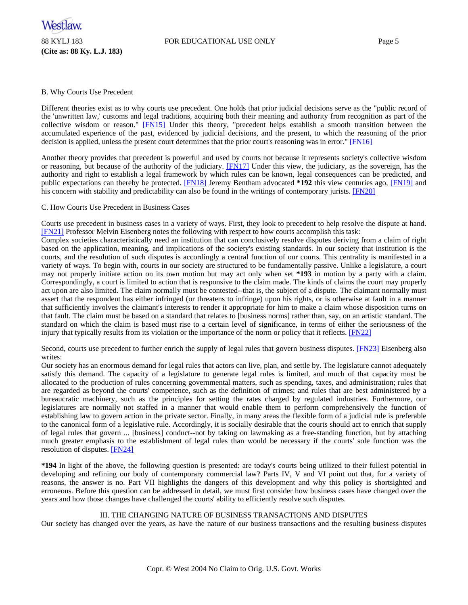

### B. Why Courts Use Precedent

<span id="page-4-0"></span>Different theories exist as to why courts use precedent. One holds that prior judicial decisions serve as the "public record of the 'unwritten law,' customs and legal traditions, acquiring both their meaning and authority from recognition as part of the collective wisdom or reason." [F[N15\]](#page-17-8) Under this theory, "precedent helps establish a smooth transition between the accumulated experience of the past, evidenced by judicial decisions, and the present, to which the reasoning of the prior decision is applied, unless the present court determines that the prior court's reasoning was in error." [\[FN16\]](#page-17-9)

<span id="page-4-3"></span><span id="page-4-2"></span><span id="page-4-1"></span>Another theory provides that precedent is powerful and used by courts not because it represents society's collective wisdom or reasoning, but because of the authority of the judiciary. [[FN17\]](#page-17-10) Under this view, the judiciary, as the sovereign, has the authority and right to establish a legal framework by which rules can be known, legal consequences can be predicted, and public expectations can thereby be protected. [[FN18\]](#page-17-11) Jeremy Bentham advocated **\*192** this view centuries ago, [F[N19\]](#page-17-12) and his concern with stability and predictability can also be found in the writings of contemporary jurists. [\[FN20\]](#page-18-0)

## <span id="page-4-4"></span>C. How Courts Use Precedent in Business Cases

<span id="page-4-5"></span>Courts use precedent in business cases in a variety of ways. First, they look to precedent to help resolve the dispute at hand. [\[FN21\]](#page-18-1) Professor Melvin Eisenberg notes the following with respect to how courts accomplish this task:

Complex societies characteristically need an institution that can conclusively resolve disputes deriving from a claim of right based on the application, meaning, and implications of the society's existing standards. In our society that institution is the courts, and the resolution of such disputes is accordingly a central function of our courts. This centrality is manifested in a variety of ways. To begin with, courts in our society are structured to be fundamentally passive. Unlike a legislature, a court may not properly initiate action on its own motion but may act only when set **\*193** in motion by a party with a claim. Correspondingly, a court is limited to action that is responsive to the claim made. The kinds of claims the court may properly act upon are also limited. The claim normally must be contested--that is, the subject of a dispute. The claimant normally must assert that the respondent has either infringed (or threatens to infringe) upon his rights, or is otherwise at fault in a manner that sufficiently involves the claimant's interests to render it appropriate for him to make a claim whose disposition turns on that fault. The claim must be based on a standard that relates to [business norms] rather than, say, on an artistic standard. The standard on which the claim is based must rise to a certain level of significance, in terms of either the seriousness of the injury that typically results from its violation or the importance of the norm or policy that it reflects. [\[FN22\]](#page-18-2)

<span id="page-4-7"></span><span id="page-4-6"></span>Second, courts use precedent to further enrich the supply of legal rules that govern business disputes. [[FN23\]](#page-18-3) Eisenberg also writes:

Our society has an enormous demand for legal rules that actors can live, plan, and settle by. The legislature cannot adequately satisfy this demand. The capacity of a legislature to generate legal rules is limited, and much of that capacity must be allocated to the production of rules concerning governmental matters, such as spending, taxes, and administration; rules that are regarded as beyond the courts' competence, such as the definition of crimes; and rules that are best administered by a bureaucratic machinery, such as the principles for setting the rates charged by regulated industries. Furthermore, our legislatures are normally not staffed in a manner that would enable them to perform comprehensively the function of establishing law to govern action in the private sector. Finally, in many areas the flexible form of a judicial rule is preferable to the canonical form of a legislative rule. Accordingly, it is socially desirable that the courts should act to enrich that supply of legal rules that govern ... [business] conduct--not by taking on lawmaking as a free-standing function, but by attaching much greater emphasis to the establishment of legal rules than would be necessary if the courts' sole function was the resolution of disputes. [\[FN24\]](#page-18-4)

<span id="page-4-8"></span>**\*194** In light of the above, the following question is presented: are today's courts being utilized to their fullest potential in developing and refining our body of contemporary commercial law? Parts IV, V and VI point out that, for a variety of reasons, the answer is no. Part VII highlights the dangers of this development and why this policy is shortsighted and erroneous. Before this question can be addressed in detail, we must first consider how business cases have changed over the years and how those changes have challenged the courts' ability to efficiently resolve such disputes.

#### III. THE CHANGING NATURE OF BUSINESS TRANSACTIONS AND DISPUTES

Our society has changed over the years, as have the nature of our business transactions and the resulting business disputes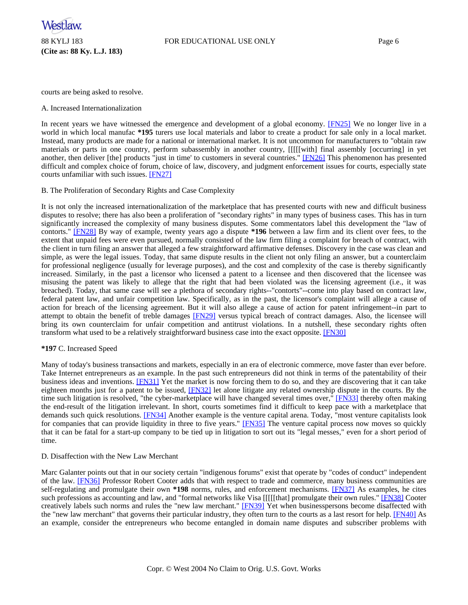

courts are being asked to resolve.

#### A. Increased Internationalization

<span id="page-5-1"></span><span id="page-5-0"></span>In recent years we have witnessed the emergence and development of a global economy. **[FN25]** [We](#page-18-5) no longer live in a world in which local manufac **\*195** turers use local materials and labor to create a product for sale only in a local market. Instead, many products are made for a national or international market. It is not uncommon for manufacturers to "obtain raw materials or parts in one country, perform subassembly in another country, [[[[[with] final assembly [occurring] in yet another, then deliver [the] products "just in time' to customers in several countries." [[FN26\]](#page-18-6) This phenomenon has presented difficult and complex choice of forum, choice of law, discovery, and judgment enforcement issues for courts, especially state courts unfamiliar with such issues. [\[FN27\]](#page-18-7)

#### <span id="page-5-2"></span>B. The Proliferation of Secondary Rights and Case Complexity

<span id="page-5-3"></span>It is not only the increased internationalization of the marketplace that has presented courts with new and difficult business disputes to resolve; there has also been a proliferation of "secondary rights" in many types of business cases. This has in turn significantly increased the complexity of many business disputes. Some commentators label this development the "law of contorts." [\[FN28\]](#page-18-8) By way of example, twenty years ago a dispute **\*196** between a law firm and its client over fees, to the extent that unpaid fees were even pursued, normally consisted of the law firm filing a complaint for breach of contract, with the client in turn filing an answer that alleged a few straightforward affirmative defenses. Discovery in the case was clean and simple, as were the legal issues. Today, that same dispute results in the client not only filing an answer, but a counterclaim for professional negligence (usually for leverage purposes), and the cost and complexity of the case is thereby significantly increased. Similarly, in the past a licensor who licensed a patent to a licensee and then discovered that the licensee was misusing the patent was likely to allege that the right that had been violated was the licensing agreement (i.e., it was breached). Today, that same case will see a plethora of secondary rights--"contorts"--come into play based on contract law, federal patent law, and unfair competition law. Specifically, as in the past, the licensor's complaint will allege a cause of action for breach of the licensing agreement. But it will also allege a cause of action for patent infringement--in part to attempt to obtain the benefit of treble damages [F[N29\]](#page-18-9) versus typical breach of contract damages. Also, the licensee will bring its own counterclaim for unfair competition and antitrust violations. In a nutshell, these secondary rights often transform what used to be a relatively straightforward business case into the exact opposite. [\[FN30\]](#page-19-0)

### <span id="page-5-5"></span><span id="page-5-4"></span>**\*197** C. Increased Speed

<span id="page-5-8"></span><span id="page-5-7"></span><span id="page-5-6"></span>Many of today's business transactions and markets, especially in an era of electronic commerce, move faster than ever before. Take Internet entrepreneurs as an example. In the past such entrepreneurs did not think in terms of the patentability of their business ideas and inventions. [\[FN31\]](#page-19-1) Yet the market is now forcing them to do so, and they are discovering that it can take eighteen months just for a patent to be issued, **[[FN32\]](#page-19-2)** let alone litigate any related ownership dispute in the courts. By the time such litigation is resolved, "the cyber-marketplace will have changed several times over," [[FN33\]](#page-19-3) thereby often making the end-result of the litigation irrelevant. In short, courts sometimes find it difficult to keep pace with a marketplace that demands such quick resolutions. [\[FN34\]](#page-19-4) Another example is the venture capital arena. Today, "most venture capitalists look for companies that can provide liquidity in three to five years." [F[N35\]](#page-19-5) The venture capital process now moves so quickly that it can be fatal for a start-up company to be tied up in litigation to sort out its "legal messes," even for a short period of time.

#### <span id="page-5-10"></span><span id="page-5-9"></span>D. Disaffection with the New Law Merchant

<span id="page-5-15"></span><span id="page-5-14"></span><span id="page-5-13"></span><span id="page-5-12"></span><span id="page-5-11"></span>Marc Galanter points out that in our society certain "indigenous forums" exist that operate by "codes of conduct" independent of the law. [\[FN36\]](#page-19-6) Professor Robert Cooter adds that with respect to trade and commerce, many business communities are self-regulating and promulgate their own **\*198** norms, rules, and enforcement mechanisms. [F[N37\]](#page-19-7) As examples, he cites such professions as accounting and law, and "formal networks like Visa [[[[[that] promulgate their own rules." [\[FN38\]](#page-19-8) Cooter creatively labels such norms and rules the "new law merchant." [[FN39\]](#page-19-9) Yet when businesspersons become disaffected with the "new law merchant" that governs their particular industry, they often turn to the courts as a last resort for help. [\[FN40\]](#page-19-10) As an example, consider the entrepreneurs who become entangled in domain name disputes and subscriber problems with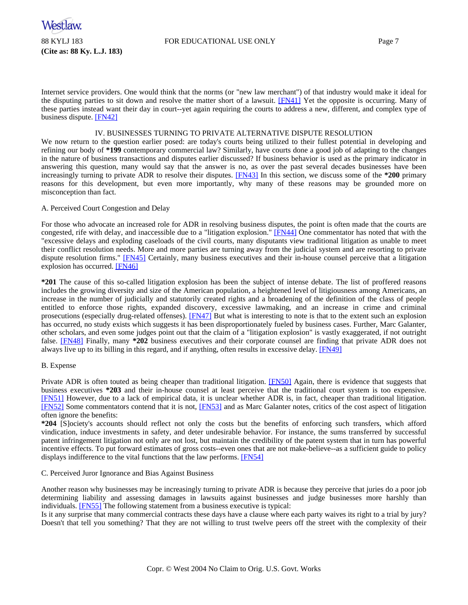

<span id="page-6-1"></span><span id="page-6-0"></span>Internet service providers. One would think that the norms (or "new law merchant") of that industry would make it ideal for the disputing parties to sit down and resolve the matter short of a lawsuit. [F[N41\]](#page-19-11) Yet the opposite is occurring. Many of these parties instead want their day in court--yet again requiring the courts to address a new, different, and complex type of business dispute. [\[FN42\]](#page-20-0)

#### IV. BUSINESSES TURNING TO PRIVATE ALTERNATIVE DISPUTE RESOLUTION

<span id="page-6-2"></span>We now return to the question earlier posed: are today's courts being utilized to their fullest potential in developing and refining our body of **\*199** contemporary commercial law? Similarly, have courts done a good job of adapting to the changes in the nature of business transactions and disputes earlier discussed? If business behavior is used as the primary indicator in answering this question, many would say that the answer is no, as over the past several decades businesses have been increasingly turning to private ADR to resolve their disputes. [[FN43\]](#page-20-1) In this section, we discuss some of the **\*200** primary reasons for this development, but even more importantly, why many of these reasons may be grounded more on misconception than fact.

#### A. Perceived Court Congestion and Delay

<span id="page-6-3"></span>For those who advocate an increased role for ADR in resolving business disputes, the point is often made that the courts are congested, rife with delay, and inaccessible due to a "litigation explosion." [\[FN44\]](#page-20-2) One commentator has noted that with the "excessive delays and exploding caseloads of the civil courts, many disputants view traditional litigation as unable to meet their conflict resolution needs. More and more parties are turning away from the judicial system and are resorting to private dispute resolution firms." [\[FN45\]](#page-20-3) Certainly, many business executives and their in-house counsel perceive that a litigation explosion has occurred. [\[FN46\]](#page-20-4)

<span id="page-6-6"></span><span id="page-6-5"></span><span id="page-6-4"></span>**\*201** The cause of this so-called litigation explosion has been the subject of intense debate. The list of proffered reasons includes the growing diversity and size of the American population, a heightened level of litigiousness among Americans, an increase in the number of judicially and statutorily created rights and a broadening of the definition of the class of people entitled to enforce those rights, expanded discovery, excessive lawmaking, and an increase in crime and criminal prosecutions (especially drug-related offenses). [\[FN47\]](#page-21-0) But what is interesting to note is that to the extent such an explosion has occurred, no study exists which suggests it has been disproportionately fueled by business cases. Further, Marc Galanter, other scholars, and even some judges point out that the claim of a "litigation explosion" is vastly exaggerated, if not outright false. [\[FN48\]](#page-21-1) Finally, many **\*202** business executives and their corporate counsel are finding that private ADR does not always live up to its billing in this regard, and if anything, often results in excessive delay. [\[FN49\]](#page-21-2)

## <span id="page-6-8"></span><span id="page-6-7"></span>B. Expense

<span id="page-6-11"></span><span id="page-6-10"></span><span id="page-6-9"></span>Private ADR is often touted as being cheaper than traditional litigation. [F[N50\]](#page-21-3) Again, there is evidence that suggests that business executives **\*203** and their in-house counsel at least perceive that the traditional court system is too expensive. [\[FN51\]](#page-21-4) However, due to a lack of empirical data, it is unclear whether ADR is, in fact, cheaper than traditional litigation. [\[FN52\]](#page-21-5) Some commentators contend that it is not, [\[FN53\]](#page-22-0) and as Marc Galanter notes, critics of the cost aspect of litigation often ignore the benefits:

<span id="page-6-12"></span>**\*204** [S]ociety's accounts should reflect not only the costs but the benefits of enforcing such transfers, which afford vindication, induce investments in safety, and deter undesirable behavior. For instance, the sums transferred by successful patent infringement litigation not only are not lost, but maintain the credibility of the patent system that in turn has powerful incentive effects. To put forward estimates of gross costs--even ones that are not make-believe--as a sufficient guide to policy displays indifference to the vital functions that the law performs. [\[FN54\]](#page-22-1)

#### <span id="page-6-13"></span>C. Perceived Juror Ignorance and Bias Against Business

Another reason why businesses may be increasingly turning to private ADR is because they perceive that juries do a poor job determining liability and assessing damages in lawsuits against businesses and judge businesses more harshly than individuals. [\[FN55\]](#page-22-2) The following statement from a business executive is typical:

<span id="page-6-14"></span>Is it any surprise that many commercial contracts these days have a clause where each party waives its right to a trial by jury? Doesn't that tell you something? That they are not willing to trust twelve peers off the street with the complexity of their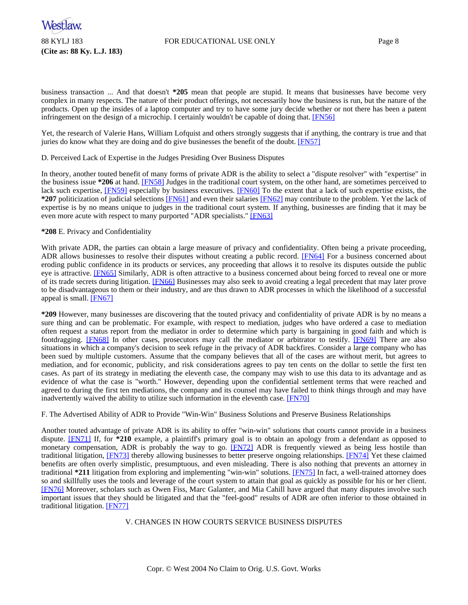business transaction ... And that doesn't **\*205** mean that people are stupid. It means that businesses have become very complex in many respects. The nature of their product offerings, not necessarily how the business is run, but the nature of the products. Open up the insides of a laptop computer and try to have some jury decide whether or not there has been a patent infringement on the design of a microchip. I certainly wouldn't be capable of doing that. [\[FN56\]](#page-22-3)

<span id="page-7-1"></span><span id="page-7-0"></span>Yet, the research of Valerie Hans, William Lofquist and others strongly suggests that if anything, the contrary is true and that juries do know what they are doing and do give businesses the benefit of the doubt. [\[FN57\]](#page-22-4)

## D. Perceived Lack of Expertise in the Judges Presiding Over Business Disputes

<span id="page-7-4"></span><span id="page-7-3"></span><span id="page-7-2"></span>In theory, another touted benefit of many forms of private ADR is the ability to select a "dispute resolver" with "expertise" in the business issue **\*206** at hand. [\[FN58\]](#page-23-0) Judges in the traditional court system, on the other hand, are sometimes perceived to lack such expertise, **[\[FN59\]](#page-23-1)** especially by business executives. **[[FN60\]](#page-23-2)** To the extent that a lack of such expertise exists, the **\*207** politicization of judicial selections [\[FN61\]](#page-23-3) and even their salaries [\[FN62\]](#page-23-4) may contribute to the problem. Yet the lack of expertise is by no means unique to judges in the traditional court system. If anything, businesses are finding that it may be even more acute with respect to many purported "ADR specialists." [\[FN63\]](#page-23-5)

## <span id="page-7-5"></span>**\*208** E. Privacy and Confidentiality

<span id="page-7-8"></span><span id="page-7-7"></span><span id="page-7-6"></span>With private ADR, the parties can obtain a large measure of privacy and confidentiality. Often being a private proceeding, ADR allows businesses to resolve their disputes without creating a public record. [F[N64\]](#page-24-0) For a business concerned about eroding public confidence in its products or services, any proceeding that allows it to resolve its disputes outside the public eye is attractive. **[\[FN65\]](#page-24-1)** Similarly, ADR is often attractive to a business concerned about being forced to reveal one or more of its trade secrets during litigation. [\[FN66\]](#page-24-2) Businesses may also seek to avoid creating a legal precedent that may later prove to be disadvantageous to them or their industry, and are thus drawn to ADR processes in which the likelihood of a successful appeal is small. [\[FN67\]](#page-24-3)

<span id="page-7-10"></span><span id="page-7-9"></span>**\*209** However, many businesses are discovering that the touted privacy and confidentiality of private ADR is by no means a sure thing and can be problematic. For example, with respect to mediation, judges who have ordered a case to mediation often request a status report from the mediator in order to determine which party is bargaining in good faith and which is footdragging. [\[FN68\]](#page-24-4) In other cases, prosecutors may call the mediator or arbitrator to testify. [FN69] [There](#page-24-5) are also situations in which a company's decision to seek refuge in the privacy of ADR backfires. Consider a large company who has been sued by multiple customers. Assume that the company believes that all of the cases are without merit, but agrees to mediation, and for economic, publicity, and risk considerations agrees to pay ten cents on the dollar to settle the first ten cases. As part of its strategy in mediating the eleventh case, the company may wish to use this data to its advantage and as evidence of what the case is "worth." However, depending upon the confidential settlement terms that were reached and agreed to during the first ten mediations, the company and its counsel may have failed to think things through and may have inadvertently waived the ability to utilize such information in the eleventh case. [\[FN70\]](#page-24-6)

<span id="page-7-11"></span>F. The Advertised Ability of ADR to Provide "Win-Win" Business Solutions and Preserve Business Relationships

<span id="page-7-17"></span><span id="page-7-16"></span><span id="page-7-15"></span><span id="page-7-14"></span><span id="page-7-13"></span><span id="page-7-12"></span>Another touted advantage of private ADR is its ability to offer "win-win" solutions that courts cannot provide in a business dispute. [\[FN71\]](#page-24-7) If, for **\*210** example, a plaintiff's primary goal is to obtain an apology from a defendant as opposed to monetary compensation, [AD](#page-25-0)R is probably the way to go. [FN72] ADR is frequently viewed as being less hostile than traditional litigation, [\[FN73\]](#page-25-1) thereby allowing businesses to better preserve ongoing relationships. [[FN74\]](#page-25-2) Yet these claimed benefits are often overly simplistic, presumptuous, and even misleading. There is also nothing that prevents an attorney in traditional **\*211** litigation from exploring and implementing "win-win" solutions. [\[FN75\]](#page-25-3) In fact, a well-trained attorney does so and skillfully uses the tools and leverage of the court system to attain that goal as quickly as possible for his or her client. [\[FN76\]](#page-25-4) Moreover, scholars such as Owen Fiss, Marc Galanter, and Mia Cahill have argued that many disputes involve such important issues that they should be litigated and that the "feel-good" results of ADR are often inferior to those obtained in traditional litigation. [\[FN77\]](#page-25-5)

V. CHANGES IN HOW COURTS SERVICE BUSINESS DISPUTES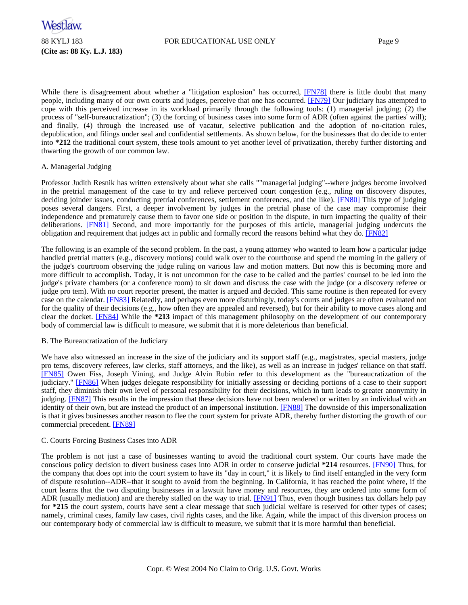<span id="page-8-1"></span><span id="page-8-0"></span>While [ther](#page-25-6)e is disagreement about whether a "litigation explosion" has occurred, [FN78] there is little doubt that many people, including many of our own courts and judges, perceive that one has occurred. [[FN79\]](#page-25-7) Our judiciary has attempted to cope with this perceived increase in its workload primarily through the following tools: (1) managerial judging; (2) the process of "self-bureaucratization"; (3) the forcing of business cases into some form of ADR (often against the parties' will); and finally, (4) through the increased use of vacatur, selective publication and the adoption of no-citation rules, depublication, and filings under seal and confidential settlements. As shown below, for the businesses that do decide to enter into **\*212** the traditional court system, these tools amount to yet another level of privatization, thereby further distorting and thwarting the growth of our common law.

## A. Managerial Judging

<span id="page-8-2"></span>Professor Judith Resnik has written extensively about what she calls ""managerial judging"--where judges become involved in the pretrial management of the case to try and relieve perceived court congestion (e.g., ruling on discovery disputes, deciding joinder issues, conducting pretrial conferences, settlement conferences, and the like). [[FN80\]](#page-25-8) This type of judging poses several dangers. First, a deeper involvement by judges in the pretrial phase of the case may compromise their independence and prematurely cause them to favor one side or position in the dispute, in turn impacting the quality of their deliberations. **[\[FN81\]](#page-25-9)** Second, and more importantly for the purposes of this article, managerial judging undercuts the obligation and requirement that judges act in public and formally record the reasons behind what they do. [\[FN82\]](#page-25-10)

<span id="page-8-4"></span><span id="page-8-3"></span>The following is an example of the second problem. In the past, a young attorney who wanted to learn how a particular judge handled pretrial matters (e.g., discovery motions) could walk over to the courthouse and spend the morning in the gallery of the judge's courtroom observing the judge ruling on various law and motion matters. But now this is becoming more and more difficult to accomplish. Today, it is not uncommon for the case to be called and the parties' counsel to be led into the judge's private chambers (or a conference room) to sit down and discuss the case with the judge (or a discovery referee or judge pro tem). With no court reporter present, the matter is argued and decided. This same routine is then repeated for every case on the calendar. [\[FN83\]](#page-25-11) Relatedly, and perhaps even more disturbingly, today's courts and judges are often evaluated not for the quality of their decisions (e.g., how often they are appealed and reversed), but for their ability to move cases along and clear the docket. [[FN84\]](#page-26-0) While the **\*213** impact of this management philosophy on the development of our contemporary body of commercial law is difficult to measure, we submit that it is more deleterious than beneficial.

### <span id="page-8-6"></span><span id="page-8-5"></span>B. The Bureaucratization of the Judiciary

<span id="page-8-9"></span><span id="page-8-8"></span><span id="page-8-7"></span>We have also witnessed an increase in the size of the judiciary and its support staff (e.g., magistrates, special masters, judge pro tems, discovery referees, law clerks, staff attorneys, and the like), as well as an increase in judges' reliance on that staff. [\[FN85\]](#page-26-1) Owen Fiss, Joseph Vining, and Judge Alvin Rubin refer to this development as the "bureaucratization of the judiciary." [\[FN86\]](#page-26-2) When judges delegate responsibility for initially assessing or deciding portions of a case to their support staff, they diminish their own level of personal responsibility for their decisions, which in turn leads to greater anonymity in judging. [\[FN87\]](#page-26-3) This results in the impression that these decisions have not been rendered or written by an individual with an identity of their own, but are instead the product of an impersonal institution. [\[FN88\]](#page-26-4) The downside of this impersonalization is that it gives businesses another reason to flee the court system for private ADR, thereby further distorting the growth of our commercial precedent. [\[FN89\]](#page-26-5)

## <span id="page-8-11"></span><span id="page-8-10"></span>C. Courts Forcing Business Cases into ADR

<span id="page-8-13"></span><span id="page-8-12"></span>The problem is not just a case of businesses wanting to avoid the traditional court system. Our courts have made the conscious policy decision to divert business cases into ADR in order to conserve judicial **\*214** resources. [F[N90\]](#page-26-6) Thus, for the company that does opt into the court system to have its "day in court," it is likely to find itself entangled in the very form of dispute resolution--ADR--that it sought to avoid from the beginning. In California, it has reached the point where, if the court learns that the two disputing businesses in a lawsuit have money and resources, they are ordered into some form of ADR (usually mediation) and are thereby stalled on the way to trial. [[FN91\]](#page-26-7) Thus, even though business tax dollars help pay for **\*215** the court system, courts have sent a clear message that such judicial welfare is reserved for other types of cases; namely, criminal cases, family law cases, civil rights cases, and the like. Again, while the impact of this diversion process on our contemporary body of commercial law is difficult to measure, we submit that it is more harmful than beneficial.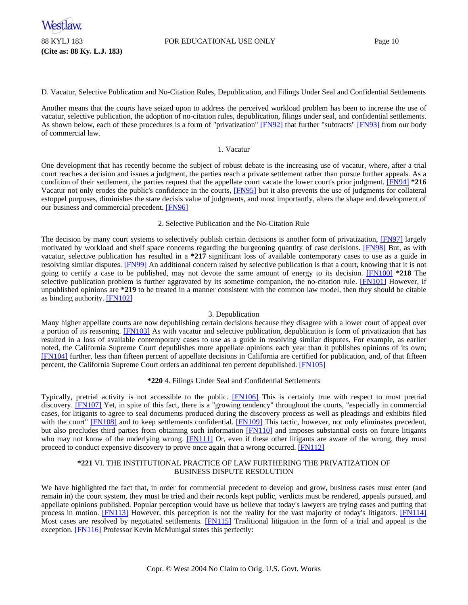

88 KYLJ 183 FOR EDUCATIONAL USE ONLY Page 10

D. Vacatur, Selective Publication and No-Citation Rules, Depublication, and Filings Under Seal and Confidential Settlements

<span id="page-9-0"></span>Another means that the courts have seized upon to address the perceived workload problem has been to increase the use of vacatur, selective publication, the adoption of no-citation rules, depublication, filings under seal, and confidential settlements. As shown below, each of these procedures is a form of "privatization" [[FN92\]](#page-26-8) that further "subtracts" [[FN93\]](#page-27-0) from our body of commercial law.

## 1. Vacatur

<span id="page-9-2"></span><span id="page-9-1"></span>One development that has recently become the subject of robust debate is the increasing use of vacatur, where, after a trial court reaches a decision and issues a judgment, the parties reach a private settlement rather than pursue further appeals. As a condition of their settlement, the parties request that the appellate court vacate the lower court's prior judgment. [\[FN94\]](#page-27-1) **\*216** Vacatur not only erodes the public's confidence in the courts, [[FN95\]](#page-27-2) but it also prevents the use of judgments for collateral estoppel purposes, diminishes the stare decisis value of judgments, and most importantly, alters the shape and development of our business and commercial precedent. [\[FN96\]](#page-27-3)

#### 2. Selective Publication and the No-Citation Rule

<span id="page-9-8"></span><span id="page-9-7"></span><span id="page-9-6"></span><span id="page-9-5"></span><span id="page-9-4"></span><span id="page-9-3"></span>The decision by many court systems to selectively publish certain decisions is another form of privatization, [[FN97\]](#page-27-4) largely motivated by workload and shelf space concerns regarding the burgeoning quantity of case decisions. [F[N98\]](#page-27-5) But, as with vacatur, selective publication has resulted in a **\*217** significant loss of available contemporary cases to use as a guide in resolving similar disputes. [\[FN99\]](#page-27-6) An additional concern raised by selective publication is that a court, knowing that it is not going to certify a case to be published, may not devote the same amount of energy to its decision. [FN100] **[\\*218](#page-28-0)** The selective publication problem is further aggravated by its sometime companion, the no-citation rule. [F[N101\]](#page-28-1) However, if unpublished opinions are **\*219** to be treated in a manner consistent with the common law model, then they should be citable as binding authority. [\[FN102\]](#page-28-2)

#### 3. Depublication

<span id="page-9-11"></span><span id="page-9-10"></span><span id="page-9-9"></span>Many higher appellate courts are now depublishing certain decisions because they disagree with a lower court of appeal over a portion of its reasoning. [\[FN103\]](#page-28-3) As with vacatur and selective publication, depublication is form of privatization that has resulted in a loss of available contemporary cases to use as a guide in resolving similar disputes. For example, as earlier noted, the California Supreme Court depublishes more appellate opinions each year than it publishes opinions of its own; [\[FN104\]](#page-28-4) further, less than fifteen percent of appellate decisions in California are certified for publication, and, of that fifteen percent, the California Supreme Court orders an additional ten percent depublished. [\[FN105\]](#page-28-5)

#### **\*220** 4. Filings Under Seal and Confidential Settlements

<span id="page-9-17"></span><span id="page-9-16"></span><span id="page-9-15"></span><span id="page-9-14"></span><span id="page-9-13"></span><span id="page-9-12"></span>Typically, pretrial activity is not accessible to the public. [FN106] [This](#page-29-0) is certainly true with respect to most pretrial discovery. [\[FN107\]](#page-29-1) Yet, in spite of this fact, there is a "growing tendency" throughout the courts, "especially in commercial cases, for litigants to agree to seal documents produced during the discovery process as well as pleadings and exhibits filed with the court" [\[FN108\]](#page-29-2) and to keep settlements confidential. [[FN109\]](#page-29-3) This tactic, however, not only eliminates precedent, but also precludes third parties from obtaining such information [F[N110\]](#page-29-4) and imposes substantial costs on future litigants who may not know of the underlying wrong. [[FN111\]](#page-29-5) Or, even if these other litigants are aware of the wrong, they must proceed to conduct expensive discovery to prove once again that a wrong occurred. [\[FN112\]](#page-29-6)

## <span id="page-9-18"></span>**\*221** VI. THE INSTITUTIONAL PRACTICE OF LAW FURTHERING THE PRIVATIZATION OF BUSINESS DISPUTE RESOLUTION

<span id="page-9-21"></span><span id="page-9-20"></span><span id="page-9-19"></span>We have highlighted the fact that, in order for commercial precedent to develop and grow, business cases must enter (and remain in) the court system, they must be tried and their records kept public, verdicts must be rendered, appeals pursued, and appellate opinions published. Popular perception would have us believe that today's lawyers are trying cases and putting that process in motion. [[FN113\]](#page-29-7) However, this perception is not the reality for the vast majority of today's litigators. [FN[114\]](#page-29-8) Most cases are resolved by negotiated settlements. [F[N115\]](#page-29-9) Traditional litigation in the form of a trial and appeal is the exception. **[\[FN116\]](#page-29-10)** Professor Kevin McMunigal states this perfectly: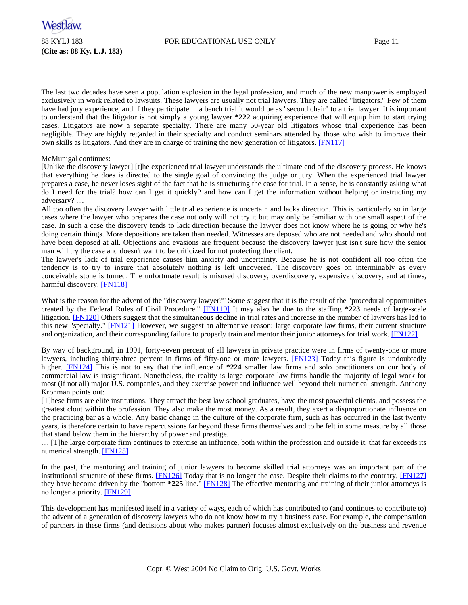The last two decades have seen a population explosion in the legal profession, and much of the new manpower is employed exclusively in work related to lawsuits. These lawyers are usually not trial lawyers. They are called "litigators." Few of them have had jury experience, and if they participate in a bench trial it would be as "second chair" to a trial lawyer. It is important to understand that the litigator is not simply a young lawyer **\*222** acquiring experience that will equip him to start trying cases. Litigators are now a separate specialty. There are many 50-year old litigators whose trial experience has been negligible. They are highly regarded in their specialty and conduct seminars attended by those who wish to improve their own skills as litigators. And they are in charge of training the new generation of litigators. [\[FN117\]](#page-29-11)

## <span id="page-10-0"></span>McMunigal continues:

[Unlike the discovery lawyer] [t]he experienced trial lawyer understands the ultimate end of the discovery process. He knows that everything he does is directed to the single goal of convincing the judge or jury. When the experienced trial lawyer prepares a case, he never loses sight of the fact that he is structuring the case for trial. In a sense, he is constantly asking what do I need for the trial? how can I get it quickly? and how can I get the information without helping or instructing my adversary? ....

All too often the discovery lawyer with little trial experience is uncertain and lacks direction. This is particularly so in large cases where the lawyer who prepares the case not only will not try it but may only be familiar with one small aspect of the case. In such a case the discovery tends to lack direction because the lawyer does not know where he is going or why he's doing certain things. More depositions are taken than needed. Witnesses are deposed who are not needed and who should not have been deposed at all. Objections and evasions are frequent because the discovery lawyer just isn't sure how the senior man will try the case and doesn't want to be criticized for not protecting the client.

The lawyer's lack of trial experience causes him anxiety and uncertainty. Because he is not confident all too often the tendency is to try to insure that absolutely nothing is left uncovered. The discovery goes on interminably as every conceivable stone is turned. The unfortunate result is misused discovery, overdiscovery, expensive discovery, and at times, harmful discovery. [\[FN118\]](#page-29-12)

<span id="page-10-4"></span><span id="page-10-3"></span><span id="page-10-2"></span><span id="page-10-1"></span>What is the reason for the advent of the "discovery lawyer?" Some suggest that it is the result of the "procedural opportunities created by the Federal Rules of Civil Procedure." [F[N119\]](#page-29-13) It may also be due to the staffing **\*223** needs of large-scale litigation. [\[FN120\]](#page-30-0) Others suggest that the simultaneous decline in trial rates and increase in the number of lawyers has led to this new "specialty." [\[FN121\]](#page-30-1) However, we suggest an alternative reason: large corporate law firms, their current structure and organization, and their corresponding failure to properly train and mentor their junior attorneys for trial work. [\[FN122\]](#page-30-2)

<span id="page-10-7"></span><span id="page-10-6"></span><span id="page-10-5"></span>By way of background, in 1991, forty-seven percent of all lawyers in private practice were in firms of twenty-one or more lawyers, including thirty-three percent in firms of fifty-one or more lawyers. [FN123] [Tod](#page-30-3)ay this figure is undoubtedly higher. [\[FN124\]](#page-30-4) This is not to say that the influence of **\*224** smaller law firms and solo practitioners on our body of commercial law is insignificant. Nonetheless, the reality is large corporate law firms handle the majority of legal work for most (if not all) major U.S. companies, and they exercise power and influence well beyond their numerical strength. Anthony Kronman points out:

[T]hese firms are elite institutions. They attract the best law school graduates, have the most powerful clients, and possess the greatest clout within the profession. They also make the most money. As a result, they exert a disproportionate influence on the practicing bar as a whole. Any basic change in the culture of the corporate firm, such as has occurred in the last twenty years, is therefore certain to have repercussions far beyond these firms themselves and to be felt in some measure by all those that stand below them in the hierarchy of power and prestige.

<span id="page-10-8"></span>.... [T]he large corporate firm continues to exercise an influence, both within the profession and outside it, that far exceeds its numerical strength. **FN125**]

<span id="page-10-10"></span><span id="page-10-9"></span>In the past, the mentoring and training of junior lawyers to become skilled trial attorneys was an important part of the institutional structure of these firms. [\[FN126\]](#page-30-6) Today that is no longer the case. Despite their claims to the contrary, [[FN127\]](#page-30-7) they have become driven by the "bottom **\*225** line." [\[FN128\]](#page-30-8) The effective mentoring and training of their junior attorneys is no longer a priority. [\[FN129\]](#page-31-0)

<span id="page-10-11"></span>This development has manifested itself in a variety of ways, each of which has contributed to (and continues to contribute to) the advent of a generation of discovery lawyers who do not know how to try a business case. For example, the compensation of partners in these firms (and decisions about who makes partner) focuses almost exclusively on the business and revenue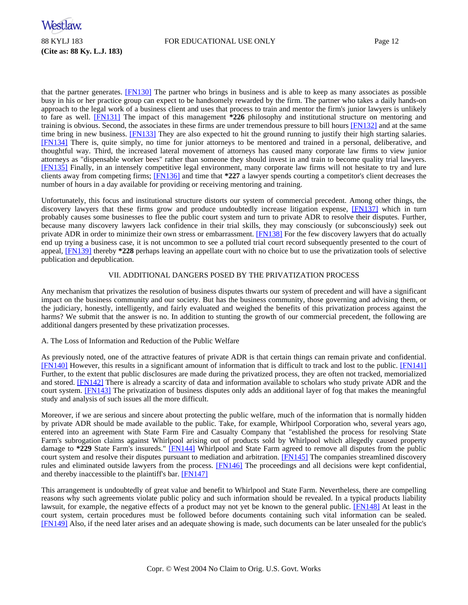

<span id="page-11-3"></span><span id="page-11-2"></span><span id="page-11-1"></span><span id="page-11-0"></span>that the partner generates. [[FN130\]](#page-31-1) The partner who brings in business and is able to keep as many associates as possible busy in his or her practice group can expect to be handsomely rewarded by the firm. The partner who takes a daily hands-on approach to the legal work of a business client and uses that process to train and mentor the firm's junior lawyers is unlikely to fare as well. [[FN131\]](#page-31-2) The impact of this management **\*226** philosophy and institutional structure on mentoring and training is obvious. Second, the associates in these firms are under tremendous pressure to bill hours [\[FN132\]](#page-31-3) and at the same time bring in new business. **[[FN133\]](#page-31-4)** They are also expected to hit the ground running to justify their high starting salaries. [\[FN134\]](#page-31-5) There is, quite simply, no time for junior attorneys to be mentored and trained in a personal, deliberative, and thoughtful way. Third, the increased lateral movement of attorneys has caused many corporate law firms to view junior attorneys as "dispensable worker bees" rather than someone they should invest in and train to become quality trial lawyers. [\[FN135\]](#page-31-6) Finally, in an intensely competitive legal environment, many corporate law firms will not hesitate to try and lure clients away from competing firms; [\[FN136\]](#page-31-7) and time that **\*227** a lawyer spends courting a competitor's client decreases the number of hours in a day available for providing or receiving mentoring and training.

<span id="page-11-7"></span><span id="page-11-6"></span><span id="page-11-5"></span><span id="page-11-4"></span>Unfortunately, this focus and institutional structure distorts our system of commercial precedent. Among other things, the discovery lawyers that these firms grow and produce undoubtedly increase litigation expense, [FN137] [which](#page-31-8) in turn probably causes some businesses to flee the public court system and turn to private ADR to resolve their disputes. Further, because many discovery lawyers lack confidence in their trial skills, they may consciously (or subconsciously) seek out private ADR in order to minimize their own stress or embarrassment. **[\[FN138\]](#page-31-9)** For the few discovery lawyers that do actually end up trying a business case, it is not uncommon to see a polluted trial court record subsequently presented to the court of appeal, [\[FN139\]](#page-32-0) thereby **\*228** perhaps leaving an appellate court with no choice but to use the privatization tools of selective publication and depublication.

## VII. ADDITIONAL DANGERS POSED BY THE PRIVATIZATION PROCESS

<span id="page-11-8"></span>Any mechanism that privatizes the resolution of business disputes thwarts our system of precedent and will have a significant impact on the business community and our society. But has the business community, those governing and advising them, or the judiciary, honestly, intelligently, and fairly evaluated and weighed the benefits of this privatization process against the harms? We submit that the answer is no. In addition to stunting the growth of our commercial precedent, the following are additional dangers presented by these privatization processes.

A. The Loss of Information and Reduction of the Public Welfare

<span id="page-11-11"></span><span id="page-11-10"></span><span id="page-11-9"></span>As previously noted, one of the attractive features of private ADR is that certain things can remain private and confidential. [\[FN140\]](#page-32-1) However, this results in a significant amount of information that is difficult to track and lost to the public. [[FN141\]](#page-32-2) Further, to the extent that public disclosures are made during the privatized process, they are often not tracked, memorialized and stored. [\[FN142\]](#page-32-3) There is already a scarcity of data and information available to scholars who study private ADR and the court system. [\[FN143\]](#page-32-4) The privatization of business disputes only adds an additional layer of fog that makes the meaningful study and analysis of such issues all the more difficult.

<span id="page-11-13"></span><span id="page-11-12"></span>Moreover, if we are serious and sincere about protecting the public welfare, much of the information that is normally hidden by private ADR should be made available to the public. Take, for example, Whirlpool Corporation who, several years ago, entered into an agreement with State Farm Fire and Casualty Company that "established the process for resolving State Farm's subrogation claims against Whirlpool arising out of products sold by Whirlpool which allegedly caused property damage to **\*229** State Farm's insureds." [[FN144\]](#page-32-5) Whirlpool and State Farm agreed to remove all disputes from the public court system and resolve their disputes pursuant to mediation and arbitration. [[FN145\]](#page-32-6) The companies streamlined discovery rules and eliminated outside lawyers from the process. [[FN146\]](#page-32-7) The proceedings and all decisions were kept confidential, and thereby inaccessible to the plaintiff's bar. [\[FN147\]](#page-32-8)

<span id="page-11-18"></span><span id="page-11-17"></span><span id="page-11-16"></span><span id="page-11-15"></span><span id="page-11-14"></span>This arrangement is undoubtedly of great value and benefit to Whirlpool and State Farm. Nevertheless, there are compelling reasons why such agreements violate public policy and such information should be revealed. In a typical products liability lawsuit, for example, the negative effects of a product may not yet be known to the general public. **[F[N148\]](#page-32-9)** At least in the court system, certain procedures must be followed before documents containing such vital information can be sealed. [\[FN149\]](#page-32-10) Also, if the need later arises and an adequate showing is made, such documents can be later unsealed for the public's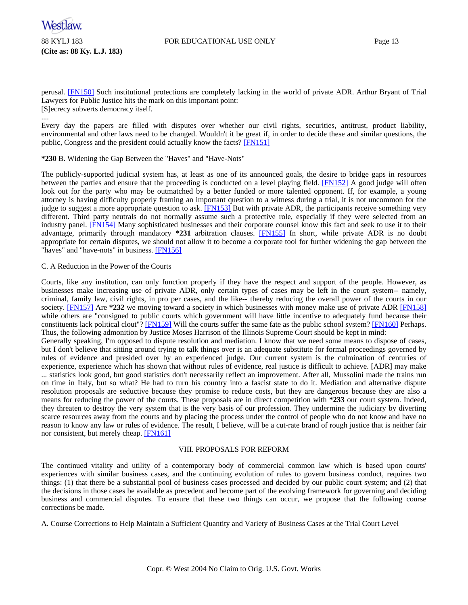....

<span id="page-12-0"></span>perusal. [\[FN150\]](#page-32-11) Such institutional protections are completely lacking in the world of private ADR. Arthur Bryant of Trial Lawyers for Public Justice hits the mark on this important point: [S]ecrecy subverts democracy itself.

<span id="page-12-1"></span>Every day the papers are filled with disputes over whether our civil rights, securities, antitrust, product liability, environmental and other laws need to be changed. Wouldn't it be great if, in order to decide these and similar questions, the public, Congress and the president could actually know the facts? [\[FN151\]](#page-32-12)

#### **\*230** B. Widening the Gap Between the "Haves" and "Have-Nots"

<span id="page-12-3"></span><span id="page-12-2"></span>The publicly-supported judicial system has, at least as one of its announced goals, the desire to bridge gaps in resources between the parties and ensure that the proceeding is conducted on a level playing field. [F[N152\]](#page-32-13) A good judge will often look out for the party who may be outmatched by a better funded or more talented opponent. If, for example, a young attorney is having difficulty properly framing an important question to a witness during a trial, it is not uncommon for the judge to suggest a more appropriate question to ask. [\[FN153\]](#page-32-14) But with private ADR, the participants receive something very different. Third party neutrals do not normally assume such a protective role, especially if they were selected from an industry panel. [\[FN154\]](#page-32-15) Many sophisticated businesses and their corporate counsel know this fact and seek to use it to their advantage, primarily through mandatory **\*231** arbitration clauses. [FN155] [In s](#page-33-0)hort, while private ADR is no doubt appropriate for certain disputes, we should not allow it to become a corporate tool for further widening the gap between the "haves" and "have-nots" in business. [\[FN156\]](#page-33-1)

#### <span id="page-12-6"></span><span id="page-12-5"></span><span id="page-12-4"></span>C. A Reduction in the Power of the Courts

<span id="page-12-8"></span><span id="page-12-7"></span>Courts, like any institution, can only function properly if they have the respect and support of the people. However, as businesses make increasing use of private ADR, only certain types of cases may be left in the court system-- namely, criminal, family law, civil rights, in pro per cases, and the like-- thereby reducing the overall power of the courts in our society. **[\[FN157\]](#page-33-2)** Are \*232 we moving toward a society in which businesses with money make use of private ADR [[FN158\]](#page-33-3) while others are "consigned to public courts which government will have little incentive to adequately fund because their constituents lack political clout"? [\[FN159\]](#page-33-4) Will the courts suffer the same fate as the public school system? [\[FN160\]](#page-33-5) Perhaps. Thus, the following admonition by Justice Moses Harrison of the Illinois Supreme Court should be kept in mind: Generally speaking, I'm opposed to dispute resolution and mediation. I know that we need some means to dispose of cases, but I don't believe that sitting around trying to talk things over is an adequate substitute for formal proceedings governed by rules of evidence and presided over by an experienced judge. Our current system is the culmination of centuries of experience, experience which has shown that without rules of evidence, real justice is difficult to achieve. [ADR] may make ... statistics look good, but good statistics don't necessarily reflect an improvement. After all, Mussolini made the trains run

on time in Italy, but so what? He had to turn his country into a fascist state to do it. Mediation and alternative dispute resolution proposals are seductive because they promise to reduce costs, but they are dangerous because they are also a means for reducing the power of the courts. These proposals are in direct competition with **\*233** our court system. Indeed, they threaten to destroy the very system that is the very basis of our profession. They undermine the judiciary by diverting scarce resources away from the courts and by placing the process under the control of people who do not know and have no reason to know any law or rules of evidence. The result, I believe, will be a cut-rate brand of rough justice that is neither fair nor consistent, but merely cheap. [\[FN161\]](#page-33-6)

#### VIII. PROPOSALS FOR REFORM

<span id="page-12-9"></span>The continued vitality and utility of a contemporary body of commercial common law which is based upon courts' experiences with similar business cases, and the continuing evolution of rules to govern business conduct, requires two things: (1) that there be a substantial pool of business cases processed and decided by our public court system; and (2) that the decisions in those cases be available as precedent and become part of the evolving framework for governing and deciding business and commercial disputes. To ensure that these two things can occur, we propose that the following course corrections be made.

A. Course Corrections to Help Maintain a Sufficient Quantity and Variety of Business Cases at the Trial Court Level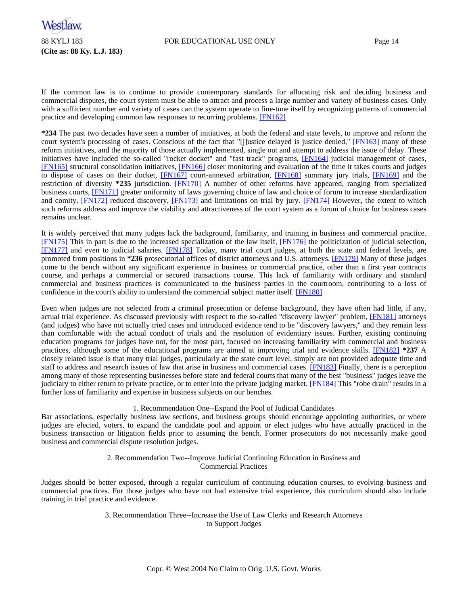If the common law is to continue to provide contemporary standards for allocating risk and deciding business and commercial disputes, the court system must be able to attract and process a large number and variety of business cases. Only with a sufficient number and variety of cases can the system operate to fine-tune itself by recognizing patterns of commercial practice and developing common law responses to recurring problems. [\[FN162\]](#page-34-0)

<span id="page-13-5"></span><span id="page-13-4"></span><span id="page-13-3"></span><span id="page-13-2"></span><span id="page-13-1"></span><span id="page-13-0"></span>**\*234** The past two decades have seen a number of initiatives, at both the federal and state levels, to improve and reform the court system's processing of cases. Conscious of the fact that "[j]ustice delayed is justice denied," [F[N163\]](#page-34-1) many of these reform initiatives, and the majority of those actually implemented, single out and attempt to address the issue of delay. These initiatives have included the so-called "rocket docket" and "fast track" programs, [F[N164\]](#page-34-2) judicial management of cases, [\[FN165\]](#page-34-3) structural consolidation initiatives, [\[FN166\]](#page-34-4) closer monitoring and evaluation of the time it takes courts and judges to dispose of cases on their docket, [F[N167\]](#page-34-5) court-annexed arbitration, [FN168] [sum](#page-34-6)mary jury trials, [FN169] [and th](#page-34-7)e restriction of diversity **\*235** jurisdiction. [F[N170\]](#page-34-8) A number of other reforms have appeared, ranging from specialized business courts, **[\[FN171\]](#page-34-9)** greater uniformity of laws governing choice of law and choice of forum to increase standardization and comity, [\[FN172\]](#page-34-10) reduced discovery, [[FN173\]](#page-35-0) and limitations on trial by jury. [F[N174\]](#page-35-1) However, the extent to which such reforms address and improve the viability and attractiveness of the court system as a forum of choice for business cases remains unclear.

<span id="page-13-11"></span><span id="page-13-10"></span><span id="page-13-9"></span><span id="page-13-8"></span><span id="page-13-7"></span><span id="page-13-6"></span>It is widely perceived that many judges lack the background, familiarity, and training in business and commercial practice. [\[FN175\]](#page-35-2) This in part is due to the increased specialization of the law itself, [F[N176\]](#page-35-3) the politicization of judicial selection, [\[FN177\]](#page-35-4) and even to judicial salaries. [F[N178\]](#page-35-5) Today, many trial court judges, at both the state and federal levels, are promoted from positions in **\*236** prosecutorial offices of district attorneys and U.S. attorneys. [\[FN179\]](#page-35-6) Many of these judges come to the bench without any significant experience in business or commercial practice, other than a first year contracts course, and perhaps a commercial or secured transactions course. This lack of familiarity with ordinary and standard commercial and business practices is communicated to the business parties in the courtroom, contributing to a loss of confidence in the court's ability to understand the commercial subject matter itself. [\[FN180\]](#page-35-7)

<span id="page-13-14"></span><span id="page-13-13"></span><span id="page-13-12"></span>Even when judges are not selected from a criminal prosecution or defense background, they have often had little, if any, actual trial experience. As discussed previously with respect to the so-called "discovery lawyer" problem, [[FN181\]](#page-35-8) attorneys (and judges) who have not actually tried cases and introduced evidence tend to be "discovery lawyers," and they remain less than comfortable with the actual conduct of trials and the resolution of evidentiary issues. Further, existing continuing education programs for judges have not, for the most part, focused on increasing familiarity with commercial and business practices, although some of the educational programs are aimed at improving trial and evidence skills. [FN182] **[\\*237](#page-35-9)** A closely related issue is that many trial judges, particularly at the state court level, simply are not provided adequate time and staff to address and research issues of law that arise in business and commercial cases. [\[FN183\]](#page-35-10) Finally, there is a perception among many of those representing businesses before state and federal courts that many of the best "business" judges leave the judiciary to either return to private practice, or to enter into the private judging market. [\[FN184\]](#page-35-11) This "robe drain" results in a further loss of familiarity and expertise in business subjects on our benches.

## 1. Recommendation One--Expand the Pool of Judicial Candidates

<span id="page-13-16"></span><span id="page-13-15"></span>Bar associations, especially business law sections, and business groups should encourage appointing authorities, or where judges are elected, voters, to expand the candidate pool and appoint or elect judges who have actually practiced in the business transaction or litigation fields prior to assuming the bench. Former prosecutors do not necessarily make good business and commercial dispute resolution judges.

## 2. Recommendation Two--Improve Judicial Continuing Education in Business and Commercial Practices

Judges should be better exposed, through a regular curriculum of continuing education courses, to evolving business and commercial practices. For those judges who have not had extensive trial experience, this curriculum should also include training in trial practice and evidence.

> 3. Recommendation Three--Increase the Use of Law Clerks and Research Attorneys to Support Judges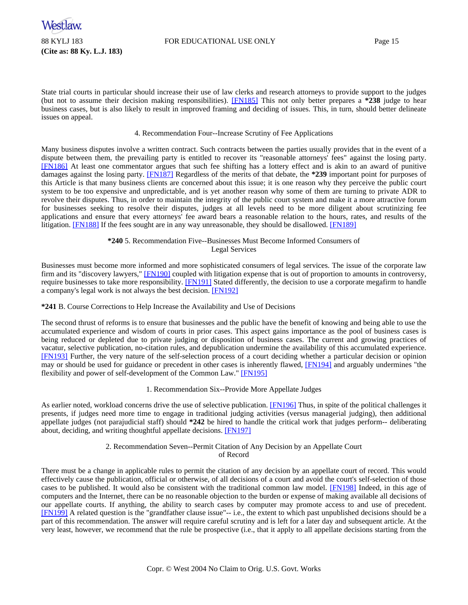

<span id="page-14-0"></span>State trial courts in particular should increase their use of law clerks and research attorneys to provide support to the judges (but not to assume their decision making responsibilities). [F[N185\]](#page-35-12) This not only better prepares a **\*238** judge to hear business cases, but is also likely to result in improved framing and deciding of issues. This, in turn, should better delineate issues on appeal.

### 4. Recommendation Four--Increase Scrutiny of Fee Applications

<span id="page-14-2"></span><span id="page-14-1"></span>Many business disputes involve a written contract. Such contracts between the parties usually provides that in the event of a dispute between them, the prevailing party is entitled to recover its "reasonable attorneys' fees" against the losing party. [\[FN186\]](#page-35-13) At least one commentator argues that such fee shifting has a lottery effect and is akin to an award of punitive damages against the losing party. [\[FN187\]](#page-36-0) Regardless of the merits of that debate, the **\*239** important point for purposes of this Article is that many business clients are concerned about this issue; it is one reason why they perceive the public court system to be too expensive and unpredictable, and is yet another reason why some of them are turning to private ADR to revolve their disputes. Thus, in order to maintain the integrity of the public court system and make it a more attractive forum for businesses seeking to resolve their disputes, judges at all levels need to be more diligent about scrutinizing fee applications and ensure that every attorneys' fee award bears a reasonable relation to the hours, rates, and results of the litigation. [\[FN188\]](#page-36-1) If the fees sought are in any way unreasonable, they should be disallowed. [\[FN189\]](#page-36-2)

## **\*240** 5. Recommendation Five--Businesses Must Become Informed Consumers of Legal Services

<span id="page-14-5"></span><span id="page-14-4"></span><span id="page-14-3"></span>Businesses must become more informed and more sophisticated consumers of legal services. The issue of the corporate law firm and its "discovery lawyers," [\[FN190\]](#page-36-3) coupled with litigation expense that is out of proportion to amounts in controversy, require businesses to take more responsibility. [\[FN191\]](#page-36-4) Stated differently, the decision to use a corporate megafirm to handle a company's legal work is not always the best decision. [\[FN192\]](#page-37-0)

## <span id="page-14-6"></span>**\*241** B. Course Corrections to Help Increase the Availability and Use of Decisions

<span id="page-14-8"></span><span id="page-14-7"></span>The second thrust of reforms is to ensure that businesses and the public have the benefit of knowing and being able to use the accumulated experience and wisdom of courts in prior cases. This aspect gains importance as the pool of business cases is being reduced or depleted due to private judging or disposition of business cases. The current and growing practices of vacatur, selective publication, no-citation rules, and depublication undermine the availability of this accumulated experience. [\[FN193\]](#page-37-1) Further, the very nature of the self-selection process of a court deciding whether a particular decision or opinion may or should be used for guidance or precedent in other cases is inherently flawed, [[FN194\]](#page-37-2) and arguably undermines "the flexibility and power of self-development of the Common Law." [\[FN195\]](#page-37-3)

## 1. Recommendation Six--Provide More Appellate Judges

<span id="page-14-11"></span><span id="page-14-10"></span><span id="page-14-9"></span>As earlier noted, workload concerns drive the use of selective publication. [\[FN196\]](#page-37-4) Thus, in spite of the political challenges it presents, if judges need more time to engage in traditional judging activities (versus managerial judging), then additional appellate judges (not parajudicial staff) should **\*242** be hired to handle the critical work that judges perform-- deliberating about, deciding, and writing thoughtful appellate decisions. [\[FN197\]](#page-37-5)

# 2. Recommendation Seven--Permit Citation of Any Decision by an Appellate Court of Record

<span id="page-14-13"></span><span id="page-14-12"></span>There must be a change in applicable rules to permit the citation of any decision by an appellate court of record. This would effectively cause the publication, official or otherwise, of all decisions of a court and avoid the court's self-selection of those cases to be published. It would also be consistent with the traditional common law model. [F[N198\]](#page-37-6) Indeed, in this age of computers and the Internet, there can be no reasonable objection to the burden or expense of making available all decisions of our appellate courts. If anything, the ability to search cases by computer may promote access to and use of precedent. [\[FN199\]](#page-37-7) A related question is the "grandfather clause issue"-- i.e., the extent to which past unpublished decisions should be a part of this recommendation. The answer will require careful scrutiny and is left for a later day and subsequent article. At the very least, however, we recommend that the rule be prospective (i.e., that it apply to all appellate decisions starting from the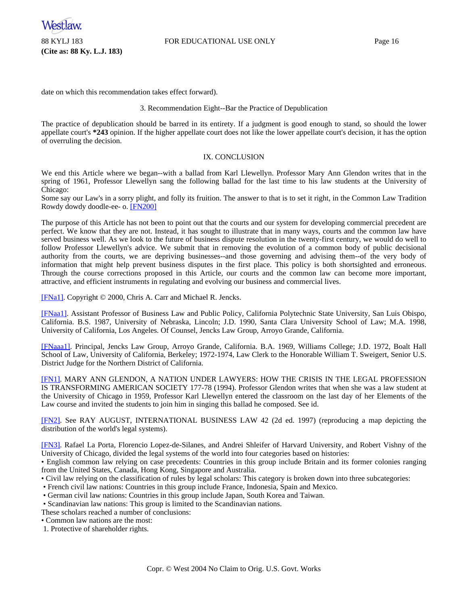88 KYLJ 183 FOR EDUCATIONAL USE ONLY Page 16

date on which this recommendation takes effect forward).

### 3. Recommendation Eight--Bar the Practice of Depublication

The practice of depublication should be barred in its entirety. If a judgment is good enough to stand, so should the lower appellate court's **\*243** opinion. If the higher appellate court does not like the lower appellate court's decision, it has the option of overruling the decision.

## IX. CONCLUSION

We end this Article where we began--with a ballad from Karl Llewellyn. Professor Mary Ann Glendon writes that in the spring of 1961, Professor Llewellyn sang the following ballad for the last time to his law students at the University of Chicago:

<span id="page-15-6"></span>Some say our Law's in a sorry plight, and folly its fruition. The answer to that is to set it right, in the Common Law Tradition Rowdy dowdy doodle-ee- o. [\[FN200\]](#page-37-8)

The purpose of this Article has not been to point out that the courts and our system for developing commercial precedent are perfect. We know that they are not. Instead, it has sought to illustrate that in many ways, courts and the common law have served business well. As we look to the future of business dispute resolution in the twenty-first century, we would do well to follow Professor Llewellyn's advice. We submit that in removing the evolution of a common body of public decisional authority from the courts, we are depriving businesses--and those governing and advising them--of the very body of information that might help prevent business disputes in the first place. This policy is both shortsighted and erroneous. Through the course corrections proposed in this Article, our courts and the common law can become more important, attractive, and efficient instruments in regulating and evolving our business and commercial lives.

<span id="page-15-0"></span>[\[FNa1\].](#page-0-0) Copyright © 2000, Chris A. Carr and Michael R. Jencks.

<span id="page-15-1"></span>[\[FNaa1\]](#page-0-1). Assistant Professor of Business Law and Public Policy, California Polytechnic State University, San Luis Obispo, California. B.S. 1987, University of Nebraska, Lincoln; J.D. 1990, Santa Clara University School of Law; M.A. 1998, University of California, Los Angeles. Of Counsel, Jencks Law Group, Arroyo Grande, California.

<span id="page-15-2"></span>[\[FNaaa1\].](#page-0-2) Principal, Jencks Law Group, Arroyo Grande, California. B.A. 1969, Williams College; J.D. 1972, Boalt Hall School of Law, University of California, Berkeley; 1972-1974, Law Clerk to the Honorable William T. Sweigert, Senior U.S. District Judge for the Northern District of California.

<span id="page-15-3"></span>[\[FN1\]](#page-2-0). MARY ANN GLENDON, A NATION UNDER LAWYERS: HOW THE CRISIS IN THE LEGAL PROFESSION IS TRANSFORMING AMERICAN SOCIETY 177-78 (1994). Professor Glendon writes that when she was a law student at the University of Chicago in 1959, Professor Karl Llewellyn entered the classroom on the last day of her Elements of the Law course and invited the students to join him in singing this ballad he composed. See id.

<span id="page-15-4"></span>[\[FN2\]](#page-2-1). See RAY AUGUST, INTERNATIONAL BUSINESS LAW 42 (2d ed. 1997) (reproducing a map depicting the distribution of the world's legal systems).

<span id="page-15-5"></span>[\[FN3\]](#page-2-2). Rafael La Porta, Florencio Lopez-de-Silanes, and Andrei Shleifer of Harvard University, and Robert Vishny of the University of Chicago, divided the legal systems of the world into four categories based on histories:

• English common law relying on case precedents: Countries in this group include Britain and its former colonies ranging from the United States, Canada, Hong Kong, Singapore and Australia.

- Civil law relying on the classification of rules by legal scholars: This category is broken down into three subcategories:
- French civil law nations: Countries in this group include France, Indonesia, Spain and Mexico.
- German civil law nations: Countries in this group include Japan, South Korea and Taiwan.
- Scandinavian law nations: This group is limited to the Scandinavian nations.
- These scholars reached a number of conclusions:
- Common law nations are the most:
- 1. Protective of shareholder rights.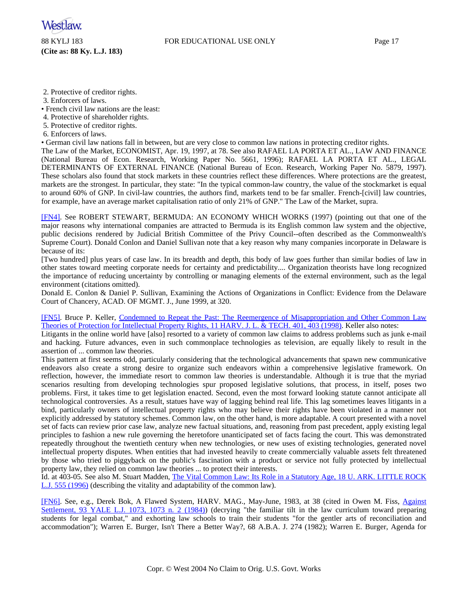

- 2. Protective of creditor rights.
- 3. Enforcers of laws.
- French civil law nations are the least:
- 4. Protective of shareholder rights.
- 5. Protective of creditor rights.
- 6. Enforcers of laws.

• German civil law nations fall in between, but are very close to common law nations in protecting creditor rights.

The Law of the Market, ECONOMIST, Apr. 19, 1997, at 78. See also RAFAEL LA PORTA ET AL., LAW AND FINANCE (National Bureau of Econ. Research, Working Paper No. 5661, 1996); RAFAEL LA PORTA ET AL., LEGAL DETERMINANTS OF EXTERNAL FINANCE (National Bureau of Econ. Research, Working Paper No. 5879, 1997). These scholars also found that stock markets in these countries reflect these differences. Where protections are the greatest, markets are the strongest. In particular, they state: "In the typical common-law country, the value of the stockmarket is equal to around 60% of GNP. In civil-law countries, the authors find, markets tend to be far smaller. French-[civil] law countries, for example, have an average market capitalisation ratio of only 21% of GNP." The Law of the Market, supra.

<span id="page-16-0"></span>[\[FN4\]](#page-2-3). See ROBERT STEWART, BERMUDA: AN ECONOMY WHICH WORKS (1997) (pointing out that one of the major reasons why international companies are attracted to Bermuda is its English common law system and the objective, public decisions rendered by Judicial British Committee of the Privy Council--often described as the Commonwealth's Supreme Court). Donald Conlon and Daniel Sullivan note that a key reason why many companies incorporate in Delaware is because of its:

[Two hundred] plus years of case law. In its breadth and depth, this body of law goes further than similar bodies of law in other states toward meeting corporate needs for certainty and predictability.... Organization theorists have long recognized the importance of reducing uncertainty by controlling or managing elements of the external environment, such as the legal environment (citations omitted).

Donald E. Conlon & Daniel P. Sullivan, Examining the Actions of Organizations in Conflict: Evidence from the Delaware Court of Chancery, ACAD. OF MGMT. J., June 1999, at 320.

<span id="page-16-1"></span>[\[FN5\]](#page-3-0). Bruce P. Keller, Condemned to Repeat the Past: The Reemergence of [Misappropriation](http://www.westlaw.com/Find/Default.wl?rs=++++1.0&vr=2.0&DocName=11HARVJLTECH401&FindType=Y) and Other Common Law Theories of Protection for [Intellectual](http://www.westlaw.com/Find/Default.wl?rs=++++1.0&vr=2.0&DocName=11HARVJLTECH401&FindType=Y) Property Rights, 11 HARV. J. L. & TECH. 401, 403 (1998). Keller also notes:

Litigants in the online world have [also] resorted to a variety of common law claims to address problems such as junk e-mail and hacking. Future advances, even in such commonplace technologies as television, are equally likely to result in the assertion of ... common law theories.

This pattern at first seems odd, particularly considering that the technological advancements that spawn new communicative endeavors also create a strong desire to organize such endeavors within a comprehensive legislative framework. On reflection, however, the immediate resort to common law theories is understandable. Although it is true that the myriad scenarios resulting from developing technologies spur proposed legislative solutions, that process, in itself, poses two problems. First, it takes time to get legislation enacted. Second, even the most forward looking statute cannot anticipate all technological controversies. As a result, statues have way of lagging behind real life. This lag sometimes leaves litigants in a bind, particularly owners of intellectual property rights who may believe their rights have been violated in a manner not explicitly addressed by statutory schemes. Common law, on the other hand, is more adaptable. A court presented with a novel set of facts can review prior case law, analyze new factual situations, and, reasoning from past precedent, apply existing legal principles to fashion a new rule governing the heretofore unanticipated set of facts facing the court. This was demonstrated repeatedly throughout the twentieth century when new technologies, or new uses of existing technologies, generated novel intellectual property disputes. When entities that had invested heavily to create commercially valuable assets felt threatened by those who tried to piggyback on the public's fascination with a product or service not fully protected by intellectual property law, they relied on common law theories ... to protect their interests.

Id. at 403-05. See also M. Stuart Madden, The Vital [Common](http://www.westlaw.com/Find/Default.wl?rs=++++1.0&vr=2.0&DocName=18UARKLITTLEROCKLJ555&FindType=Y) Law: Its Role in a Statutory Age, 18 U. ARK. LITTLE ROCK L.J. 555 [\(1996\)](http://www.westlaw.com/Find/Default.wl?rs=++++1.0&vr=2.0&DocName=18UARKLITTLEROCKLJ555&FindType=Y) (describing the vitality and adaptability of the common law).

<span id="page-16-2"></span>[\[FN6\]](#page-3-1). See, e.g., Derek Bok, A Flawed System, HARV. MAG., May-June, 1983, at 38 (cited in Owen M. Fiss, Again[st](http://www.westlaw.com/Find/Default.wl?rs=++++1.0&vr=2.0&DocName=93YALELJ1073&FindType=Y) [Settlement,](http://www.westlaw.com/Find/Default.wl?rs=++++1.0&vr=2.0&DocName=93YALELJ1073&FindType=Y) 93 YALE L.J. 1073, 1073 n. 2 (1984)) (decrying "the familiar tilt in the law curriculum toward preparing students for legal combat," and exhorting law schools to train their students "for the gentler arts of reconciliation and accommodation"); Warren E. Burger, Isn't There a Better Way?, 68 A.B.A. J. 274 (1982); Warren E. Burger, Agenda for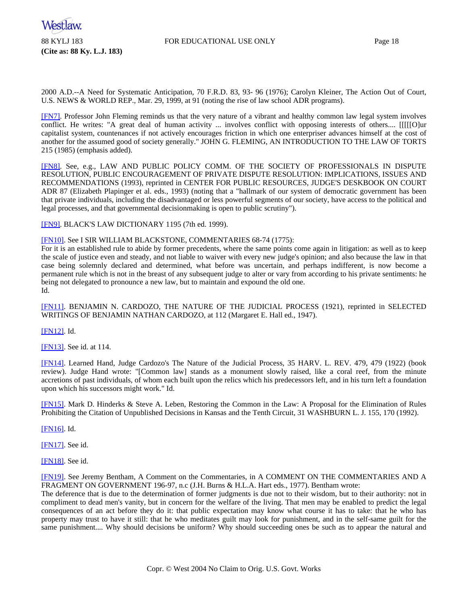

2000 A.D.--A Need for Systematic Anticipation, 70 F.R.D. 83, 93- 96 (1976); Carolyn Kleiner, The Action Out of Court, U.S. NEWS & WORLD REP., Mar. 29, 1999, at 91 (noting the rise of law school ADR programs).

<span id="page-17-0"></span>[\[FN7\]](#page-3-2). Professor John Fleming reminds us that the very nature of a vibrant and healthy common law legal system involves conflict. He writes: "A great deal of human activity ... involves conflict with opposing interests of others.... [[[[[O]ur capitalist system, countenances if not actively encourages friction in which one enterpriser advances himself at the cost of another for the assumed good of society generally." JOHN G. FLEMING, AN INTRODUCTION TO THE LAW OF TORTS 215 (1985) (emphasis added).

<span id="page-17-1"></span>[\[FN8\]](#page-3-3). See, e.g., LAW AND PUBLIC POLICY COMM. OF THE SOCIETY OF PROFESSIONALS IN DISPUTE RESOLUTION, PUBLIC ENCOURAGEMENT OF PRIVATE DISPUTE RESOLUTION: IMPLICATIONS, ISSUES AND RECOMMENDATIONS (1993), reprinted in CENTER FOR PUBLIC RESOURCES, JUDGE'S DESKBOOK ON COURT ADR 87 (Elizabeth Plapinger et al. eds., 1993) (noting that a "hallmark of our system of democratic government has been that private individuals, including the disadvantaged or less powerful segments of our society, have access to the political and legal processes, and that governmental decisionmaking is open to public scrutiny").

<span id="page-17-2"></span>[\[FN9\]](#page-3-4). BLACK'S LAW DICTIONARY 1195 (7th ed. 1999).

<span id="page-17-3"></span>[\[FN10\]](#page-3-5). See I SIR WILLIAM BLACKSTONE, COMMENTARIES 68-74 (1775):

For it is an established rule to abide by former precedents, where the same points come again in litigation: as well as to keep the scale of justice even and steady, and not liable to waiver with every new judge's opinion; and also because the law in that case being solemnly declared and determined, what before was uncertain, and perhaps indifferent, is now become a permanent rule which is not in the breast of any subsequent judge to alter or vary from according to his private sentiments: he being not delegated to pronounce a new law, but to maintain and expound the old one. Id.

<span id="page-17-4"></span>[\[FN11\]](#page-3-6). BENJAMIN N. CARDOZO, THE NATURE OF THE JUDICIAL PROCESS (1921), reprinted in SELECTED WRITINGS OF BENJAMIN NATHAN CARDOZO, at 112 (Margaret E. Hall ed., 1947).

<span id="page-17-5"></span>[\[FN12\]](#page-3-7). Id.

<span id="page-17-6"></span>[\[FN13\]](#page-3-8). See id. at 114.

<span id="page-17-7"></span>[\[FN14\]](#page-3-9). Learned Hand, Judge Cardozo's The Nature of the Judicial Process, 35 HARV. L. REV. 479, 479 (1922) (book review). Judge Hand wrote: "[Common law] stands as a monument slowly raised, like a coral reef, from the minute accretions of past individuals, of whom each built upon the relics which his predecessors left, and in his turn left a foundation upon which his successors might work." Id.

<span id="page-17-8"></span>[\[FN15\]](#page-4-0). Mark D. Hinderks & Steve A. Leben, Restoring the Common in the Law: A Proposal for the Elimination of Rules Prohibiting the Citation of Unpublished Decisions in Kansas and the Tenth Circuit, 31 WASHBURN L. J. 155, 170 (1992).

<span id="page-17-9"></span>[\[FN16\]](#page-4-1). Id.

<span id="page-17-10"></span>[\[FN17\]](#page-4-2). See id.

<span id="page-17-11"></span>[\[FN18\]](#page-4-3). See id.

<span id="page-17-12"></span>[\[FN19\]](#page-4-3). See Jeremy Bentham, A Comment on the Commentaries, in A COMMENT ON THE COMMENTARIES AND A FRAGMENT ON GOVERNMENT 196-97, n.c (J.H. Burns & H.L.A. Hart eds., 1977). Bentham wrote:

The deference that is due to the determination of former judgments is due not to their wisdom, but to their authority: not in compliment to dead men's vanity, but in concern for the welfare of the living. That men may be enabled to predict the legal consequences of an act before they do it: that public expectation may know what course it has to take: that he who has property may trust to have it still: that he who meditates guilt may look for punishment, and in the self-same guilt for the same punishment.... Why should decisions be uniform? Why should succeeding ones be such as to appear the natural and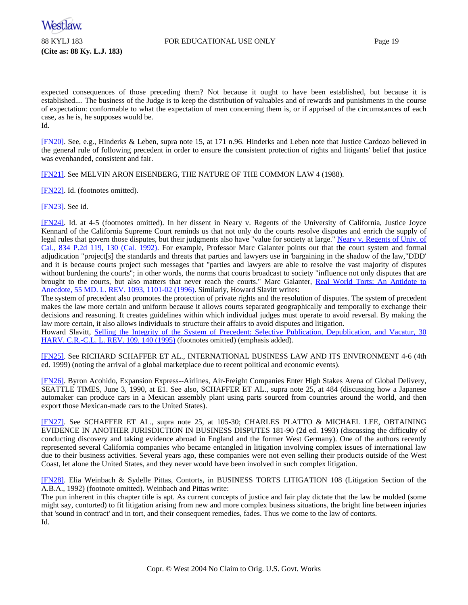

expected consequences of those preceding them? Not because it ought to have been established, but because it is established.... The business of the Judge is to keep the distribution of valuables and of rewards and punishments in the course of expectation: conformable to what the expectation of men concerning them is, or if apprised of the circumstances of each case, as he is, he supposes would be. Id.

<span id="page-18-0"></span>[\[FN20\]](#page-4-4). See, e.g., Hinderks & Leben, supra note 15, at 171 n.96. Hinderks and Leben note that Justice Cardozo believed in the general rule of following precedent in order to ensure the consistent protection of rights and litigants' belief that justice was evenhanded, consistent and fair.

## <span id="page-18-1"></span>[\[FN21\]](#page-4-5). See MELVIN ARON EISENBERG, THE NATURE OF THE COMMON LAW 4 (1988).

<span id="page-18-2"></span>[\[FN22\]](#page-4-6). Id. (footnotes omitted).

<span id="page-18-3"></span>[\[FN23\]](#page-4-7). See id.

<span id="page-18-4"></span>[\[FN24\]](#page-4-8). Id. at 4-5 (footnotes omitted). In her dissent in Neary v. Regents of the University of California, Justice Joyce Kennard of the California Supreme Court reminds us that not only do the courts resolve disputes and enrich the supply of legal rules that govern those disputes, but their judgments also have "value for society at large." Neary v. [Regents](http://www.westlaw.com/Find/Default.wl?rs=++++1.0&vr=2.0&DB=661&FindType=Y&ReferencePositionType=S&SerialNum=1992144407&ReferencePosition=130) of Univ. of Cal., 834 P.2d 119, 130 [\(Cal.](http://www.westlaw.com/Find/Default.wl?rs=++++1.0&vr=2.0&DB=661&FindType=Y&ReferencePositionType=S&SerialNum=1992144407&ReferencePosition=130) 1992). For example, Professor Marc Galanter points out that the court system and formal adjudication "project[s] the standards and threats that parties and lawyers use in 'bargaining in the shadow of the law,"DDD' and it is because courts project such messages that "parties and lawyers are able to resolve the vast majority of disputes without burdening the courts"; in other words, the norms that courts broadcast to society "influence not only disputes that are brought to the courts, but also matters that never reach the courts." Marc Galanter, Real World Torts: An [Antidote](http://www.westlaw.com/Find/Default.wl?rs=++++1.0&vr=2.0&DocName=55MDLREV1093&FindType=Y) to [Anecdote,](http://www.westlaw.com/Find/Default.wl?rs=++++1.0&vr=2.0&DocName=55MDLREV1093&FindType=Y) 55 MD. L. REV. 1093, 1101-02 (1996). Similarly, Howard Slavitt writes:

The system of precedent also promotes the protection of private rights and the resolution of disputes. The system of precedent makes the law more certain and uniform because it allows courts separated geographically and temporally to exchange their decisions and reasoning. It creates guidelines within which individual judges must operate to avoid reversal. By making the law more certain, it also allows individuals to structure their affairs to avoid disputes and litigation.

Howard Slavitt, Selling the Integrity of the System of Precedent: Selective Publication, [Depublication,](http://www.westlaw.com/Find/Default.wl?rs=++++1.0&vr=2.0&DocName=30HVCRCLLR109&FindType=Y) and Vacatur, 30 HARV. [C.R.-C.L.](http://www.westlaw.com/Find/Default.wl?rs=++++1.0&vr=2.0&DocName=30HVCRCLLR109&FindType=Y) L. REV. 109, 140 (1995) (footnotes omitted) (emphasis added).

<span id="page-18-5"></span>[\[FN25\]](#page-5-0). See RICHARD SCHAFFER ET AL., INTERNATIONAL BUSINESS LAW AND ITS ENVIRONMENT 4-6 (4th ed. 1999) (noting the arrival of a global marketplace due to recent political and economic events).

<span id="page-18-6"></span>[\[FN26\]](#page-5-1). Byron Acohido, Expansion Express--Airlines, Air-Freight Companies Enter High Stakes Arena of Global Delivery, SEATTLE TIMES, June 3, 1990, at E1. See also, SCHAFFER ET AL., supra note 25, at 484 (discussing how a Japanese automaker can produce cars in a Mexican assembly plant using parts sourced from countries around the world, and then export those Mexican-made cars to the United States).

<span id="page-18-7"></span>[\[FN27\]](#page-5-2). See SCHAFFER ET AL., supra note 25, at 105-30; CHARLES PLATTO & MICHAEL LEE, OBTAINING EVIDENCE IN ANOTHER JURISDICTION IN BUSINESS DISPUTES 181-90 (2d ed. 1993) (discussing the difficulty of conducting discovery and taking evidence abroad in England and the former West Germany). One of the authors recently represented several California companies who became entangled in litigation involving complex issues of international law due to their business activities. Several years ago, these companies were not even selling their products outside of the West Coast, let alone the United States, and they never would have been involved in such complex litigation.

<span id="page-18-8"></span>[\[FN28\]](#page-5-3). Elia Weinbach & Sydelle Pittas, Contorts, in BUSINESS TORTS LITIGATION 108 (Litigation Section of the A.B.A., 1992) (footnote omitted). Weinbach and Pittas write:

<span id="page-18-9"></span>The pun inherent in this chapter title is apt. As current concepts of justice and fair play dictate that the law be molded (some might say, contorted) to fit litigation arising from new and more complex business situations, the bright line between injuries that 'sound in contract' and in tort, and their consequent remedies, fades. Thus we come to the law of contorts. Id.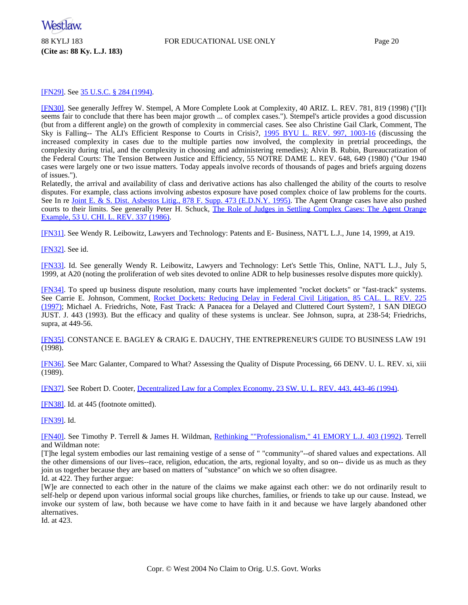

[\[FN29\]](#page-5-4). See 35 [U.S.C.](http://www.westlaw.com/Find/Default.wl?rs=++++1.0&vr=2.0&DB=1000546&DocName=35USCAS284&FindType=L) § 284 (1994).

<span id="page-19-0"></span>[\[FN30\]](#page-5-5). See generally Jeffrey W. Stempel, A More Complete Look at Complexity, 40 ARIZ. L. REV. 781, 819 (1998) ("[I]t seems fair to conclude that there has been major growth ... of complex cases."). Stempel's article provides a good discussion (but from a different angle) on the growth of complexity in commercial cases. See also Christine Gail Clark, Comment, The Sky is Falling-- The ALI's Efficient Response to Courts in Crisis?, 1995 BYU L. REV. 997, [1003-16](http://www.westlaw.com/Find/Default.wl?rs=++++1.0&vr=2.0&DocName=1995BYULREV997&FindType=Y) (discussing the increased complexity in cases due to the multiple parties now involved, the complexity in pretrial proceedings, the complexity during trial, and the complexity in choosing and administering remedies); Alvin B. Rubin, Bureaucratization of the Federal Courts: The Tension Between Justice and Efficiency, 55 NOTRE DAME L. REV. 648, 649 (1980) ("Our 1940 cases were largely one or two issue matters. Today appeals involve records of thousands of pages and briefs arguing dozens of issues.").

Relatedly, the arrival and availability of class and derivative actions has also challenged the ability of the courts to resolve disputes. For example, class actions involving asbestos exposure have posed complex choice of law problems for the courts. See In re Joint E. & S. Dist. Asbestos Litig., 878 F. Supp. 473 [\(E.D.N.Y.](http://www.westlaw.com/Find/Default.wl?rs=++++1.0&vr=2.0&DB=345&FindType=Y&SerialNum=1995033533) 1995). The Agent Orange cases have also pushed courts to their limits. See generally Peter H. Schuck, The Role of Judges in Settling [Complex](http://www.westlaw.com/Find/Default.wl?rs=++++1.0&vr=2.0&FindType=Y&SerialNum=0101386500) Cases: The Agent Orange [Example,](http://www.westlaw.com/Find/Default.wl?rs=++++1.0&vr=2.0&FindType=Y&SerialNum=0101386500) 53 U. CHI. L. REV. 337 (1986).

<span id="page-19-1"></span>[\[FN31\]](#page-5-6). See Wendy R. Leibowitz, Lawyers and Technology: Patents and E- Business, NAT'L L.J., June 14, 1999, at A19.

<span id="page-19-2"></span>[\[FN32\]](#page-5-7). See id.

<span id="page-19-3"></span>[\[FN33\]](#page-5-8). Id. See generally Wendy R. Leibowitz, Lawyers and Technology: Let's Settle This, Online, NAT'L L.J., July 5, 1999, at A20 (noting the proliferation of web sites devoted to online ADR to help businesses resolve disputes more quickly).

<span id="page-19-4"></span>[\[FN34\]](#page-5-9). To speed up business dispute resolution, many courts have implemented "rocket dockets" or "fast-track" systems. See Carrie E. Johnson, Comment, Rocket Dockets: Reducing Delay in Federal Civil [Litigation,](http://www.westlaw.com/Find/Default.wl?rs=++++1.0&vr=2.0&DocName=85CALIFLREV225&FindType=Y) 85 CAL. L. REV. 225 (1997); Michael A. Friedrichs, Note, Fast Track: A Panacea for a Delayed and Cluttered Court System?, 1 SAN DIEGO JUST. J. 443 (1993). But the efficacy and quality of these systems is unclear. See Johnson, supra, at 238-54; Friedrichs, supra, at 449-56.

<span id="page-19-5"></span>[\[FN35\]](#page-5-10). CONSTANCE E. BAGLEY & CRAIG E. DAUCHY, THE ENTREPRENEUR'S GUIDE TO BUSINESS LAW 191 (1998).

<span id="page-19-6"></span>[\[FN36\]](#page-5-11). See Marc Galanter, Compared to What? Assessing the Quality of Dispute Processing, 66 DENV. U. L. REV. xi, xiii (1989).

<span id="page-19-7"></span>[\[FN37\]](#page-5-12). See Robert D. Cooter, [Decentralized](http://www.westlaw.com/Find/Default.wl?rs=++++1.0&vr=2.0&DocName=23SWULREV443&FindType=Y) Law for a Complex Economy, 23 SW. U. L. REV. 443, 443-46 (1994).

<span id="page-19-8"></span>[\[FN38\]](#page-5-13). Id. at 445 (footnote omitted).

<span id="page-19-9"></span>[\[FN39\]](#page-5-14). Id.

<span id="page-19-10"></span>[\[FN40\]](#page-5-15). See Timothy P. Terrell & James H. Wildman, Rethinking [""Professionalism,"](http://www.westlaw.com/Find/Default.wl?rs=++++1.0&vr=2.0&DocName=41EMORYLJ403&FindType=Y) 41 EMORY L.J. 403 (1992). Terrell and Wildman note:

[T]he legal system embodies our last remaining vestige of a sense of " "community"--of shared values and expectations. All the other dimensions of our lives--race, religion, education, the arts, regional loyalty, and so on-- divide us as much as they join us together because they are based on matters of "substance" on which we so often disagree.

Id. at 422. They further argue:

[W]e are connected to each other in the nature of the claims we make against each other: we do not ordinarily result to self-help or depend upon various informal social groups like churches, families, or friends to take up our cause. Instead, we invoke our system of law, both because we have come to have faith in it and because we have largely abandoned other alternatives.

<span id="page-19-11"></span>Id. at 423.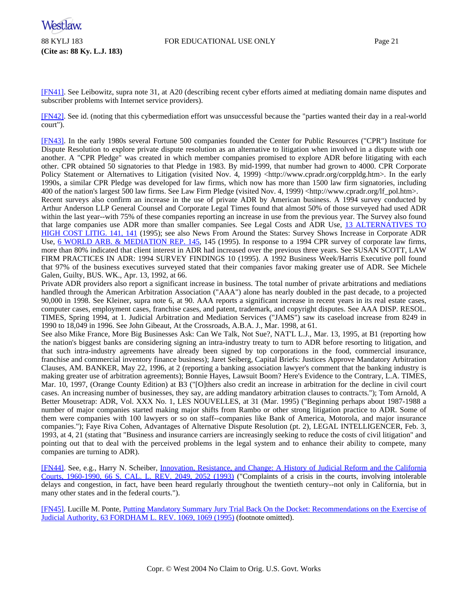[\[FN41\]](#page-6-0). See Leibowitz, supra note 31, at A20 (describing recent cyber efforts aimed at mediating domain name disputes and subscriber problems with Internet service providers).

<span id="page-20-0"></span>[\[FN42\]](#page-6-1). See id. (noting that this cybermediation effort was unsuccessful because the "parties wanted their day in a real-world court").

<span id="page-20-1"></span>[\[FN43\]](#page-6-2). In the early 1980s several Fortune 500 companies founded the Center for Public Resources ("CPR") Institute for Dispute Resolution to explore private dispute resolution as an alternative to litigation when involved in a dispute with one another. A "CPR Pledge" was created in which member companies promised to explore ADR before litigating with each other. CPR obtained 50 signatories to that Pledge in 1983. By mid-1999, that number had grown to 4000. CPR Corporate Policy Statement or Alternatives to Litigation (visited Nov. 4, 1999) <http://www.cpradr.org/corppldg.htm>. In the early 1990s, a similar CPR Pledge was developed for law firms, which now has more than 1500 law firm signatories, including 400 of the nation's largest 500 law firms. See Law Firm Pledge (visited Nov. 4, 1999) <http://www.cpradr.org/lf\_pol.htm>.

Recent surveys also confirm an increase in the use of private ADR by American business. A 1994 survey conducted by Arthur Anderson LLP General Counsel and Corporate Legal Times found that almost 50% of those surveyed had used ADR within the last year--with 75% of these companies reporting an increase in use from the previous year. The Survey also found that large companies use ADR more than smaller companies. See Legal Costs and ADR Use, 13 A[LTERNATIVES](http://www.westlaw.com/Find/Default.wl?rs=++++1.0&vr=2.0&DocName=13ALTHCL141&FindType=Y) TO HIGH COST [LITIG.](http://www.westlaw.com/Find/Default.wl?rs=++++1.0&vr=2.0&DocName=13ALTHCL141&FindType=Y) 141, 141 (1995); see also News From Around the States: Survey Shows Increase in Corporate ADR Use, 6 WORLD ARB. & [MEDIATION](http://www.westlaw.com/Find/Default.wl?rs=++++1.0&vr=2.0&DocName=6WORLDARBMEDIATIONREP145&FindType=Y) REP. 145, 145 (1995). In response to a 1994 CPR survey of corporate law firms, more than 80% indicated that client interest in ADR had increased over the previous three years. See SUSAN SCOTT, LAW FIRM PRACTICES IN ADR: 1994 SURVEY FINDINGS 10 (1995). A 1992 Business Week/Harris Executive poll found that 97% of the business executives surveyed stated that their companies favor making greater use of ADR. See Michele Galen, Guilty, BUS. WK., Apr. 13, 1992, at 66.

Private ADR providers also report a significant increase in business. The total number of private arbitrations and mediations handled through the American Arbitration Association ("AAA") alone has nearly doubled in the past decade, to a projected 90,000 in 1998. See Kleiner, supra note 6, at 90. AAA reports a significant increase in recent years in its real estate cases, computer cases, employment cases, franchise cases, and patent, trademark, and copyright disputes. See AAA DISP. RESOL. TIMES, Spring 1994, at 1. Judicial Arbitration and Mediation Services ("JAMS") saw its caseload increase from 8249 in 1990 to 18,049 in 1996. See John Gibeaut, At the Crossroads, A.B.A. J., Mar. 1998, at 61.

See also Mike France, More Big Businesses Ask: Can We Talk, Not Sue?, NAT'L L.J., Mar. 13, 1995, at B1 (reporting how the nation's biggest banks are considering signing an intra-industry treaty to turn to ADR before resorting to litigation, and that such intra-industry agreements have already been signed by top corporations in the food, commercial insurance, franchise and commercial inventory finance business); Jaret Seiberg, Capital Briefs: Justices Approve Mandatory Arbitration Clauses, AM. BANKER, May 22, 1996, at 2 (reporting a banking association lawyer's comment that the banking industry is making greater use of arbitration agreements); Bonnie Hayes, Lawsuit Boom? Here's Evidence to the Contrary, L.A. TIMES, Mar. 10, 1997, (Orange County Edition) at B3 ("[O]thers also credit an increase in arbitration for the decline in civil court cases. An increasing number of businesses, they say, are adding mandatory arbitration clauses to contracts."); Tom Arnold, A Better Mousetrap: ADR, Vol. XXX No. 1, LES NOUVELLES, at 31 (Mar. 1995) ("Beginning perhaps about 1987-1988 a number of major companies started making major shifts from Rambo or other strong litigation practice to ADR. Some of them were companies with 100 lawyers or so on staff--companies like Bank of America, Motorola, and major insurance companies."); Faye Riva Cohen, Advantages of Alternative Dispute Resolution (pt. 2), LEGAL INTELLIGENCER, Feb. 3, 1993, at 4, 21 (stating that "Business and insurance carriers are increasingly seeking to reduce the costs of civil litigation" and pointing out that to deal with the perceived problems in the legal system and to enhance their ability to compete, many companies are turning to ADR).

<span id="page-20-2"></span>[\[FN44\]](#page-6-3). See, e.g., Harry N. Scheiber, Innovation, [Resistance,](http://www.westlaw.com/Find/Default.wl?rs=++++1.0&vr=2.0&DocName=66SCALLREV2049&FindType=Y) and Change: A History of Judicial Reform and the California Courts, [1960-1990,](http://www.westlaw.com/Find/Default.wl?rs=++++1.0&vr=2.0&DocName=66SCALLREV2049&FindType=Y) 66 S. CAL. L. REV. 2049, 2052 (1993) ("Complaints of a crisis in the courts, involving intolerable delays and congestion, in fact, have been heard regularly throughout the twentieth century--not only in California, but in many other states and in the federal courts.").

<span id="page-20-4"></span><span id="page-20-3"></span>[\[FN45\]](#page-6-4). Lucille M. Ponte, Putting [Mandatory](http://www.westlaw.com/Find/Default.wl?rs=++++1.0&vr=2.0&DocName=63FDMLR1069&FindType=Y) Summary Jury Trial Back On the Docket: [Recommendations](http://www.westlaw.com/Find/Default.wl?rs=++++1.0&vr=2.0&DocName=63FDMLR1069&FindType=Y) on the Exercise of Judicial Authority, 63 [FORDHAM](http://www.westlaw.com/Find/Default.wl?rs=++++1.0&vr=2.0&DocName=63FDMLR1069&FindType=Y) L. REV. 1069, 1069 (1995) (footnote omitted).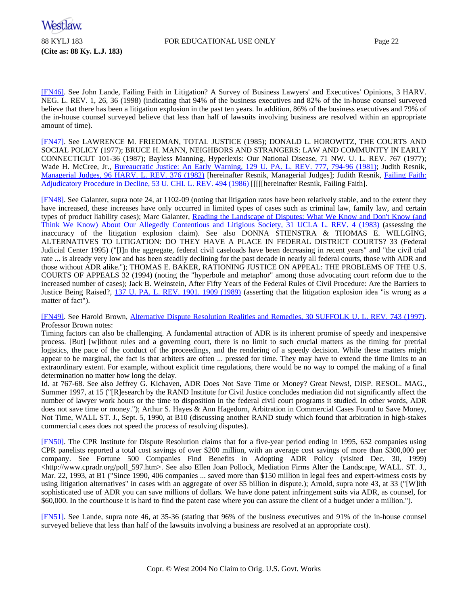

[\[FN46\]](#page-6-5). See John Lande, Failing Faith in Litigation? A Survey of Business Lawyers' and Executives' Opinions, 3 HARV. NEG. L. REV. 1, 26, 36 (1998) (indicating that 94% of the business executives and 82% of the in-house counsel surveyed believe that there has been a litigation explosion in the past ten years. In addition, 86% of the business executives and 79% of the in-house counsel surveyed believe that less than half of lawsuits involving business are resolved within an appropriate amount of time).

<span id="page-21-0"></span>[\[FN47\]](#page-6-6). See LAWRENCE M. FRIEDMAN, TOTAL JUSTICE (1985); DONALD L. HOROWITZ, THE COURTS AND SOCIAL POLICY (1977); BRUCE H. MANN, NEIGHBORS AND STRANGERS: LAW AND COMMUNITY IN EARLY CONNECTICUT 101-36 (1987); Bayless Manning, Hyperlexis: Our National Disease, 71 NW. U. L. REV. 767 (1977); Wade H. McCree, Jr., [Bureaucratic](http://www.westlaw.com/Find/Default.wl?rs=++++1.0&vr=2.0&DocName=129UPALREV777&FindType=Y) Justice: An Early Warning, 129 U. PA. L. REV. 777, 794-96 (1981); Judith Resnik, [Managerial](http://www.westlaw.com/Find/Default.wl?rs=++++1.0&vr=2.0&DocName=96HLR374&FindType=Y) Judges, 96 HARV. L. REV. 376 (1982) [hereinafter Resnik, Managerial Judges]; Judith Resnik, Failing [Faith:](http://www.westlaw.com/Find/Default.wl?rs=++++1.0&vr=2.0&FindType=Y&SerialNum=0101386505) [Adjudicatory](http://www.westlaw.com/Find/Default.wl?rs=++++1.0&vr=2.0&FindType=Y&SerialNum=0101386505) Procedure in Decline, 53 U. CHI. L. REV. 494 (1986) [[[[[hereinafter Resnik, Failing Faith].

<span id="page-21-1"></span>[\[FN48\]](#page-6-7). See Galanter, supra note 24, at 1102-09 (noting that litigation rates have been relatively stable, and to the extent they have increased, these increases have only occurred in limited types of cases such as criminal law, family law, and certain types of product liability cases); Marc Galanter, Reading the [Landscape](http://www.westlaw.com/Find/Default.wl?rs=++++1.0&vr=2.0&DocName=31CLA4&FindType=Y) of Disputes: What We Know and Don't Know (and Think We Know) About Our Allegedly [Contentious](http://www.westlaw.com/Find/Default.wl?rs=++++1.0&vr=2.0&DocName=31CLA4&FindType=Y) and Litigious Society, 31 UCLA L. REV. 4 (1983) (assessing the inaccuracy of the litigation explosion claim). See also DONNA STIENSTRA & THOMAS E. WILLGING, ALTERNATIVES TO LITIGATION: DO THEY HAVE A PLACE IN FEDERAL DISTRICT COURTS? 33 (Federal Judicial Center 1995) ("[I]n the aggregate, federal civil caseloads have been decreasing in recent years" and "the civil trial rate ... is already very low and has been steadily declining for the past decade in nearly all federal courts, those with ADR and those without ADR alike."); THOMAS E. BAKER, RATIONING JUSTICE ON APPEAL: THE PROBLEMS OF THE U.S. COURTS OF APPEALS 32 (1994) (noting the "hyperbole and metaphor" among those advocating court reform due to the increased number of cases); Jack B. Weinstein, After Fifty Years of the Federal Rules of Civil Procedure: Are the Barriers to Justice Being Raised?, 137 U. PA. L. REV. [1901,](http://www.westlaw.com/Find/Default.wl?rs=++++1.0&vr=2.0&DocName=137UPALREV1901&FindType=Y) 1909 (1989) (asserting that the litigation explosion idea "is wrong as a matter of fact").

<span id="page-21-2"></span>[\[FN49\]](#page-6-8). See Harold Brown, Alternative Dispute [Resolution](http://www.westlaw.com/Find/Default.wl?rs=++++1.0&vr=2.0&DocName=30SUFFOLKULREV743&FindType=Y) Realities and Remedies, 30 [SUFFOLK](http://www.westlaw.com/Find/Default.wl?rs=++++1.0&vr=2.0&DocName=30SUFFOLKULREV743&FindType=Y) U. L. REV. 743 (1997). Professor Brown notes:

Timing factors can also be challenging. A fundamental attraction of ADR is its inherent promise of speedy and inexpensive process. [But] [w]ithout rules and a governing court, there is no limit to such crucial matters as the timing for pretrial logistics, the pace of the conduct of the proceedings, and the rendering of a speedy decision. While these matters might appear to be marginal, the fact is that arbiters are often ... pressed for time. They may have to extend the time limits to an extraordinary extent. For example, without explicit time regulations, there would be no way to compel the making of a final determination no matter how long the delay.

Id. at 767-68. See also Jeffrey G. Kichaven, ADR Does Not Save Time or Money? Great News!, DISP. RESOL. MAG., Summer 1997, at 15 ("[R]esearch by the RAND Institute for Civil Justice concludes mediation did not significantly affect the number of lawyer work hours or the time to disposition in the federal civil court programs it studied. In other words, ADR does not save time or money."); Arthur S. Hayes & Ann Hagedorn, Arbitration in Commercial Cases Found to Save Money, Not Time, WALL ST. J., Sept. 5, 1990, at B10 (discussing another RAND study which found that arbitration in high-stakes commercial cases does not speed the process of resolving disputes).

<span id="page-21-3"></span>[\[FN50\]](#page-6-9). The CPR Institute for Dispute Resolution claims that for a five-year period ending in 1995, 652 companies using CPR panelists reported a total cost savings of over \$200 million, with an average cost savings of more than \$300,000 per company. See Fortune 500 Companies Find Benefits in Adopting ADR Policy (visited Dec. 30, 1999) <http://www.cpradr.org/poll\_597.htm>. See also Ellen Joan Pollock, Mediation Firms Alter the Landscape, WALL. ST. J., Mar. 22, 1993, at B1 ("Since 1990, 406 companies ... saved more than \$150 million in legal fees and expert-witness costs by using litigation alternatives" in cases with an aggregate of over \$5 billion in dispute.); Arnold, supra note 43, at 33 ("[W]ith sophisticated use of ADR you can save millions of dollars. We have done patent infringement suits via ADR, as counsel, for \$60,000. In the courthouse it is hard to find the patent case where you can assure the client of a budget under a million.").

<span id="page-21-5"></span><span id="page-21-4"></span>[\[FN51\]](#page-6-10). See Lande, supra note 46, at 35-36 (stating that 96% of the business executives and 91% of the in-house counsel surveyed believe that less than half of the lawsuits involving a business are resolved at an appropriate cost).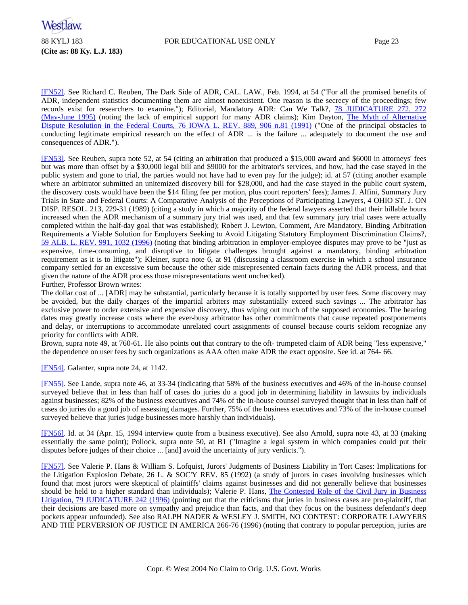

[\[FN52\]](#page-6-11). See Richard C. Reuben, The Dark Side of ADR, CAL. LAW., Feb. 1994, at 54 ("For all the promised benefits of ADR, independent statistics documenting them are almost nonexistent. One reason is the secrecy of the proceedings; few records exist for researchers to examine."); Editorial, Mandatory ADR: Can We Talk?, 78 JUD[ICATURE](http://www.westlaw.com/Find/Default.wl?rs=++++1.0&vr=2.0&DocName=78JUDICATURE272&FindType=Y) 272, 272 [\(May-June](http://www.westlaw.com/Find/Default.wl?rs=++++1.0&vr=2.0&DocName=78JUDICATURE272&FindType=Y) 1995) (noting the lack of empirical support for many ADR claims); Kim Dayton, The Myth of [Alternative](http://www.westlaw.com/Find/Default.wl?rs=++++1.0&vr=2.0&DocName=76IOWALREV889&FindType=Y) Dispute [Resolution](http://www.westlaw.com/Find/Default.wl?rs=++++1.0&vr=2.0&DocName=76IOWALREV889&FindType=Y) in the Federal Courts, 76 IOWA L. REV. 889, 906 n.81 (1991) ("One of the principal obstacles to conducting legitimate empirical research on the effect of ADR ... is the failure ... adequately to document the use and consequences of ADR.").

<span id="page-22-0"></span>[\[FN53\]](#page-6-12). See Reuben, supra note 52, at 54 (citing an arbitration that produced a \$15,000 award and \$6000 in attorneys' fees but was more than offset by a \$30,000 legal bill and \$9000 for the arbitrator's services, and how, had the case stayed in the public system and gone to trial, the parties would not have had to even pay for the judge); id. at 57 (citing another example where an arbitrator submitted an unitemized discovery bill for \$28,000, and had the case stayed in the public court system, the discovery costs would have been the \$14 filing fee per motion, plus court reporters' fees); James J. Alfini, Summary Jury Trials in State and Federal Courts: A Comparative Analysis of the Perceptions of Participating Lawyers, 4 OHIO ST. J. ON DISP. RESOL. 213, 229-31 (1989) (citing a study in which a majority of the federal lawyers asserted that their billable hours increased when the ADR mechanism of a summary jury trial was used, and that few summary jury trial cases were actually completed within the half-day goal that was established); Robert J. Lewton, Comment, Are Mandatory, Binding Arbitration Requirements a Viable Solution for Employers Seeking to Avoid Litigating Statutory Employment Discrimination Claims?, 59 ALB. L. REV. 991, 1032 [\(1996\)](http://www.westlaw.com/Find/Default.wl?rs=++++1.0&vr=2.0&DocName=59ALB991&FindType=Y) (noting that binding arbitration in employer-employee disputes may prove to be "just as expensive, time-consuming, and disruptive to litigate challenges brought against a mandatory, binding arbitration requirement as it is to litigate"); Kleiner, supra note 6, at 91 (discussing a classroom exercise in which a school insurance company settled for an excessive sum because the other side misrepresented certain facts during the ADR process, and that given the nature of the ADR process those misrepresentations went unchecked).

Further, Professor Brown writes:

The dollar cost of ... [ADR] may be substantial, particularly because it is totally supported by user fees. Some discovery may be avoided, but the daily charges of the impartial arbiters may substantially exceed such savings ... The arbitrator has exclusive power to order extensive and expensive discovery, thus wiping out much of the supposed economies. The hearing dates may greatly increase costs where the ever-busy arbitrator has other commitments that cause repeated postponements and delay, or interruptions to accommodate unrelated court assignments of counsel because courts seldom recognize any priority for conflicts with ADR.

Brown, supra note 49, at 760-61. He also points out that contrary to the oft- trumpeted claim of ADR being "less expensive," the dependence on user fees by such organizations as AAA often make ADR the exact opposite. See id. at 764- 66.

<span id="page-22-1"></span>[\[FN54\]](#page-6-13). Galanter, supra note 24, at 1142.

<span id="page-22-2"></span>[\[FN55\]](#page-6-14). See Lande, supra note 46, at 33-34 (indicating that 58% of the business executives and 46% of the in-house counsel surveyed believe that in less than half of cases do juries do a good job in determining liability in lawsuits by individuals against businesses; 82% of the business executives and 74% of the in-house counsel surveyed thought that in less than half of cases do juries do a good job of assessing damages. Further, 75% of the business executives and 73% of the in-house counsel surveyed believe that juries judge businesses more harshly than individuals).

<span id="page-22-3"></span>[\[FN56\]](#page-7-0). Id. at 34 (Apr. 15, 1994 interview quote from a business executive). See also Arnold, supra note 43, at 33 (making essentially the same point); Pollock, supra note 50, at B1 ("Imagine a legal system in which companies could put their disputes before judges of their choice ... [and] avoid the uncertainty of jury verdicts.").

<span id="page-22-4"></span>[\[FN57\]](#page-7-1). See Valerie P. Hans & William S. Lofquist, Jurors' Judgments of Business Liability in Tort Cases: Implications for the Litigation Explosion Debate, 26 L. & SOC'Y REV. 85 (1992) (a study of jurors in cases involving businesses which found that most jurors were skeptical of plaintiffs' claims against businesses and did not generally believe that businesses should be held to a higher standard than individuals); Valerie P. Hans, The [Contested](http://www.westlaw.com/Find/Default.wl?rs=++++1.0&vr=2.0&FindType=Y&SerialNum=0106509963) Role of the Civil Jury in Business Litigation, 79 [JUDICATURE](http://www.westlaw.com/Find/Default.wl?rs=++++1.0&vr=2.0&FindType=Y&SerialNum=0106509963) 242 (1996) (pointing out that the criticisms that juries in business cases are pro-plaintiff, that their decisions are based more on sympathy and prejudice than facts, and that they focus on the business defendant's deep pockets appear unfounded). See also RALPH NADER & WESLEY J. SMITH, NO CONTEST: CORPORATE LAWYERS AND THE PERVERSION OF JUSTICE IN AMERICA 266-76 (1996) (noting that contrary to popular perception, juries are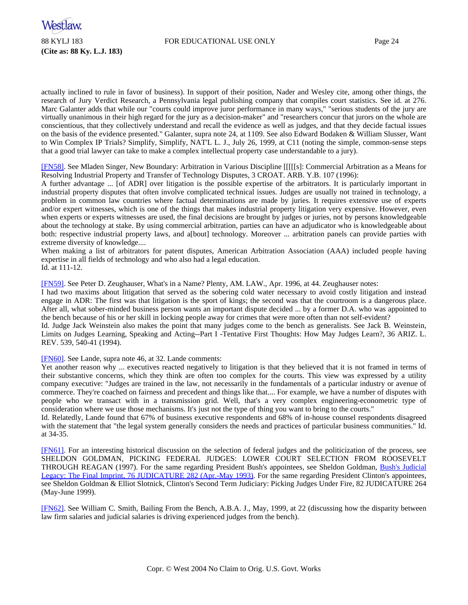

actually inclined to rule in favor of business). In support of their position, Nader and Wesley cite, among other things, the research of Jury Verdict Research, a Pennsylvania legal publishing company that compiles court statistics. See id. at 276. Marc Galanter adds that while our "courts could improve juror performance in many ways," "serious students of the jury are virtually unanimous in their high regard for the jury as a decision-maker" and "researchers concur that jurors on the whole are conscientious, that they collectively understand and recall the evidence as well as judges, and that they decide factual issues on the basis of the evidence presented." Galanter, supra note 24, at 1109. See also Edward Bodaken & William Slusser, Want to Win Complex IP Trials? Simplify, Simplify, NAT'L L. J., July 26, 1999, at C11 (noting the simple, common-sense steps that a good trial lawyer can take to make a complex intellectual property case understandable to a jury).

<span id="page-23-0"></span>[\[FN58\]](#page-7-2). See Mladen Singer, New Boundary: Arbitration in Various Discipline [[[[[s]: Commercial Arbitration as a Means for Resolving Industrial Property and Transfer of Technology Disputes, 3 CROAT. ARB. Y.B. 107 (1996):

A further advantage ... [of ADR] over litigation is the possible expertise of the arbitrators. It is particularly important in industrial property disputes that often involve complicated technical issues. Judges are usually not trained in technology, a problem in common law countries where factual determinations are made by juries. It requires extensive use of experts and/or expert witnesses, which is one of the things that makes industrial property litigation very expensive. However, even when experts or experts witnesses are used, the final decisions are brought by judges or juries, not by persons knowledgeable about the technology at stake. By using commercial arbitration, parties can have an adjudicator who is knowledgeable about both: respective industrial property laws, and a[bout] technology. Moreover ... arbitration panels can provide parties with extreme diversity of knowledge....

When making a list of arbitrators for patent disputes, American Arbitration Association (AAA) included people having expertise in all fields of technology and who also had a legal education. Id. at 111-12.

<span id="page-23-1"></span>[\[FN59\]](#page-7-3). See Peter D. Zeughauser, What's in a Name? Plenty, AM. LAW., Apr. 1996, at 44. Zeughauser notes:

I had two maxims about litigation that served as the sobering cold water necessary to avoid costly litigation and instead engage in ADR: The first was that litigation is the sport of kings; the second was that the courtroom is a dangerous place. After all, what sober-minded business person wants an important dispute decided ... by a former D.A. who was appointed to the bench because of his or her skill in locking people away for crimes that were more often than not self-evident?

Id. Judge Jack Weinstein also makes the point that many judges come to the bench as generalists. See Jack B. Weinstein, Limits on Judges Learning, Speaking and Acting--Part I -Tentative First Thoughts: How May Judges Learn?, 36 ARIZ. L. REV. 539, 540-41 (1994).

<span id="page-23-2"></span>[\[FN60\]](#page-7-3). See Lande, supra note 46, at 32. Lande comments:

Yet another reason why ... executives reacted negatively to litigation is that they believed that it is not framed in terms of their substantive concerns, which they think are often too complex for the courts. This view was expressed by a utility company executive: "Judges are trained in the law, not necessarily in the fundamentals of a particular industry or avenue of commerce. They're coached on fairness and precedent and things like that.... For example, we have a number of disputes with people who we transact with in a transmission grid. Well, that's a very complex engineering-econometric type of consideration where we use those mechanisms. It's just not the type of thing you want to bring to the courts."

Id. Relatedly, Lande found that 67% of business executive respondents and 68% of in-house counsel respondents disagreed with the statement that "the legal system generally considers the needs and practices of particular business communities." Id. at 34-35.

<span id="page-23-3"></span>[\[FN61\]](#page-7-4). For an interesting historical discussion on the selection of federal judges and the politicization of the process, see SHELDON GOLDMAN, PICKING FEDERAL JUDGES: LOWER COURT SELECTION FROM ROOSEVELT THROUGH REAGAN (1997). For the same regarding President Bush's appointees, see Sheldon Goldman, Bush's [Judicial](http://www.westlaw.com/Find/Default.wl?rs=++++1.0&vr=2.0&DocName=76JUDICATURE282&FindType=Y) Legacy: The Final Imprint, 76 [JUDICATURE](http://www.westlaw.com/Find/Default.wl?rs=++++1.0&vr=2.0&DocName=76JUDICATURE282&FindType=Y) 282 (Apr.-May 1993). For the same regarding President Clinton's appointees, see Sheldon Goldman & Elliot Slotnick, Clinton's Second Term Judiciary: Picking Judges Under Fire, 82 JUDICATURE 264 (May-June 1999).

<span id="page-23-5"></span><span id="page-23-4"></span>[\[FN62\]](#page-7-4). See William C. Smith, Bailing From the Bench, A.B.A. J., May, 1999, at 22 (discussing how the disparity between law firm salaries and judicial salaries is driving experienced judges from the bench).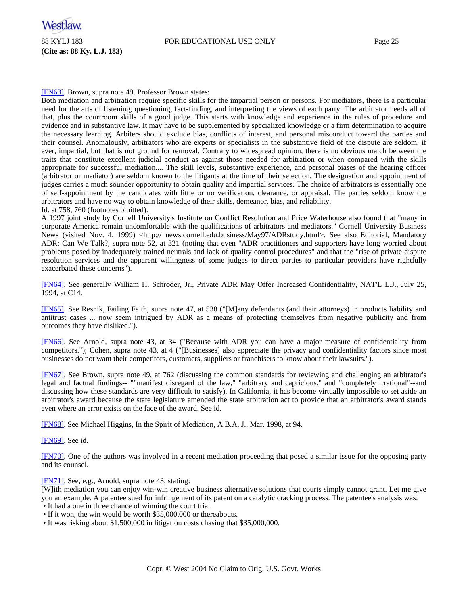

## [\[FN63\]](#page-7-5). Brown, supra note 49. Professor Brown states:

Both mediation and arbitration require specific skills for the impartial person or persons. For mediators, there is a particular need for the arts of listening, questioning, fact-finding, and interpreting the views of each party. The arbitrator needs all of that, plus the courtroom skills of a good judge. This starts with knowledge and experience in the rules of procedure and evidence and in substantive law. It may have to be supplemented by specialized knowledge or a firm determination to acquire the necessary learning. Arbiters should exclude bias, conflicts of interest, and personal misconduct toward the parties and their counsel. Anomalously, arbitrators who are experts or specialists in the substantive field of the dispute are seldom, if ever, impartial, but that is not ground for removal. Contrary to widespread opinion, there is no obvious match between the traits that constitute excellent judicial conduct as against those needed for arbitration or when compared with the skills appropriate for successful mediation.... The skill levels, substantive experience, and personal biases of the hearing officer (arbitrator or mediator) are seldom known to the litigants at the time of their selection. The designation and appointment of judges carries a much sounder opportunity to obtain quality and impartial services. The choice of arbitrators is essentially one of self-appointment by the candidates with little or no verification, clearance, or appraisal. The parties seldom know the arbitrators and have no way to obtain knowledge of their skills, demeanor, bias, and reliability. Id. at 758, 760 (footnotes omitted).

A 1997 joint study by Cornell University's Institute on Conflict Resolution and Price Waterhouse also found that "many in corporate America remain uncomfortable with the qualifications of arbitrators and mediators." Cornell University Business News (visited Nov. 4, 1999) <http:// news.cornell.edu.business/May97/ADRstudy.html>. See also Editorial, Mandatory ADR: Can We Talk?, supra note 52, at 321 (noting that even "ADR practitioners and supporters have long worried about problems posed by inadequately trained neutrals and lack of quality control procedures" and that the "rise of private dispute resolution services and the apparent willingness of some judges to direct parties to particular providers have rightfully exacerbated these concerns").

<span id="page-24-0"></span>[\[FN64\]](#page-7-6). See generally William H. Schroder, Jr., Private ADR May Offer Increased Confidentiality, NAT'L L.J., July 25, 1994, at C14.

<span id="page-24-1"></span>[\[FN65\]](#page-7-7). See Resnik, Failing Faith, supra note 47, at 538 ("[M]any defendants (and their attorneys) in products liability and antitrust cases ... now seem intrigued by ADR as a means of protecting themselves from negative publicity and from outcomes they have disliked.").

<span id="page-24-2"></span>[\[FN66\]](#page-7-8). See Arnold, supra note 43, at 34 ("Because with ADR you can have a major measure of confidentiality from competitors."); Cohen, supra note 43, at 4 ("[Businesses] also appreciate the privacy and confidentiality factors since most businesses do not want their competitors, customers, suppliers or franchisers to know about their lawsuits.").

<span id="page-24-3"></span>[\[FN67\]](#page-7-9). See Brown, supra note 49, at 762 (discussing the common standards for reviewing and challenging an arbitrator's legal and factual findings-- ""manifest disregard of the law," "arbitrary and capricious," and "completely irrational"--and discussing how these standards are very difficult to satisfy). In California, it has become virtually impossible to set aside an arbitrator's award because the state legislature amended the state arbitration act to provide that an arbitrator's award stands even where an error exists on the face of the award. See id.

<span id="page-24-4"></span>[\[FN68\]](#page-7-10). See Michael Higgins, In the Spirit of Mediation, A.B.A. J., Mar. 1998, at 94.

<span id="page-24-5"></span>[\[FN69\]](#page-7-10). See id.

<span id="page-24-6"></span>[\[FN70\]](#page-7-11). One of the authors was involved in a recent mediation proceeding that posed a similar issue for the opposing party and its counsel.

<span id="page-24-7"></span>[\[FN71\]](#page-7-12). See, e.g., Arnold, supra note 43, stating:

[W]ith mediation you can enjoy win-win creative business alternative solutions that courts simply cannot grant. Let me give you an example. A patentee sued for infringement of its patent on a catalytic cracking process. The patentee's analysis was:

- It had a one in three chance of winning the court trial.
- If it won, the win would be worth \$35,000,000 or thereabouts.
- It was risking about \$1,500,000 in litigation costs chasing that \$35,000,000.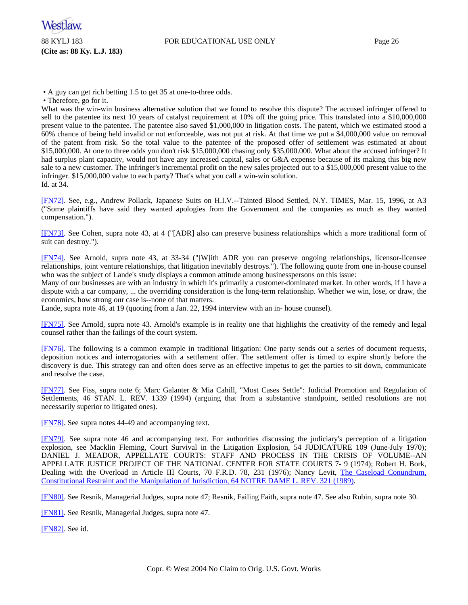• A guy can get rich betting 1.5 to get 35 at one-to-three odds.

• Therefore, go for it.

What was the win-win business alternative solution that we found to resolve this dispute? The accused infringer offered to sell to the patentee its next 10 years of catalyst requirement at 10% off the going price. This translated into a \$10,000,000 present value to the patentee. The patentee also saved \$1,000,000 in litigation costs. The patent, which we estimated stood a 60% chance of being held invalid or not enforceable, was not put at risk. At that time we put a \$4,000,000 value on removal of the patent from risk. So the total value to the patentee of the proposed offer of settlement was estimated at about \$15,000,000. At one to three odds you don't risk \$15,000,000 chasing only \$35,000.000. What about the accused infringer? It had surplus plant capacity, would not have any increased capital, sales or G&A expense because of its making this big new sale to a new customer. The infringer's incremental profit on the new sales projected out to a \$15,000,000 present value to the infringer. \$15,000,000 value to each party? That's what you call a win-win solution. Id. at 34.

<span id="page-25-0"></span>[\[FN72\]](#page-7-13). See, e.g., Andrew Pollack, Japanese Suits on H.I.V.--Tainted Blood Settled, N.Y. TIMES, Mar. 15, 1996, at A3 ("Some plaintiffs have said they wanted apologies from the Government and the companies as much as they wanted compensation.").

<span id="page-25-1"></span>[\[FN73\]](#page-7-14). See Cohen, supra note 43, at 4 ("[ADR] also can preserve business relationships which a more traditional form of suit can destroy.").

<span id="page-25-2"></span>[\[FN74\]](#page-7-14). See Arnold, supra note 43, at 33-34 ("[W]ith ADR you can preserve ongoing relationships, licensor-licensee relationships, joint venture relationships, that litigation inevitably destroys."). The following quote from one in-house counsel who was the subject of Lande's study displays a common attitude among businesspersons on this issue:

Many of our businesses are with an industry in which it's primarily a customer-dominated market. In other words, if I have a dispute with a car company, ... the overriding consideration is the long-term relationship. Whether we win, lose, or draw, the economics, how strong our case is--none of that matters.

Lande, supra note 46, at 19 (quoting from a Jan. 22, 1994 interview with an in- house counsel).

<span id="page-25-3"></span>[\[FN75\]](#page-7-15). See Arnold, supra note 43. Arnold's example is in reality one that highlights the creativity of the remedy and legal counsel rather than the failings of the court system.

<span id="page-25-4"></span>[\[FN76\]](#page-7-16). The following is a common example in traditional litigation: One party sends out a series of document requests, deposition notices and interrogatories with a settlement offer. The settlement offer is timed to expire shortly before the discovery is due. This strategy can and often does serve as an effective impetus to get the parties to sit down, communicate and resolve the case.

<span id="page-25-5"></span>[\[FN77\]](#page-7-17). See Fiss, supra note 6; Marc Galanter & Mia Cahill, "Most Cases Settle": Judicial Promotion and Regulation of Settlements, 46 STAN. L. REV. 1339 (1994) (arguing that from a substantive standpoint, settled resolutions are not necessarily superior to litigated ones).

<span id="page-25-6"></span>[\[FN78\]](#page-8-0). See supra notes 44-49 and accompanying text.

<span id="page-25-7"></span>[\[FN79\]](#page-8-1). See supra note 46 and accompanying text. For authorities discussing the judiciary's perception of a litigation explosion, see Macklin Fleming, Court Survival in the Litigation Explosion, 54 JUDICATURE 109 (June-July 1970); DANIEL J. MEADOR, APPELLATE COURTS: STAFF AND PROCESS IN THE CRISIS OF VOLUME--AN APPELLATE JUSTICE PROJECT OF THE NATIONAL CENTER FOR STATE COURTS 7- 9 (1974); Robert H. Bork, Dealing with the Overload in Article III Courts, 70 F.R.D. 78, 231 (1976); Nancy Levit, The Caseload [Conundrum,](http://www.westlaw.com/Find/Default.wl?rs=++++1.0&vr=2.0&DocName=64NOTREDAMELREV321&FindType=Y) [Constitutional](http://www.westlaw.com/Find/Default.wl?rs=++++1.0&vr=2.0&DocName=64NOTREDAMELREV321&FindType=Y) Restraint and the Manipulation of Jurisdiction, 64 NOTRE DAME L. REV. 321 (1989).

<span id="page-25-8"></span>[\[FN80\]](#page-8-2). See Resnik, Managerial Judges, supra note 47; Resnik, Failing Faith, supra note 47. See also Rubin, supra note 30.

<span id="page-25-9"></span>[\[FN81\]](#page-8-3). See Resnik, Managerial Judges, supra note 47.

<span id="page-25-11"></span><span id="page-25-10"></span>[\[FN82\]](#page-8-4). See id.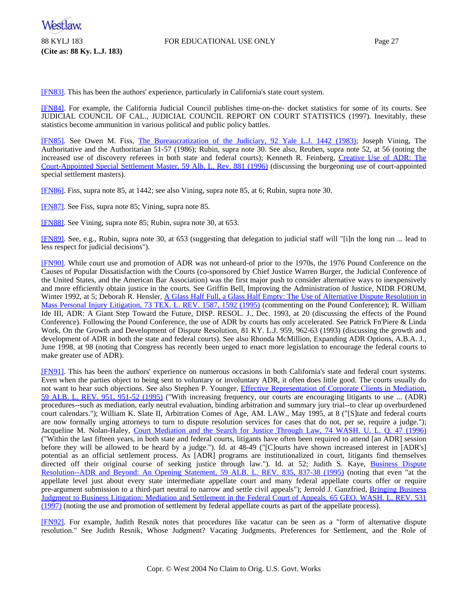

[\[FN83\]](#page-8-5). This has been the authors' experience, particularly in California's state court system.

<span id="page-26-0"></span>[\[FN84\]](#page-8-6). For example, the California Judicial Council publishes time-on-the- docket statistics for some of its courts. See JUDICIAL COUNCIL OF CAL., JUDICIAL COUNCIL REPORT ON COURT STATISTICS (1997). Inevitably, these statistics become ammunition in various political and public policy battles.

<span id="page-26-1"></span>[\[FN85\]](#page-8-7). See Owen M. Fiss, The [Bureaucratization](http://www.westlaw.com/Find/Default.wl?rs=++++1.0&vr=2.0&DB=1292&FindType=Y&SerialNum=0102597774) of the Judiciary, 92 Yale L.J. 1442 (1983); Joseph Vining, The Authoritative and the Authoritarian 51-57 (1986); Rubin, supra note 30. See also, Reuben, supra note 52, at 56 (noting the increased use of discovery referees in both state and federal courts); Kenneth R. Feinberg, Creative Use of [ADR:](http://www.westlaw.com/Find/Default.wl?rs=++++1.0&vr=2.0&DB=3105&FindType=Y&SerialNum=0106286119) The [Court-Appointed](http://www.westlaw.com/Find/Default.wl?rs=++++1.0&vr=2.0&DB=3105&FindType=Y&SerialNum=0106286119) Special Settlement Master, 59 Alb. L. Rev. 881 (1996) (discussing the burgeoning use of court-appointed special settlement masters).

<span id="page-26-2"></span>[\[FN86\]](#page-8-8). Fiss, supra note 85, at 1442; see also Vining, supra note 85, at 6; Rubin, supra note 30.

<span id="page-26-3"></span>[\[FN87\]](#page-8-9). See Fiss, supra note 85; Vining, supra note 85.

<span id="page-26-4"></span>[\[FN88\]](#page-8-10). See Vining, supra note 85; Rubin, supra note 30, at 653.

<span id="page-26-5"></span>[\[FN89\]](#page-8-11). See, e.g., Rubin, supra note 30, at 653 (suggesting that delegation to judicial staff will "[i]n the long run ... lead to less respect for judicial decisions").

<span id="page-26-6"></span>[\[FN90\]](#page-8-12). While court use and promotion of ADR was not unheard-of prior to the 1970s, the 1976 Pound Conference on the Causes of Popular Dissatisfaction with the Courts (co-sponsored by Chief Justice Warren Burger, the Judicial Conference of the United States, and the American Bar Association) was the first major push to consider alternative ways to inexpensively and more efficiently obtain justice in the courts. See Griffin Bell, Improving the Administration of Justice, NIDR FORUM, Winter 1992, at 5; Deborah R. Hensler, A Glass Half Full, a Glass Half Empty: The Use of [Alternative](http://www.westlaw.com/Find/Default.wl?rs=++++1.0&vr=2.0&FindType=Y&SerialNum=0105556664) Dispute Resolution in Mass Personal Injury [Litigation,](http://www.westlaw.com/Find/Default.wl?rs=++++1.0&vr=2.0&FindType=Y&SerialNum=0105556664) 73 TEX. L. REV. 1587, 1592 (1995) (commenting on the Pound Conference); R. William Ide III, ADR: A Giant Step Toward the Future, DISP. RESOL. J., Dec. 1993, at 20 (discussing the effects of the Pound Conference). Following the Pound Conference, the use of ADR by courts has only accelerated. See Patrick Fn'Piere & Linda Work, On the Growth and Development of Dispute Resolution, 81 KY. L.J. 959, 962-63 (1993) (discussing the growth and development of ADR in both the state and federal courts). See also Rhonda McMillion, Expanding ADR Options, A.B.A. J., June 1998, at 98 (noting that Congress has recently been urged to enact more legislation to encourage the federal courts to make greater use of ADR).

<span id="page-26-7"></span>[\[FN91\]](#page-8-13). This has been the authors' experience on numerous occasions in both California's state and federal court systems. Even when the parties object to being sent to voluntary or involuntary ADR, it often does little good. The courts usually do not want to hear such objections. See also Stephen P. Younger, Effective [Representation](http://www.westlaw.com/Find/Default.wl?rs=++++1.0&vr=2.0&DocName=59ALB951&FindType=Y) of Corporate Clients in Mediation, 59 ALB. L. REV. 951, [951-52](http://www.westlaw.com/Find/Default.wl?rs=++++1.0&vr=2.0&DocName=59ALB951&FindType=Y) (1995) ("With increasing frequency, our courts are encouraging litigants to use ... (ADR) procedures--such as mediation, early neutral evaluation, binding arbitration and summary jury trial--to clear up overburdened court calendars."); William K. Slate II, Arbitration Comes of Age, AM. LAW., May 1995, at 8 ("[S]tate and federal courts are now formally urging attorneys to turn to dispute resolution services for cases that do not, per se, require a judge."); Jacqueline M. Nolan-Haley, Court [Mediation](http://www.westlaw.com/Find/Default.wl?rs=++++1.0&vr=2.0&DocName=74WASHULQ47&FindType=Y) and the Search for Justice Through Law, 74 WASH. U. L. Q. 47 (1996) ("Within the last fifteen years, in both state and federal courts, litigants have often been required to attend [an ADR] session before they will be allowed to be heard by a judge."). Id. at 48-49 ("[C]ourts have shown increased interest in [ADR's] potential as an official settlement process. As [ADR] programs are institutionalized in court, litigants find themselves directed off their original course of seeking justice through law."). Id. at 52; Judith S. Kaye, Business Disp[ute](http://www.westlaw.com/Find/Default.wl?rs=++++1.0&vr=2.0&DocName=59ALB835&FindType=Y) [Resolution--ADR](http://www.westlaw.com/Find/Default.wl?rs=++++1.0&vr=2.0&DocName=59ALB835&FindType=Y) and Beyond: An Opening Statement, 59 ALB. L. REV. 835, 837-38 (1995) (noting that even "at the appellate level just about every state intermediate appellate court and many federal appellate courts offer or require pre-argument submission to a third-part neutral to narrow and settle civil appeals"); Jerrold J. Ganzfried, Bringing [Business](http://www.westlaw.com/Find/Default.wl?rs=++++1.0&vr=2.0&DocName=65GEOWASHLREV531&FindType=Y) Judgment to Business Litigation: Mediation and [Settlement](http://www.westlaw.com/Find/Default.wl?rs=++++1.0&vr=2.0&DocName=65GEOWASHLREV531&FindType=Y) in the Federal Court of Appeals, 65 GEO. WASH. L. REV. 531 [\(1997\)](http://www.westlaw.com/Find/Default.wl?rs=++++1.0&vr=2.0&DocName=65GEOWASHLREV531&FindType=Y) (noting the use and promotion of settlement by federal appellate courts as part of the appellate process).

<span id="page-26-8"></span>[\[FN92\]](#page-9-0). For example, Judith Resnik notes that procedures like vacatur can be seen as a "form of alternative dispute resolution." See Judith Resnik, Whose Judgment? Vacating Judgments, Preferences for Settlement, and the Role of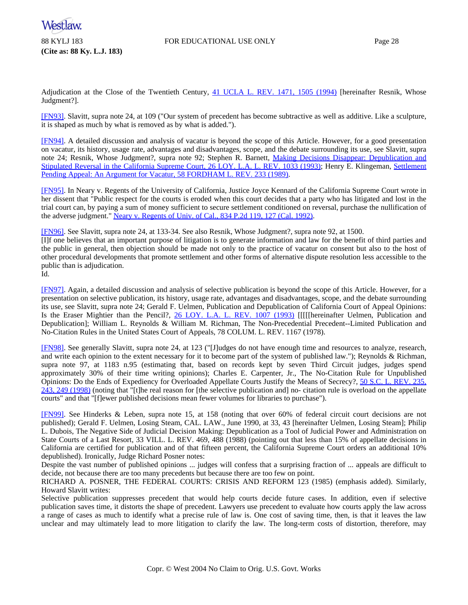

Adjudication at the Close of the Twentieth Century, 41 [UCLA](http://www.westlaw.com/Find/Default.wl?rs=++++1.0&vr=2.0&DocName=41CLA1471&FindType=Y) L. REV. 1471, 1505 (1994) [hereinafter Resnik, Whose Judgment?].

<span id="page-27-0"></span>[\[FN93\]](#page-9-0). Slavitt, supra note 24, at 109 ("Our system of precedent has become subtractive as well as additive. Like a sculpture, it is shaped as much by what is removed as by what is added.").

<span id="page-27-1"></span>[\[FN94\]](#page-9-1). A detailed discussion and analysis of vacatur is beyond the scope of this Article. However, for a good presentation on vacatur, its history, usage rate, advantages and disadvantages, scope, and the debate surrounding its use, see Slavitt, supra note 24; Resnik, Whose Judgment?, supra note 92; Stephen R. Barnett, Making Decisions Disappear: [Depublication](http://www.westlaw.com/Find/Default.wl?rs=++++1.0&vr=2.0&FindType=Y&SerialNum=0103154196) and [Stipulated](http://www.westlaw.com/Find/Default.wl?rs=++++1.0&vr=2.0&FindType=Y&SerialNum=0103154196) Reversal in the California Supreme Court, 26 LOY. L.A. L. REV. 1033 (1993); Henry E. Klingeman, S[ettlement](http://www.westlaw.com/Find/Default.wl?rs=++++1.0&vr=2.0&DocName=58FDMLR233&FindType=Y) Pending Appeal: An Argument for Vacatur, 58 [FORDHAM](http://www.westlaw.com/Find/Default.wl?rs=++++1.0&vr=2.0&DocName=58FDMLR233&FindType=Y) L. REV. 233 (1989).

<span id="page-27-2"></span>[\[FN95\]](#page-9-2). In Neary v. Regents of the University of California, Justice Joyce Kennard of the California Supreme Court wrote in her dissent that "Public respect for the courts is eroded when this court decides that a party who has litigated and lost in the trial court can, by paying a sum of money sufficient to secure settlement conditioned on reversal, purchase the nullification of the adverse judgment." Neary v. [Regents](http://www.westlaw.com/Find/Default.wl?rs=++++1.0&vr=2.0&DB=661&FindType=Y&ReferencePositionType=S&SerialNum=1992144407&ReferencePosition=127) of Univ. of Cal., 834 P.2d 119, 127 (Cal. 1992).

<span id="page-27-3"></span>[\[FN96\]](#page-9-3). See Slavitt, supra note 24, at 133-34. See also Resnik, Whose Judgment?, supra note 92, at 1500.

[I]f one believes that an important purpose of litigation is to generate information and law for the benefit of third parties and the public in general, then objection should be made not only to the practice of vacatur on consent but also to the host of other procedural developments that promote settlement and other forms of alternative dispute resolution less accessible to the public than is adjudication.

Id.

<span id="page-27-4"></span>[\[FN97\]](#page-9-4). Again, a detailed discussion and analysis of selective publication is beyond the scope of this Article. However, for a presentation on selective publication, its history, usage rate, advantages and disadvantages, scope, and the debate surrounding its use, see Slavitt, supra note 24; Gerald F. Uelmen, Publication and Depublication of California Court of Appeal Opinions: Is the Eraser Mightier than the Pencil?, 26 LOY. L.A. L. REV. 1007 [\(1993\)](http://www.westlaw.com/Find/Default.wl?rs=++++1.0&vr=2.0&DocName=26LOYLALAWREV1007&FindType=Y) [[[[[hereinafter Uelmen, Publication and Depublication]; William L. Reynolds & William M. Richman, The Non-Precedential Precedent--Limited Publication and No-Citation Rules in the United States Court of Appeals, 78 COLUM. L. REV. 1167 (1978).

<span id="page-27-5"></span>[\[FN98\]](#page-9-5). See generally Slavitt, supra note 24, at 123 ("[J]udges do not have enough time and resources to analyze, research, and write each opinion to the extent necessary for it to become part of the system of published law."); Reynolds & Richman, supra note 97, at 1183 n.95 (estimating that, based on records kept by seven Third Circuit judges, judges spend approximately 30% of their time writing opinions); Charles E. Carpenter, Jr., The No-Citation Rule for Unpublished Opinions: Do the Ends of Expediency for Overloaded Appellate Courts Justify the Means of Secrecy?, 50 S.C. L. [REV.](http://www.westlaw.com/Find/Default.wl?rs=++++1.0&vr=2.0&DocName=50SCLREV235&FindType=Y) 235, 243, 249 [\(1998\)](http://www.westlaw.com/Find/Default.wl?rs=++++1.0&vr=2.0&DocName=50SCLREV235&FindType=Y) (noting that "[t]he real reason for [the selective publication and] no- citation rule is overload on the appellate courts" and that "[f]ewer published decisions mean fewer volumes for libraries to purchase").

<span id="page-27-6"></span>[\[FN99\]](#page-9-6). See Hinderks & Leben, supra note 15, at 158 (noting that over 60% of federal circuit court decisions are not published); Gerald F. Uelmen, Losing Steam, CAL. LAW., June 1990, at 33, 43 [hereinafter Uelmen, Losing Steam]; Philip L. Dubois, The Negative Side of Judicial Decision Making: Depublication as a Tool of Judicial Power and Administration on State Courts of a Last Resort, 33 VILL. L. REV. 469, 488 (1988) (pointing out that less than 15% of appellate decisions in California are certified for publication and of that fifteen percent, the California Supreme Court orders an additional 10% depublished). Ironically, Judge Richard Posner notes:

Despite the vast number of published opinions ... judges will confess that a surprising fraction of ... appeals are difficult to decide, not because there are too many precedents but because there are too few on point.

RICHARD A. POSNER, THE FEDERAL COURTS: CRISIS AND REFORM 123 (1985) (emphasis added). Similarly, Howard Slavitt writes:

Selective publication suppresses precedent that would help courts decide future cases. In addition, even if selective publication saves time, it distorts the shape of precedent. Lawyers use precedent to evaluate how courts apply the law across a range of cases as much to identify what a precise rule of law is. One cost of saving time, then, is that it leaves the law unclear and may ultimately lead to more litigation to clarify the law. The long-term costs of distortion, therefore, may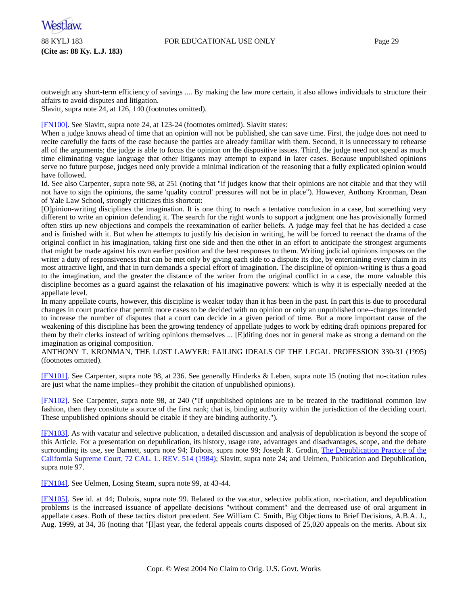outweigh any short-term efficiency of savings .... By making the law more certain, it also allows individuals to structure their affairs to avoid disputes and litigation.

Slavitt, supra note 24, at 126, 140 (footnotes omitted).

<span id="page-28-0"></span>[\[FN100\]](#page-9-7). See Slavitt, supra note 24, at 123-24 (footnotes omitted). Slavitt states:

When a judge knows ahead of time that an opinion will not be published, she can save time. First, the judge does not need to recite carefully the facts of the case because the parties are already familiar with them. Second, it is unnecessary to rehearse all of the arguments; the judge is able to focus the opinion on the dispositive issues. Third, the judge need not spend as much time eliminating vague language that other litigants may attempt to expand in later cases. Because unpublished opinions serve no future purpose, judges need only provide a minimal indication of the reasoning that a fully explicated opinion would have followed.

Id. See also Carpenter, supra note 98, at 251 (noting that "if judges know that their opinions are not citable and that they will not have to sign the opinions, the same 'quality control' pressures will not be in place"). However, Anthony Kronman, Dean of Yale Law School, strongly criticizes this shortcut:

[O]pinion-writing disciplines the imagination. It is one thing to reach a tentative conclusion in a case, but something very different to write an opinion defending it. The search for the right words to support a judgment one has provisionally formed often stirs up new objections and compels the reexamination of earlier beliefs. A judge may feel that he has decided a case and is finished with it. But when he attempts to justify his decision in writing, he will be forced to reenact the drama of the original conflict in his imagination, taking first one side and then the other in an effort to anticipate the strongest arguments that might be made against his own earlier position and the best responses to them. Writing judicial opinions imposes on the writer a duty of responsiveness that can be met only by giving each side to a dispute its due, by entertaining every claim in its most attractive light, and that in turn demands a special effort of imagination. The discipline of opinion-writing is thus a goad to the imagination, and the greater the distance of the writer from the original conflict in a case, the more valuable this discipline becomes as a guard against the relaxation of his imaginative powers: which is why it is especially needed at the appellate level.

In many appellate courts, however, this discipline is weaker today than it has been in the past. In part this is due to procedural changes in court practice that permit more cases to be decided with no opinion or only an unpublished one--changes intended to increase the number of disputes that a court can decide in a given period of time. But a more important cause of the weakening of this discipline has been the growing tendency of appellate judges to work by editing draft opinions prepared for them by their clerks instead of writing opinions themselves ... [E]diting does not in general make as strong a demand on the imagination as original composition.

ANTHONY T. KRONMAN, THE LOST LAWYER: FAILING IDEALS OF THE LEGAL PROFESSION 330-31 (1995) (footnotes omitted).

<span id="page-28-1"></span>[\[FN101\]](#page-9-8). See Carpenter, supra note 98, at 236. See generally Hinderks & Leben, supra note 15 (noting that no-citation rules are just what the name implies--they prohibit the citation of unpublished opinions).

<span id="page-28-2"></span>[\[FN102\]](#page-9-9). See Carpenter, supra note 98, at 240 ("If unpublished opinions are to be treated in the traditional common law fashion, then they constitute a source of the first rank; that is, binding authority within the jurisdiction of the deciding court. These unpublished opinions should be citable if they are binding authority.").

<span id="page-28-3"></span>[\[FN103\]](#page-9-10). As with vacatur and selective publication, a detailed discussion and analysis of depublication is beyond the scope of this Article. For a presentation on depublication, its history, usage rate, advantages and disadvantages, scope, and the debate surrounding its use, see Barnett, supra note 94; Dubois, supra note 99; Joseph R. Grodin, The [Depublication](http://www.westlaw.com/Find/Default.wl?rs=++++1.0&vr=2.0&DocName=72CALIFLREV514&FindType=Y) Practice of the [California](http://www.westlaw.com/Find/Default.wl?rs=++++1.0&vr=2.0&DocName=72CALIFLREV514&FindType=Y) Supreme Court, 72 CAL. L. REV. 514 (1984); Slavitt, supra note 24; and Uelmen, Publication and Depublication, supra note 97.

<span id="page-28-4"></span>[\[FN104\]](#page-9-11). See Uelmen, Losing Steam, supra note 99, at 43-44.

<span id="page-28-5"></span>[\[FN105\]](#page-9-12). See id. at 44; Dubois, supra note 99. Related to the vacatur, selective publication, no-citation, and depublication problems is the increased issuance of appellate decisions "without comment" and the decreased use of oral argument in appellate cases. Both of these tactics distort precedent. See William C. Smith, Big Objections to Brief Decisions, A.B.A. J., Aug. 1999, at 34, 36 (noting that "[l]ast year, the federal appeals courts disposed of 25,020 appeals on the merits. About six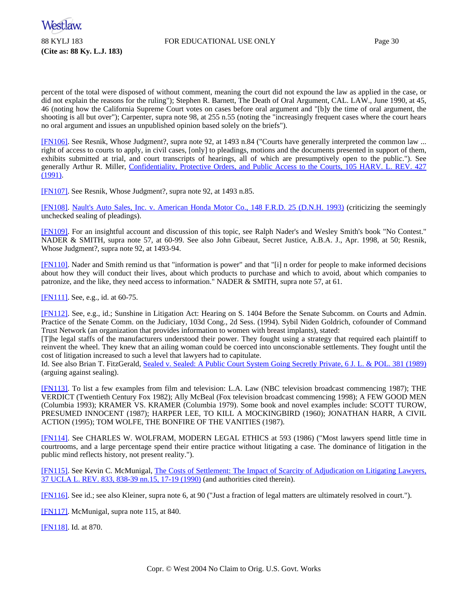

percent of the total were disposed of without comment, meaning the court did not expound the law as applied in the case, or did not explain the reasons for the ruling"); Stephen R. Barnett, The Death of Oral Argument, CAL. LAW., June 1990, at 45, 46 (noting how the California Supreme Court votes on cases before oral argument and "[b]y the time of oral argument, the shooting is all but over"); Carpenter, supra note 98, at 255 n.55 (noting the "increasingly frequent cases where the court hears no oral argument and issues an unpublished opinion based solely on the briefs").

<span id="page-29-0"></span>[\[FN106\]](#page-9-13). See Resnik, Whose Judgment?, supra note 92, at 1493 n.84 ("Courts have generally interpreted the common law ... right of access to courts to apply, in civil cases, [only] to pleadings, motions and the documents presented in support of them, exhibits submitted at trial, and court transcripts of hearings, all of which are presumptively open to the public."). See generally Arthur R. Miller, [Confidentiality,](http://www.westlaw.com/Find/Default.wl?rs=++++1.0&vr=2.0&DocName=105HLR427&FindType=Y) Protective Orders, and Public Access to the Courts, 105 HARV. L. REV. 427 [\(1991\).](http://www.westlaw.com/Find/Default.wl?rs=++++1.0&vr=2.0&DocName=105HLR427&FindType=Y)

<span id="page-29-1"></span>[\[FN107\]](#page-9-14). See Resnik, Whose Judgment?, supra note 92, at 1493 n.85.

<span id="page-29-2"></span>[\[FN108\]](#page-9-15). Nault's Auto Sales, Inc. v. [American](http://www.westlaw.com/Find/Default.wl?rs=++++1.0&vr=2.0&DB=344&FindType=Y&SerialNum=1993080514) Honda Motor Co., 148 F.R.D. 25 (D.N.H. 1993) (criticizing the seemingly unchecked sealing of pleadings).

<span id="page-29-3"></span>[\[FN109\]](#page-9-15). For an insightful account and discussion of this topic, see Ralph Nader's and Wesley Smith's book "No Contest." NADER & SMITH, supra note 57, at 60-99. See also John Gibeaut, Secret Justice, A.B.A. J., Apr. 1998, at 50; Resnik, Whose Judgment?, supra note 92, at 1493-94.

<span id="page-29-4"></span>[\[FN110\]](#page-9-16). Nader and Smith remind us that "information is power" and that "[i] n order for people to make informed decisions about how they will conduct their lives, about which products to purchase and which to avoid, about which companies to patronize, and the like, they need access to information." NADER & SMITH, supra note 57, at 61.

<span id="page-29-5"></span>[\[FN111\]](#page-9-17). See, e.g., id. at 60-75.

<span id="page-29-6"></span>[\[FN112\]](#page-9-18). See, e.g., id.; Sunshine in Litigation Act: Hearing on S. 1404 Before the Senate Subcomm. on Courts and Admin. Practice of the Senate Comm. on the Judiciary, 103d Cong., 2d Sess. (1994). Sybil Niden Goldrich, cofounder of Command Trust Network (an organization that provides information to women with breast implants), stated:

[T]he legal staffs of the manufacturers understood their power. They fought using a strategy that required each plaintiff to reinvent the wheel. They knew that an ailing woman could be coerced into unconscionable settlements. They fought until the cost of litigation increased to such a level that lawyers had to capitulate.

Id. See also Brian T. FitzGerald, Sealed v. Sealed: A Public Court System Going [Secretly](http://www.westlaw.com/Find/Default.wl?rs=++++1.0&vr=2.0&DocName=6JLPOL381&FindType=Y) Private, 6 J. L. & POL. 381 (1989) (arguing against sealing).

<span id="page-29-7"></span>[\[FN113\]](#page-9-19). To list a few examples from film and television: L.A. Law (NBC television broadcast commencing 1987); THE VERDICT (Twentieth Century Fox 1982); Ally McBeal (Fox television broadcast commencing 1998); A FEW GOOD MEN (Columbia 1993); KRAMER VS. KRAMER (Columbia 1979). Some book and novel examples include: SCOTT TUROW, PRESUMED INNOCENT (1987); HARPER LEE, TO KILL A MOCKINGBIRD (1960); JONATHAN HARR, A CIVIL ACTION (1995); TOM WOLFE, THE BONFIRE OF THE VANITIES (1987).

<span id="page-29-8"></span>[\[FN114\]](#page-9-19). See CHARLES W. WOLFRAM, MODERN LEGAL ETHICS at 593 (1986) ("Most lawyers spend little time in courtrooms, and a large percentage spend their entire practice without litigating a case. The dominance of litigation in the public mind reflects history, not present reality.").

<span id="page-29-9"></span>[\[FN115\]](#page-9-20). See Kevin C. McMunigal, The Costs of Settlement: The Impact of Scarcity of [Adjudication](http://www.westlaw.com/Find/Default.wl?rs=++++1.0&vr=2.0&DocName=37CLA833&FindType=Y) on Litigating Lawyers, 37 UCLA L. REV. 833, [838-39](http://www.westlaw.com/Find/Default.wl?rs=++++1.0&vr=2.0&DocName=37CLA833&FindType=Y) nn.15, 17-19 (1990) (and authorities cited therein).

<span id="page-29-10"></span>[\[FN116\]](#page-9-21). See id.; see also Kleiner, supra note 6, at 90 ("Just a fraction of legal matters are ultimately resolved in court.").

<span id="page-29-11"></span>[\[FN117\]](#page-10-0). McMunigal, supra note 115, at 840.

<span id="page-29-13"></span><span id="page-29-12"></span>[\[FN118\]](#page-10-1). Id. at 870.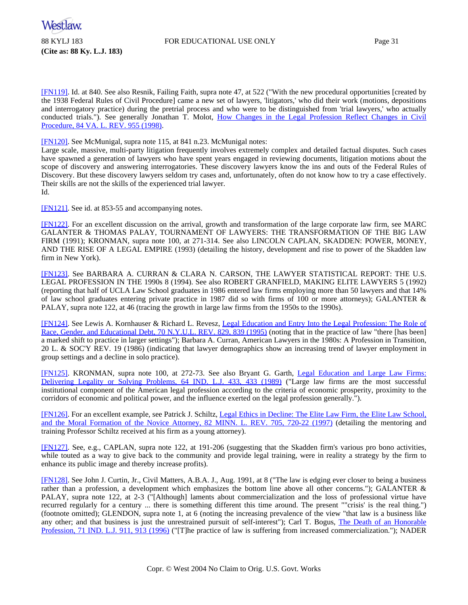

[\[FN119\]](#page-10-2). Id. at 840. See also Resnik, Failing Faith, supra note 47, at 522 ("With the new procedural opportunities [created by the 1938 Federal Rules of Civil Procedure] came a new set of lawyers, 'litigators,' who did their work (motions, depositions and interrogatory practice) during the pretrial process and who were to be distinguished from 'trial lawyers,' who actually conducted trials."). See generally Jonathan T. Molot, How Changes in the Legal [Profession](http://www.westlaw.com/Find/Default.wl?rs=++++1.0&vr=2.0&DocName=84VALR955&FindType=Y) Reflect Changes in Civil [Procedure,](http://www.westlaw.com/Find/Default.wl?rs=++++1.0&vr=2.0&DocName=84VALR955&FindType=Y) 84 VA. L. REV. 955 (1998).

<span id="page-30-0"></span>[\[FN120\]](#page-10-3). See McMunigal, supra note 115, at 841 n.23. McMunigal notes:

Large scale, massive, multi-party litigation frequently involves extremely complex and detailed factual disputes. Such cases have spawned a generation of lawyers who have spent years engaged in reviewing documents, litigation motions about the scope of discovery and answering interrogatories. These discovery lawyers know the ins and outs of the Federal Rules of Discovery. But these discovery lawyers seldom try cases and, unfortunately, often do not know how to try a case effectively. Their skills are not the skills of the experienced trial lawyer. Id.

<span id="page-30-1"></span>[\[FN121\]](#page-10-4). See id. at 853-55 and accompanying notes.

<span id="page-30-2"></span>[\[FN122\]](#page-10-5). For an excellent discussion on the arrival, growth and transformation of the large corporate law firm, see MARC GALANTER & THOMAS PALAY, TOURNAMENT OF LAWYERS: THE TRANSFORMATION OF THE BIG LAW FIRM (1991); KRONMAN, supra note 100, at 271-314. See also LINCOLN CAPLAN, SKADDEN: POWER, MONEY, AND THE RISE OF A LEGAL EMPIRE (1993) (detailing the history, development and rise to power of the Skadden law firm in New York).

<span id="page-30-3"></span>[\[FN123\]](#page-10-6). See BARBARA A. CURRAN & CLARA N. CARSON, THE LAWYER STATISTICAL REPORT: THE U.S. LEGAL PROFESSION IN THE 1990s 8 (1994). See also ROBERT GRANFIELD, MAKING ELITE LAWYERS 5 (1992) (reporting that half of UCLA Law School graduates in 1986 entered law firms employing more than 50 lawyers and that 14% of law school graduates entering private practice in 1987 did so with firms of 100 or more attorneys); GALANTER & PALAY, supra note 122, at 46 (tracing the growth in large law firms from the 1950s to the 1990s).

<span id="page-30-4"></span>[\[FN124\]](#page-10-7). See Lewis A. Kornhauser & Richard L. Revesz, Legal Education and Entry Into the Legal [Profession:](http://www.westlaw.com/Find/Default.wl?rs=++++1.0&vr=2.0&DocName=70NYULREV829&FindType=Y) The Role of Race, Gender, and [Educational](http://www.westlaw.com/Find/Default.wl?rs=++++1.0&vr=2.0&DocName=70NYULREV829&FindType=Y) Debt, 70 N.Y.U.L. REV. 829, 839 (1995) (noting that in the practice of law "there [has been] a marked shift to practice in larger settings"); Barbara A. Curran, American Lawyers in the 1980s: A Profession in Transition, 20 L. & SOC'Y REV. 19 (1986) (indicating that lawyer demographics show an increasing trend of lawyer employment in group settings and a decline in solo practice).

<span id="page-30-5"></span>[\[FN125\]](#page-10-8). KRONMAN, supra note 100, at 272-73. See also Bryant G. Garth, Legal [Education](http://www.westlaw.com/Find/Default.wl?rs=++++1.0&vr=2.0&DocName=64INDLJ433&FindType=Y) and Large Law Firms: [Delivering](http://www.westlaw.com/Find/Default.wl?rs=++++1.0&vr=2.0&DocName=64INDLJ433&FindType=Y) Legality or Solving Problems, 64 IND. L.J. 433, 433 (1989) ("Large law firms are the most successful institutional component of the American legal profession according to the criteria of economic prosperity, proximity to the corridors of economic and political power, and the influence exerted on the legal profession generally.").

<span id="page-30-6"></span>[\[FN126\]](#page-10-9). For an excellent example, see Patrick J. Schiltz, Legal Ethics in [Decline:](http://www.westlaw.com/Find/Default.wl?rs=++++1.0&vr=2.0&DocName=82MNL705&FindType=Y) The Elite Law Firm, the Elite Law School, and the Moral [Formation](http://www.westlaw.com/Find/Default.wl?rs=++++1.0&vr=2.0&DocName=82MNL705&FindType=Y) of the Novice Attorney, 82 MINN. L. REV. 705, 720-22 (1997) (detailing the mentoring and training Professor Schiltz received at his firm as a young attorney).

<span id="page-30-7"></span>[\[FN127\]](#page-10-9). See, e.g., CAPLAN, supra note 122, at 191-206 (suggesting that the Skadden firm's various pro bono activities, while touted as a way to give back to the community and provide legal training, were in reality a strategy by the firm to enhance its public image and thereby increase profits).

<span id="page-30-8"></span>[\[FN128\]](#page-10-10). See John J. Curtin, Jr., Civil Matters, A.B.A. J., Aug. 1991, at 8 ("The law is edging ever closer to being a business rather than a profession, a development which emphasizes the bottom line above all other concerns."); GALANTER & PALAY, supra note 122, at 2-3 ("[Although] laments about commercialization and the loss of professional virtue have recurred regularly for a century ... there is something different this time around. The present ""crisis' is the real thing.") (footnote omitted); GLENDON, supra note 1, at 6 (noting the increasing prevalence of the view "that law is a business like any other; and that business is just the unrestrained pursuit of self-interest"); Carl T. Bogus, The Death of an [Honorable](http://www.westlaw.com/Find/Default.wl?rs=++++1.0&vr=2.0&DocName=71INDLJ911&FindType=Y) [Profession,](http://www.westlaw.com/Find/Default.wl?rs=++++1.0&vr=2.0&DocName=71INDLJ911&FindType=Y) 71 IND. L.J. 911, 913 (1996) ("[T]he practice of law is suffering from increased commercialization."); NADER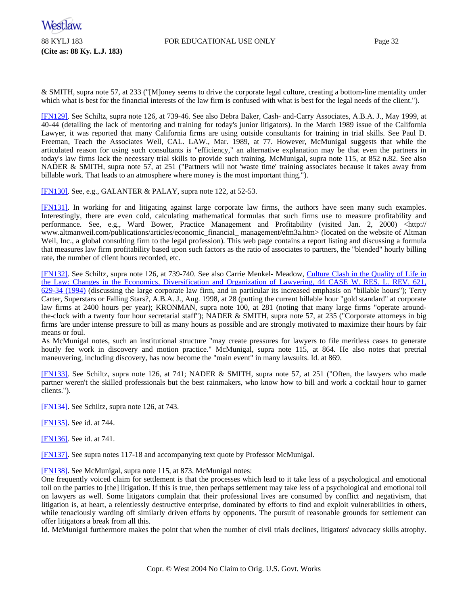

& SMITH, supra note 57, at 233 ("[M]oney seems to drive the corporate legal culture, creating a bottom-line mentality under which what is best for the financial interests of the law firm is confused with what is best for the legal needs of the client.").

<span id="page-31-0"></span>[\[FN129\]](#page-10-11). See Schiltz, supra note 126, at 739-46. See also Debra Baker, Cash- and-Carry Associates, A.B.A. J., May 1999, at 40-44 (detailing the lack of mentoring and training for today's junior litigators). In the March 1989 issue of the California Lawyer, it was reported that many California firms are using outside consultants for training in trial skills. See Paul D. Freeman, Teach the Associates Well, CAL. LAW., Mar. 1989, at 77. However, McMunigal suggests that while the articulated reason for using such consultants is "efficiency," an alternative explanation may be that even the partners in today's law firms lack the necessary trial skills to provide such training. McMunigal, supra note 115, at 852 n.82. See also NADER & SMITH, supra note 57, at 251 ("Partners will not 'waste time' training associates because it takes away from billable work. That leads to an atmosphere where money is the most important thing.").

<span id="page-31-1"></span>[\[FN130\]](#page-11-0). See, e.g., GALANTER & PALAY, supra note 122, at 52-53.

<span id="page-31-2"></span>[\[FN131\]](#page-11-1). In working for and litigating against large corporate law firms, the authors have seen many such examples. Interestingly, there are even cold, calculating mathematical formulas that such firms use to measure profitability and performance. See, e.g., Ward Bower, Practice Management and Profitability (visited Jan. 2, 2000) <http:// www.altmanweil.com/publications/articles/economic\_financial\_ management/efm3a.htm> (located on the website of Altman Weil, Inc., a global consulting firm to the legal profession). This web page contains a report listing and discussing a formula that measures law firm profitability based upon such factors as the ratio of associates to partners, the "blended" hourly billing rate, the number of client hours recorded, etc.

<span id="page-31-3"></span>[\[FN132\]](#page-11-2). See Schiltz, supra note 126, at 739-740. See also Carrie Menkel- Meadow, Culture Clash in the [Quality](http://www.westlaw.com/Find/Default.wl?rs=++++1.0&vr=2.0&FindType=Y&SerialNum=0104534332) of Life in the Law: Changes in the Economics, [Diversification](http://www.westlaw.com/Find/Default.wl?rs=++++1.0&vr=2.0&FindType=Y&SerialNum=0104534332) and Organization of Lawyering, 44 CASE W. RES. L. REV. 621, [629-34](http://www.westlaw.com/Find/Default.wl?rs=++++1.0&vr=2.0&FindType=Y&SerialNum=0104534332) (1994) (discussing the large corporate law firm, and in particular its increased emphasis on "billable hours"); Terry Carter, Superstars or Falling Stars?, A.B.A. J., Aug. 1998, at 28 (putting the current billable hour "gold standard" at corporate law firms at 2400 hours per year); KRONMAN, supra note 100, at 281 (noting that many large firms "operate aroundthe-clock with a twenty four hour secretarial staff"); NADER & SMITH, supra note 57, at 235 ("Corporate attorneys in big firms 'are under intense pressure to bill as many hours as possible and are strongly motivated to maximize their hours by fair means or foul.

As McMunigal notes, such an institutional structure "may create pressures for lawyers to file meritless cases to generate hourly fee work in discovery and motion practice." McMunigal, supra note 115, at 864. He also notes that pretrial maneuvering, including discovery, has now become the "main event" in many lawsuits. Id. at 869.

<span id="page-31-4"></span>[\[FN133\]](#page-11-3). See Schiltz, supra note 126, at 741; NADER & SMITH, supra note 57, at 251 ("Often, the lawyers who made partner weren't the skilled professionals but the best rainmakers, who know how to bill and work a cocktail hour to garner clients.").

<span id="page-31-5"></span>[\[FN134\]](#page-11-3). See Schiltz, supra note 126, at 743.

<span id="page-31-6"></span>[\[FN135\]](#page-11-4). See id. at 744.

<span id="page-31-7"></span>[\[FN136\]](#page-11-5). See id. at 741.

<span id="page-31-8"></span>[\[FN137\]](#page-11-6). See supra notes 117-18 and accompanying text quote by Professor McMunigal.

<span id="page-31-9"></span>[\[FN138\]](#page-11-7). See McMunigal, supra note 115, at 873. McMunigal notes:

One frequently voiced claim for settlement is that the processes which lead to it take less of a psychological and emotional toll on the parties to [the] litigation. If this is true, then perhaps settlement may take less of a psychological and emotional toll on lawyers as well. Some litigators complain that their professional lives are consumed by conflict and negativism, that litigation is, at heart, a relentlessly destructive enterprise, dominated by efforts to find and exploit vulnerabilities in others, while tenaciously warding off similarly driven efforts by opponents. The pursuit of reasonable grounds for settlement can offer litigators a break from all this.

Id. McMunigal furthermore makes the point that when the number of civil trials declines, litigators' advocacy skills atrophy.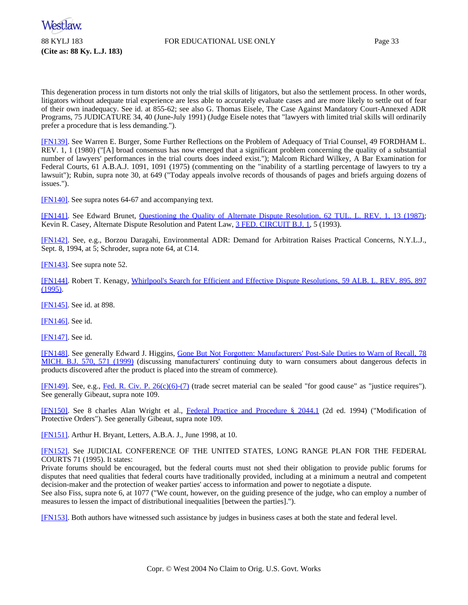

This degeneration process in turn distorts not only the trial skills of litigators, but also the settlement process. In other words, litigators without adequate trial experience are less able to accurately evaluate cases and are more likely to settle out of fear of their own inadequacy. See id. at 855-62; see also G. Thomas Eisele, The Case Against Mandatory Court-Annexed ADR Programs, 75 JUDICATURE 34, 40 (June-July 1991) (Judge Eisele notes that "lawyers with limited trial skills will ordinarily prefer a procedure that is less demanding.").

<span id="page-32-0"></span>[\[FN139\]](#page-11-8). See Warren E. Burger, Some Further Reflections on the Problem of Adequacy of Trial Counsel, 49 FORDHAM L. REV. 1, 1 (1980) ("[A] broad consensus has now emerged that a significant problem concerning the quality of a substantial number of lawyers' performances in the trial courts does indeed exist."); Malcom Richard Wilkey, A Bar Examination for Federal Courts, 61 A.B.A.J. 1091, 1091 (1975) (commenting on the "inability of a startling percentage of lawyers to try a lawsuit"); Rubin, supra note 30, at 649 ("Today appeals involve records of thousands of pages and briefs arguing dozens of issues.").

<span id="page-32-1"></span>[\[FN140\]](#page-11-9). See supra notes 64-67 and accompanying text.

<span id="page-32-2"></span>[\[FN141\]](#page-11-10). See Edward Brunet, Questioning the Quality of Alternate Dispute [Resolution,](http://www.westlaw.com/Find/Default.wl?rs=++++1.0&vr=2.0&DocName=62TULLREV1&FindType=Y) 62 TUL. L. REV. 1, 13 (1987); Kevin R. Casey, Alternate Dispute Resolution and Patent Law, 3 FED. [CIRCUIT](http://www.westlaw.com/Find/Default.wl?rs=++++1.0&vr=2.0&DocName=3FEDCIRCUITBJ1&FindType=Y) B.J. 1, 5 (1993).

<span id="page-32-3"></span>[\[FN142\]](#page-11-11). See, e.g., Borzou Daragahi, Environmental ADR: Demand for Arbitration Raises Practical Concerns, N.Y.L.J., Sept. 8, 1994, at 5; Schroder, supra note 64, at C14.

<span id="page-32-4"></span>[\[FN143\]](#page-11-12). See supra note 52.

<span id="page-32-5"></span>[\[FN144\]](#page-11-13). Robert T. Kenagy, Whirlpool's Search for Efficient and Effective Dispute [Resolutions,](http://www.westlaw.com/Find/Default.wl?rs=++++1.0&vr=2.0&DocName=59ALB895&FindType=Y) 59 ALB. L. REV. 895, 897 [\(1995\).](http://www.westlaw.com/Find/Default.wl?rs=++++1.0&vr=2.0&DocName=59ALB895&FindType=Y)

<span id="page-32-6"></span>[\[FN145\]](#page-11-14). See id. at 898.

<span id="page-32-7"></span>[\[FN146\]](#page-11-15). See id.

<span id="page-32-8"></span>[\[FN147\]](#page-11-16). See id.

<span id="page-32-9"></span>[\[FN148\]](#page-11-17). See generally Edward J. Higgins, Gone But Not [Forgotten:](http://www.westlaw.com/Find/Default.wl?rs=++++1.0&vr=2.0&DocName=78MICHBJ570&FindType=Y) [Manufacturers'](http://www.westlaw.com/Find/Default.wl?rs=++++1.0&vr=2.0&DocName=78MICHBJ570&FindType=Y) Post-Sale Duties to Warn of Recall, 78 [MICH.](http://www.westlaw.com/Find/Default.wl?rs=++++1.0&vr=2.0&DocName=78MICHBJ570&FindType=Y) B.J. 570, 571 (1999) (discussing manufacturers' continuing duty to warn consumers about dangerous defects in products discovered after the product is placed into the stream of commerce).

<span id="page-32-10"></span>[\[FN149\]](#page-11-18). See, e.g., Fed. R. Civ. P. [26\(c\)\(6\)-\(7\)](http://www.westlaw.com/Find/Default.wl?rs=++++1.0&vr=2.0&DB=1004365&DocName=USFRCPR26&FindType=L) (trade secret material can be sealed "for good cause" as "justice requires"). See generally Gibeaut, supra note 109.

<span id="page-32-11"></span>[\[FN150\]](#page-12-0). See 8 charles Alan Wright et al., Federal Practice and [Procedure](http://www.westlaw.com/Find/Default.wl?rs=++++1.0&vr=2.0&DocName=FPPs2044.1&FindType=Y) § 2044.1 (2d ed. 1994) ("Modification of Protective Orders"). See generally Gibeaut, supra note 109.

<span id="page-32-12"></span>[\[FN151\]](#page-12-1). Arthur H. Bryant, Letters, A.B.A. J., June 1998, at 10.

<span id="page-32-13"></span>[\[FN152\]](#page-12-2). See JUDICIAL CONFERENCE OF THE UNITED STATES, LONG RANGE PLAN FOR THE FEDERAL COURTS 71 (1995). It states:

Private forums should be encouraged, but the federal courts must not shed their obligation to provide public forums for disputes that need qualities that federal courts have traditionally provided, including at a minimum a neutral and competent decision-maker and the protection of weaker parties' access to information and power to negotiate a dispute.

See also Fiss, supra note 6, at 1077 ("We count, however, on the guiding presence of the judge, who can employ a number of measures to lessen the impact of distributional inequalities [between the parties].").

<span id="page-32-15"></span><span id="page-32-14"></span>[\[FN153\]](#page-12-3). Both authors have witnessed such assistance by judges in business cases at both the state and federal level.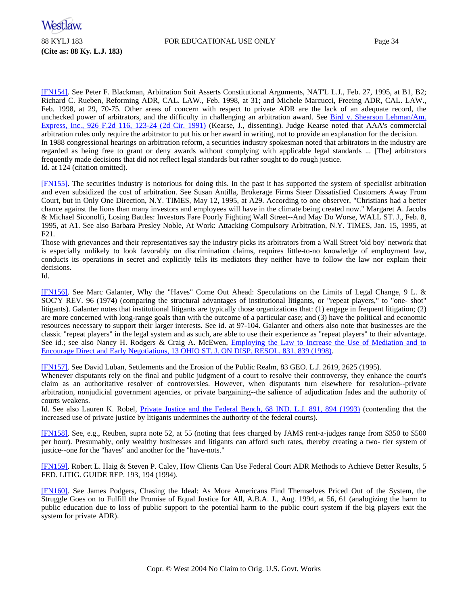

[\[FN154\]](#page-12-4). See Peter F. Blackman, Arbitration Suit Asserts Constitutional Arguments, NAT'L L.J., Feb. 27, 1995, at B1, B2; Richard C. Rueben, Reforming ADR, CAL. LAW., Feb. 1998, at 31; and Michele Marcucci, Freeing ADR, CAL. LAW., Feb. 1998, at 29, 70-75. Other areas of concern with respect to private ADR are the lack of an adequate record, the unchecked power of arbitrators, and the difficulty in challenging an arbitration award. See Bird v. Shearson [Lehman/Am.](http://www.westlaw.com/Find/Default.wl?rs=++++1.0&vr=2.0&DB=350&FindType=Y&ReferencePositionType=S&SerialNum=1991025620&ReferencePosition=123) [Express,](http://www.westlaw.com/Find/Default.wl?rs=++++1.0&vr=2.0&DB=350&FindType=Y&ReferencePositionType=S&SerialNum=1991025620&ReferencePosition=123) Inc., 926 F.2d 116, 123-24 (2d Cir. 1991) (Kearse, J., dissenting). Judge Kearse noted that AAA's commercial arbitration rules only require the arbitrator to put his or her award in writing, not to provide an explanation for the decision. In 1988 congressional hearings on arbitration reform, a securities industry spokesman noted that arbitrators in the industry are regarded as being free to grant or deny awards without complying with applicable legal standards ... [The] arbitrators frequently made decisions that did not reflect legal standards but rather sought to do rough justice. Id. at 124 (citation omitted).

<span id="page-33-0"></span>[\[FN155\]](#page-12-5). The securities industry is notorious for doing this. In the past it has supported the system of specialist arbitration and even subsidized the cost of arbitration. See Susan Antilla, Brokerage Firms Steer Dissatisfied Customers Away From Court, but in Only One Direction, N.Y. TIMES, May 12, 1995, at A29. According to one observer, "Christians had a better chance against the lions than many investors and employees will have in the climate being created now." Margaret A. Jacobs & Michael Siconolfi, Losing Battles: Investors Fare Poorly Fighting Wall Street--And May Do Worse, WALL ST. J., Feb. 8, 1995, at A1. See also Barbara Presley Noble, At Work: Attacking Compulsory Arbitration, N.Y. TIMES, Jan. 15, 1995, at F21.

Those with grievances and their representatives say the industry picks its arbitrators from a Wall Street 'old boy' network that is especially unlikely to look favorably on discrimination claims, requires little-to-no knowledge of employment law, conducts its operations in secret and explicitly tells its mediators they neither have to follow the law nor explain their decisions.

Id.

<span id="page-33-1"></span>[\[FN156\]](#page-12-6). See Marc Galanter, Why the "Haves" Come Out Ahead: Speculations on the Limits of Legal Change, 9 L. & SOC'Y REV. 96 (1974) (comparing the structural advantages of institutional litigants, or "repeat players," to "one- shot" litigants). Galanter notes that institutional litigants are typically those organizations that: (1) engage in frequent litigation; (2) are more concerned with long-range goals than with the outcome of a particular case; and (3) have the political and economic resources necessary to support their larger interests. See id. at 97-104. Galanter and others also note that businesses are the classic "repeat players" in the legal system and as such, are able to use their experience as "repeat players" to their advantage. See id.; see also Nancy H. Rodgers & Craig A. McEwen, Employing the Law to Increase the Use of [Mediation](http://www.westlaw.com/Find/Default.wl?rs=++++1.0&vr=2.0&FindType=Y&SerialNum=0109028849) and to Encourage Direct and Early [Negotiations,](http://www.westlaw.com/Find/Default.wl?rs=++++1.0&vr=2.0&FindType=Y&SerialNum=0109028849) 13 OHIO ST. J. ON DISP. RESOL. 831, 839 (1998).

<span id="page-33-2"></span>[\[FN157\]](#page-12-7). See David Luban, Settlements and the Erosion of the Public Realm, 83 GEO. L.J. 2619, 2625 (1995).

Whenever disputants rely on the final and public judgment of a court to resolve their controversy, they enhance the court's claim as an authoritative resolver of controversies. However, when disputants turn elsewhere for resolution--private arbitration, nonjudicial government agencies, or private bargaining--the salience of adjudication fades and the authority of courts weakens.

Id. See also Lauren K. Robel, Private Justice and the [Federal](http://www.westlaw.com/Find/Default.wl?rs=++++1.0&vr=2.0&DocName=68INDLJ891&FindType=Y) Bench, 68 IND. L.J. 891, 894 (1993) (contending that the increased use of private justice by litigants undermines the authority of the federal courts).

<span id="page-33-3"></span>[\[FN158\]](#page-12-7). See, e.g., Reuben, supra note 52, at 55 (noting that fees charged by JAMS rent-a-judges range from \$350 to \$500 per hour). Presumably, only wealthy businesses and litigants can afford such rates, thereby creating a two- tier system of justice--one for the "haves" and another for the "have-nots."

<span id="page-33-4"></span>[\[FN159\]](#page-12-8). Robert L. Haig & Steven P. Caley, How Clients Can Use Federal Court ADR Methods to Achieve Better Results, 5 FED. LITIG. GUIDE REP. 193, 194 (1994).

<span id="page-33-6"></span><span id="page-33-5"></span>[\[FN160\]](#page-12-8). See James Podgers, Chasing the Ideal: As More Americans Find Themselves Priced Out of the System, the Struggle Goes on to Fulfill the Promise of Equal Justice for All, A.B.A. J., Aug. 1994, at 56, 61 (analogizing the harm to public education due to loss of public support to the potential harm to the public court system if the big players exit the system for private ADR).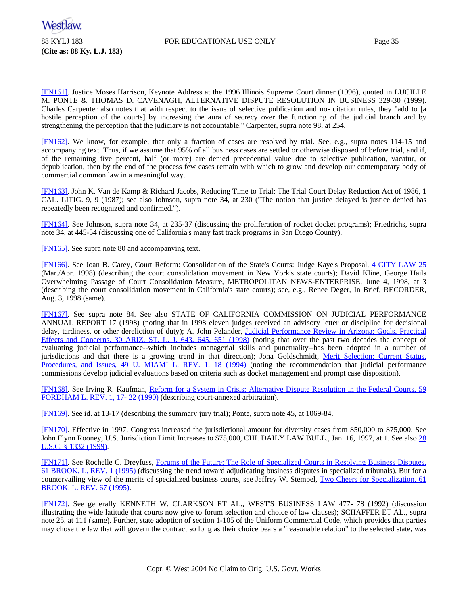

[\[FN161\]](#page-12-9). Justice Moses Harrison, Keynote Address at the 1996 Illinois Supreme Court dinner (1996), quoted in LUCILLE M. PONTE & THOMAS D. CAVENAGH, ALTERNATIVE DISPUTE RESOLUTION IN BUSINESS 329-30 (1999). Charles Carpenter also notes that with respect to the issue of selective publication and no- citation rules, they "add to [a hostile perception of the courts] by increasing the aura of secrecy over the functioning of the judicial branch and by strengthening the perception that the judiciary is not accountable." Carpenter, supra note 98, at 254.

<span id="page-34-0"></span>[\[FN162\]](#page-13-0). We know, for example, that only a fraction of cases are resolved by trial. See, e.g., supra notes 114-15 and accompanying text. Thus, if we assume that 95% of all business cases are settled or otherwise disposed of before trial, and if, of the remaining five percent, half (or more) are denied precedential value due to selective publication, vacatur, or depublication, then by the end of the process few cases remain with which to grow and develop our contemporary body of commercial common law in a meaningful way.

<span id="page-34-1"></span>[\[FN163\]](#page-13-1). John K. Van de Kamp & Richard Jacobs, Reducing Time to Trial: The Trial Court Delay Reduction Act of 1986, 1 CAL. LITIG. 9, 9 (1987); see also Johnson, supra note 34, at 230 ("The notion that justice delayed is justice denied has repeatedly been recognized and confirmed.").

<span id="page-34-2"></span>[\[FN164\]](#page-13-2). See Johnson, supra note 34, at 235-37 (discussing the proliferation of rocket docket programs); Friedrichs, supra note 34, at 445-54 (discussing one of California's many fast track programs in San Diego County).

<span id="page-34-3"></span>[\[FN165\]](#page-13-2). See supra note 80 and accompanying text.

<span id="page-34-4"></span>[\[FN166\]](#page-13-3). See Joan B. Carey, Court Reform: Consolidation of the State's Courts: Judge Kaye's Proposal, 4 CITY [LAW](http://www.westlaw.com/Find/Default.wl?rs=++++1.0&vr=2.0&DocName=4CITYL25&FindType=Y) 25 (Mar./Apr. 1998) (describing the court consolidation movement in New York's state courts); David Kline, George Hails Overwhelming Passage of Court Consolidation Measure, METROPOLITAN NEWS-ENTERPRISE, June 4, 1998, at 3 (describing the court consolidation movement in California's state courts); see, e.g., Renee Deger, In Brief, RECORDER, Aug. 3, 1998 (same).

<span id="page-34-5"></span>[\[FN167\]](#page-13-4). See supra note 84. See also STATE OF CALIFORNIA COMMISSION ON JUDICIAL PERFORMANCE ANNUAL REPORT 17 (1998) (noting that in 1998 eleven judges received an advisory letter or discipline for decisional delay, tardiness, or other dereliction of duty); A. John Pelander, *Judicial [Performance](http://www.westlaw.com/Find/Default.wl?rs=++++1.0&vr=2.0&DocName=30ARIZSTLJ643&FindType=Y) Review in Arizona: Goals, Practical* Effects and [Concerns,](http://www.westlaw.com/Find/Default.wl?rs=++++1.0&vr=2.0&DocName=30ARIZSTLJ643&FindType=Y) 30 ARIZ. ST. L. J. 643, 645, 651 (1998) (noting that over the past two decades the concept of evaluating judicial performance--which includes managerial skills and punctuality--has been adopted in a number of jurisdictions and that there is a growing trend in that direction); Jona Goldschmidt, Merit S[election:](http://www.westlaw.com/Find/Default.wl?rs=++++1.0&vr=2.0&DocName=49UMIALR1&FindType=Y) Current Status, [Procedures,](http://www.westlaw.com/Find/Default.wl?rs=++++1.0&vr=2.0&DocName=49UMIALR1&FindType=Y) and Issues, 49 U. MIAMI L. REV. 1, 18 (1994) (noting the recommendation that judicial performance commissions develop judicial evaluations based on criteria such as docket management and prompt case disposition).

<span id="page-34-6"></span>[\[FN168\]](#page-13-4). See Irving R. Kaufman, Reform for a System in Crisis: [Alternative](http://www.westlaw.com/Find/Default.wl?rs=++++1.0&vr=2.0&DocName=59FDMLR1&FindType=Y) Dispute Resolution in the Federal Courts, 59 [FORDHAM](http://www.westlaw.com/Find/Default.wl?rs=++++1.0&vr=2.0&DocName=59FDMLR1&FindType=Y) L. REV. 1, 17-22 (1990) (describing court-annexed arbitration).

<span id="page-34-7"></span>[\[FN169\]](#page-13-4). See id. at 13-17 (describing the summary jury trial); Ponte, supra note 45, at 1069-84.

<span id="page-34-8"></span>[\[FN170\]](#page-13-5). Effective in 1997, Congress increased the jurisdictional amount for diversity cases from \$50,000 to \$75,000. See John Flynn Rooney, U.S. Jurisdiction Limit Increases to \$75,000, CHI. DAILY LAW BULL., Jan. 16, 1997, at 1. See also [28](http://www.westlaw.com/Find/Default.wl?rs=++++1.0&vr=2.0&DB=1000546&DocName=28USCAS1332&FindType=L) [U.S.C.](http://www.westlaw.com/Find/Default.wl?rs=++++1.0&vr=2.0&DB=1000546&DocName=28USCAS1332&FindType=L) § 1332 (1999).

<span id="page-34-9"></span>[\[FN171\]](#page-13-6). See Rochelle C. Dreyfuss, Forums of the [Future:](http://www.westlaw.com/Find/Default.wl?rs=++++1.0&vr=2.0&FindType=Y&SerialNum=0105561454) The Role of Specialized Courts in [Resolving](http://www.westlaw.com/Find/Default.wl?rs=++++1.0&vr=2.0&FindType=Y&SerialNum=0105561454) Business Disputes, 61 [BROOK.](http://www.westlaw.com/Find/Default.wl?rs=++++1.0&vr=2.0&FindType=Y&SerialNum=0105561454) L. REV. 1 (1995) (discussing the trend toward adjudicating business disputes in specialized tribunals). But for a countervailing view of the merits of specialized business courts, see Jeffrey W. Stempel, Two Cheers for [Specialization,](http://www.westlaw.com/Find/Default.wl?rs=++++1.0&vr=2.0&DocName=61BRLR67&FindType=Y) 61 [BROOK.](http://www.westlaw.com/Find/Default.wl?rs=++++1.0&vr=2.0&DocName=61BRLR67&FindType=Y) L. REV. 67 (1995).

<span id="page-34-10"></span>[\[FN172\]](#page-13-7). See generally KENNETH W. CLARKSON ET AL., WEST'S BUSINESS LAW 477- 78 (1992) (discussion illustrating the wide latitude that courts now give to forum selection and choice of law clauses); SCHAFFER ET AL., supra note 25, at 111 (same). Further, state adoption of section 1-105 of the Uniform Commercial Code, which provides that parties may chose the law that will govern the contract so long as their choice bears a "reasonable relation" to the selected state, was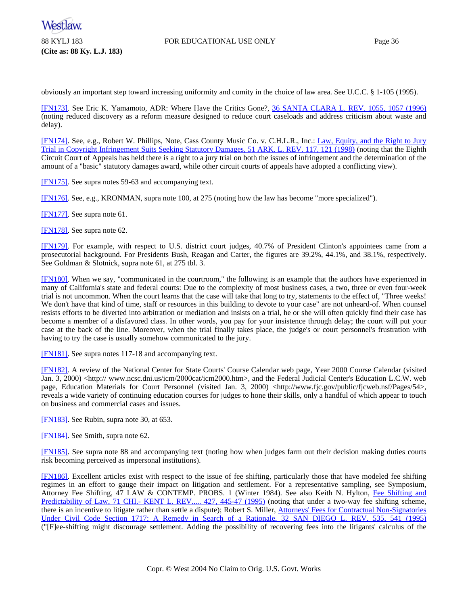

obviously an important step toward increasing uniformity and comity in the choice of law area. See U.C.C. § 1-105 (1995).

<span id="page-35-0"></span>[\[FN173\]](#page-13-7). See Eric K. Yamamoto, ADR: Where Have the Critics Gone?, 36 SANTA [CLARA](http://www.westlaw.com/Find/Default.wl?rs=++++1.0&vr=2.0&DocName=36SANTACLARALREV1055&FindType=Y) L. REV. 1055, 1057 (1996) (noting reduced discovery as a reform measure designed to reduce court caseloads and address criticism about waste and delay).

<span id="page-35-1"></span>[\[FN174\]](#page-13-7). See, e.g., Robert W. Phillips, Note, Cass County Music Co. v. C.H.L.R., Inc.: Law, [Equity,](http://www.westlaw.com/Find/Default.wl?rs=++++1.0&vr=2.0&DocName=51ARKLREV117&FindType=Y) and the Right to Jury Trial in Copyright [Infringement](http://www.westlaw.com/Find/Default.wl?rs=++++1.0&vr=2.0&DocName=51ARKLREV117&FindType=Y) Suits Seeking Statutory Damages, 51 ARK. L. REV. 117, 121 (1998) (noting that the Eighth Circuit Court of Appeals has held there is a right to a jury trial on both the issues of infringement and the determination of the amount of a "basic" statutory damages award, while other circuit courts of appeals have adopted a conflicting view).

<span id="page-35-2"></span>[\[FN175\]](#page-13-8). See supra notes 59-63 and accompanying text.

<span id="page-35-3"></span>[\[FN176\]](#page-13-9). See, e.g., KRONMAN, supra note 100, at 275 (noting how the law has become "more specialized").

<span id="page-35-4"></span>[\[FN177\]](#page-13-9). See supra note 61.

<span id="page-35-5"></span>[\[FN178\]](#page-13-10). See supra note 62.

<span id="page-35-6"></span>[\[FN179\]](#page-13-11). For example, with respect to U.S. district court judges, 40.7% of President Clinton's appointees came from a prosecutorial background. For Presidents Bush, Reagan and Carter, the figures are 39.2%, 44.1%, and 38.1%, respectively. See Goldman & Slotnick, supra note 61, at 275 tbl. 3.

<span id="page-35-7"></span>[\[FN180\]](#page-13-12). When we say, "communicated in the courtroom," the following is an example that the authors have experienced in many of California's state and federal courts: Due to the complexity of most business cases, a two, three or even four-week trial is not uncommon. When the court learns that the case will take that long to try, statements to the effect of, "Three weeks! We don't have that kind of time, staff or resources in this building to devote to your case" are not unheard-of. When counsel resists efforts to be diverted into arbitration or mediation and insists on a trial, he or she will often quickly find their case has become a member of a disfavored class. In other words, you pay for your insistence through delay; the court will put your case at the back of the line. Moreover, when the trial finally takes place, the judge's or court personnel's frustration with having to try the case is usually somehow communicated to the jury.

<span id="page-35-8"></span>[\[FN181\]](#page-13-13). See supra notes 117-18 and accompanying text.

<span id="page-35-9"></span>[\[FN182\]](#page-13-14). A review of the National Center for State Courts' Course Calendar web page, Year 2000 Course Calendar (visited Jan. 3, 2000) <http:// www.ncsc.dni.us/icm/2000cat/icm2000.htm>, and the Federal Judicial Center's Education L.C.W. web page, Education Materials for Court Personnel (visited Jan. 3, 2000) <http://www.fjc.gov/public/fjcweb.nsf/Pages/54>, reveals a wide variety of continuing education courses for judges to hone their skills, only a handful of which appear to touch on business and commercial cases and issues.

<span id="page-35-10"></span>[\[FN183\]](#page-13-15). See Rubin, supra note 30, at 653.

<span id="page-35-11"></span>[\[FN184\]](#page-13-16). See Smith, supra note 62.

<span id="page-35-12"></span>[\[FN185\]](#page-14-0). See supra note 88 and accompanying text (noting how when judges farm out their decision making duties courts risk becoming perceived as impersonal institutions).

<span id="page-35-13"></span>[\[FN186\]](#page-14-1). Excellent articles exist with respect to the issue of fee shifting, particularly those that have modeled fee shifting regimes in an effort to gauge their impact on litigation and settlement. For a representative sampling, see Symposium, Attorney Fee Sh[ifting](http://www.westlaw.com/Find/Default.wl?rs=++++1.0&vr=2.0&DocName=71CHIKENTLREV427&FindType=Y), 47 LAW & CONTEMP. PROBS. 1 (Winter 1984). See also Keith N. Hylton, Fee Shifting and [Predictability](http://www.westlaw.com/Find/Default.wl?rs=++++1.0&vr=2.0&DocName=71CHIKENTLREV427&FindType=Y) of Law, 71 CHI.- KENT L. REV..... 427, 445-47 (1995) (noting that under a two-way fee shifting scheme, there is an incentive to litigate rather than settle a dispute); Robert S. Miller, Attorneys' Fees for Contractual [Non-Signatories](http://www.westlaw.com/Find/Default.wl?rs=++++1.0&vr=2.0&DocName=32SANDIEGOLREV535&FindType=Y) Under Civil Code Section 1717: A Remedy in Search of a [Rationale,](http://www.westlaw.com/Find/Default.wl?rs=++++1.0&vr=2.0&DocName=32SANDIEGOLREV535&FindType=Y) 32 SAN DIEGO L. REV. 535, 541 (1995) ("[F]ee-shifting might discourage settlement. Adding the possibility of recovering fees into the litigants' calculus of the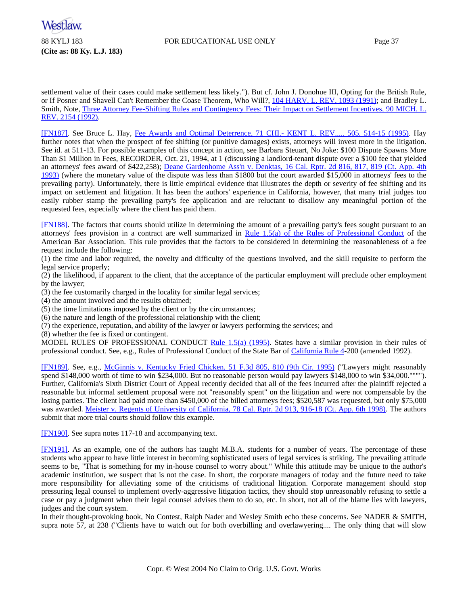

settlement value of their cases could make settlement less likely."). But cf. John J. Donohue III, Opting for the British Rule, or If Posner and Shavell Can't Remember the Coase Theorem, Who Will?, 104 [HARV.](http://www.westlaw.com/Find/Default.wl?rs=++++1.0&vr=2.0&DocName=104HLR1093&FindType=Y) L. REV. 1093 (1991); and Bradley L. Smith, Note, Three Attorney Fee-Shifting Rules and [Contingency](http://www.westlaw.com/Find/Default.wl?rs=++++1.0&vr=2.0&DocName=90MILR2154&FindType=Y) Fees: Their Impact on Settlement Incentives, 90 MICH. L. REV. 2154 [\(1992\)](http://www.westlaw.com/Find/Default.wl?rs=++++1.0&vr=2.0&DocName=90MILR2154&FindType=Y).

<span id="page-36-0"></span>[\[FN187\]](#page-14-2). See Bruce L. Hay, Fee Awards and Optimal [Deterrence,](http://www.westlaw.com/Find/Default.wl?rs=++++1.0&vr=2.0&DocName=71CHIKENTLREV505&FindType=Y) 71 CHI.- KENT L. REV..... 505, 514-15 (1995). Hay further notes that when the prospect of fee shifting (or punitive damages) exists, attorneys will invest more in the litigation. See id. at 511-13. For possible examples of this concept in action, see Barbara Steuart, No Joke: \$100 Dispute Spawns More Than \$1 Million in Fees, RECORDER, Oct. 21, 1994, at 1 (discussing a landlord-tenant dispute over a \$100 fee that yielded an attorneys' fees award of \$422,258); Deane [Gardenhome](http://www.westlaw.com/Find/Default.wl?rs=++++1.0&vr=2.0&DB=3484&FindType=Y&ReferencePositionType=S&SerialNum=1993057970&ReferencePosition=817) Ass'n v. Denktas, 16 Cal. Rptr. 2d 816, 817, 819 (Ct. App. 4th [1993\)](http://www.westlaw.com/Find/Default.wl?rs=++++1.0&vr=2.0&DB=3484&FindType=Y&ReferencePositionType=S&SerialNum=1993057970&ReferencePosition=817) (where the monetary value of the dispute was less than \$1800 but the court awarded \$15,000 in attorneys' fees to the prevailing party). Unfortunately, there is little empirical evidence that illustrates the depth or severity of fee shifting and its impact on settlement and litigation. It has been the authors' experience in California, however, that many trial judges too easily rubber stamp the prevailing party's fee application and are reluctant to disallow any meaningful portion of the requested fees, especially where the client has paid them.

<span id="page-36-1"></span>[\[FN188\]](#page-14-3). The factors that courts should utilize in determining the amount of a prevailing party's fees sought pursuant to an attorneys' fees provision in a contract are well summarized in Rule  $1.5(a)$  of the Rules of [Professional](http://www.westlaw.com/Find/Default.wl?rs=++++1.0&vr=2.0&DB=1000010&DocName=KYSTR3130R1.5&FindType=L) Conduct of the American Bar Association. This rule provides that the factors to be considered in determining the reasonableness of a fee request include the following:

(1) the time and labor required, the novelty and difficulty of the questions involved, and the skill requisite to perform the legal service properly;

(2) the likelihood, if apparent to the client, that the acceptance of the particular employment will preclude other employment by the lawyer;

(3) the fee customarily charged in the locality for similar legal services;

- (4) the amount involved and the results obtained;
- (5) the time limitations imposed by the client or by the circumstances;
- (6) the nature and length of the professional relationship with the client;
- (7) the experience, reputation, and ability of the lawyer or lawyers performing the services; and
- (8) whether the fee is fixed or contingent.

MODEL RULES OF PROFESSIONAL CONDUCT Rule 1.5(a) [\(1995\).](http://www.westlaw.com/Find/Default.wl?rs=++++1.0&vr=2.0&DB=1000010&DocName=KYSTR3130R1.5&FindType=L) States have a similar provision in their rules of professional conduct. See, e.g., Rules of Professional Conduct of the State Bar of [California](http://www.westlaw.com/Find/Default.wl?rs=++++1.0&vr=2.0&DB=1005299&DocName=CASTAR4&FindType=L) Rule 4-200 (amended 1992).

<span id="page-36-2"></span>[\[FN189\]](#page-14-3). See, e.g., [McGinnis](http://www.westlaw.com/Find/Default.wl?rs=++++1.0&vr=2.0&DB=506&FindType=Y&ReferencePositionType=S&SerialNum=1995082712&ReferencePosition=810) v. Kentucky Fried Chicken, 51 F.3d 805, 810 (9th Cir. 1995) ("Lawyers might reasonably spend \$148,000 worth of time to win \$234,000. But no reasonable person would pay lawyers \$148,000 to win \$34,000.""""). Further, California's Sixth District Court of Appeal recently decided that all of the fees incurred after the plaintiff rejected a reasonable but informal settlement proposal were not "reasonably spent" on the litigation and were not compensable by the losing parties. The client had paid more than \$450,000 of the billed attorneys fees; \$520,587 was requested, but only \$75,000 was awarded. Meister v. Regents of University of [California,](http://www.westlaw.com/Find/Default.wl?rs=++++1.0&vr=2.0&DB=3484&FindType=Y&ReferencePositionType=S&SerialNum=1998217307&ReferencePosition=916) 78 Cal. Rptr. 2d 913, 916-18 (Ct. App. 6th 1998). The authors submit that more trial courts should follow this example.

<span id="page-36-3"></span>[\[FN190\]](#page-14-4). See supra notes 117-18 and accompanying text.

<span id="page-36-4"></span>[\[FN191\]](#page-14-5). As an example, one of the authors has taught M.B.A. students for a number of years. The percentage of these students who appear to have little interest in becoming sophisticated users of legal services is striking. The prevailing attitude seems to be, "That is something for my in-house counsel to worry about." While this attitude may be unique to the author's academic institution, we suspect that is not the case. In short, the corporate managers of today and the future need to take more responsibility for alleviating some of the criticisms of traditional litigation. Corporate management should stop pressuring legal counsel to implement overly-aggressive litigation tactics, they should stop unreasonably refusing to settle a case or pay a judgment when their legal counsel advises them to do so, etc. In short, not all of the blame lies with lawyers, judges and the court system.

In their thought-provoking book, No Contest, Ralph Nader and Wesley Smith echo these concerns. See NADER & SMITH, supra note 57, at 238 ("Clients have to watch out for both overbilling and overlawyering.... The only thing that will slow